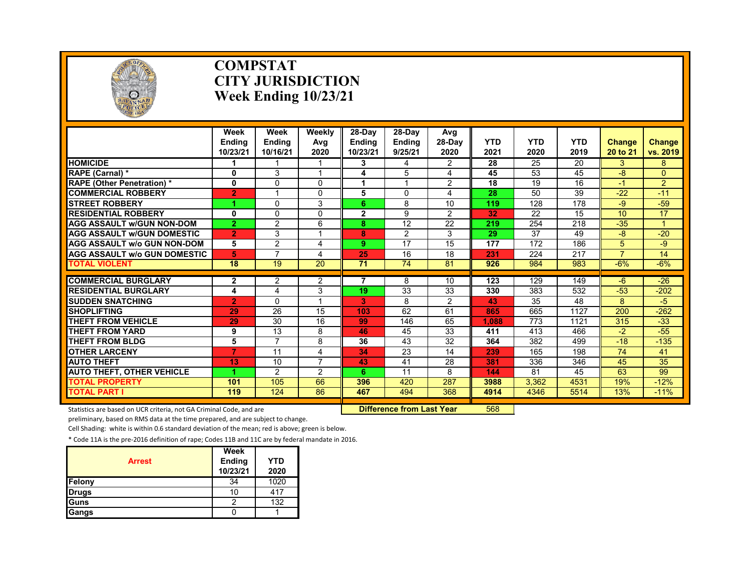

### **COMPSTAT CITY JURISDICTION Week Ending 10/23/21**

|                                     | Week<br><b>Endina</b><br>10/23/21 | Week<br><b>Endina</b><br>10/16/21 | Weekly<br>Avg<br>2020 | $28-Dav$<br><b>Endina</b><br>10/23/21 | 28-Dav<br>Ending<br>9/25/21 | Avg<br>$28-Dav$<br>2020 | <b>YTD</b><br>2021 | <b>YTD</b><br>2020 | <b>YTD</b><br>2019 | Change<br>20 to 21 | Change<br>vs. 2019 |
|-------------------------------------|-----------------------------------|-----------------------------------|-----------------------|---------------------------------------|-----------------------------|-------------------------|--------------------|--------------------|--------------------|--------------------|--------------------|
| <b>HOMICIDE</b>                     |                                   |                                   |                       | 3                                     | 4                           | $\overline{2}$          | 28                 | 25                 | 20                 | 3                  | 8                  |
| RAPE (Carnal) *                     | 0                                 | 3                                 | и                     | 4                                     | 5                           | 4                       | 45                 | 53                 | 45                 | $-8$               | $\Omega$           |
| <b>RAPE (Other Penetration)*</b>    | 0                                 | 0                                 | $\Omega$              | 1                                     | 4                           | $\overline{2}$          | 18                 | 19                 | 16                 | -1                 | $\overline{2}$     |
| <b>COMMERCIAL ROBBERY</b>           | $\overline{2}$                    |                                   | $\Omega$              | 5                                     | $\Omega$                    | 4                       | 28                 | 50                 | 39                 | $-22$              | $-11$              |
| <b>STREET ROBBERY</b>               | 1                                 | 0                                 | 3                     | 6                                     | 8                           | 10                      | 119                | 128                | 178                | -9                 | $-59$              |
| <b>RESIDENTIAL ROBBERY</b>          | 0                                 | $\Omega$                          | $\Omega$              | $\mathbf{2}$                          | 9                           | $\mathcal{P}$           | 32                 | 22                 | 15                 | 10                 | 17                 |
| <b>AGG ASSAULT W/GUN NON-DOM</b>    | $\overline{2}$                    | $\overline{2}$                    | 6                     | 8                                     | 12                          | 22                      | 219                | 254                | 218                | $-35$              |                    |
| <b>AGG ASSAULT W/GUN DOMESTIC</b>   | $\overline{2}$                    | 3                                 |                       | 8                                     | $\overline{c}$              | 3                       | 29                 | 37                 | 49                 | $-8$               | $-20$              |
| <b>AGG ASSAULT W/o GUN NON-DOM</b>  | 5                                 | $\overline{2}$                    | 4                     | 9.                                    | 17                          | 15                      | 177                | 172                | 186                | 5                  | -9                 |
| <b>AGG ASSAULT W/o GUN DOMESTIC</b> | 5                                 | 7                                 | 4                     | 25                                    | 16                          | 18                      | 231                | 224                | 217                | 7                  | 14                 |
| <b>TOTAL VIOLENT</b>                | $\overline{18}$                   | $\overline{19}$                   | $\overline{20}$       | $\overline{71}$                       | $\overline{74}$             | 81                      | 926                | 984                | 983                | $-6%$              | $-6%$              |
| <b>COMMERCIAL BURGLARY</b>          |                                   |                                   |                       | 7                                     | 8                           | 10                      | 123                | 129                | 149                | $-6$               | $-26$              |
| <b>RESIDENTIAL BURGLARY</b>         | $\mathbf{2}$                      | 2                                 | $\overline{2}$<br>3   | 19                                    | 33                          | 33                      | 330                | 383                | 532                | $-53$              | $-202$             |
| <b>SUDDEN SNATCHING</b>             | 4                                 | 4<br>$\Omega$                     | и                     | 3                                     | 8                           | $\overline{2}$          | 43                 | 35                 | 48                 | 8                  | $-5$               |
| <b>SHOPLIFTING</b>                  | $\overline{2}$<br>29              | 26                                | 15                    | 103                                   | 62                          | 61                      | 865                | 665                | 1127               | 200                | $-262$             |
| <b>THEFT FROM VEHICLE</b>           | 29                                | 30                                | 16                    | 99                                    | 146                         | 65                      | 1.088              | 773                | 1121               | 315                | $-33$              |
| <b>THEFT FROM YARD</b>              |                                   | 13                                | 8                     | 46                                    | 45                          | 33                      | 411                | 413                | 466                | $-2$               | $-55$              |
| THEFT FROM BLDG                     | 9                                 | 7                                 |                       |                                       |                             |                         |                    |                    |                    |                    |                    |
|                                     | 5<br>$\overline{7}$               | 11                                | 8                     | 36                                    | 43                          | 32                      | 364                | 382                | 499                | $-18$<br>74        | $-135$             |
| <b>OTHER LARCENY</b>                |                                   |                                   | 4<br>$\overline{7}$   | 34                                    | 23                          | 14                      | 239<br>381         | 165                | 198                |                    | 41                 |
| <b>AUTO THEFT</b>                   | 13<br>4                           | 10                                |                       | 43                                    | 41                          | 28                      |                    | 336                | 346                | 45                 | 35                 |
| <b>AUTO THEFT, OTHER VEHICLE</b>    |                                   | $\overline{2}$                    | 2                     | 6.                                    | 11                          | 8                       | 144                | 81                 | 45                 | 63                 | 99                 |
| <b>TOTAL PROPERTY</b>               | 101                               | 105                               | 66                    | 396                                   | 420                         | 287                     | 3988               | 3.362              | 4531               | 19%                | $-12%$             |
| <b>TOTAL PART I</b>                 | 119                               | 124                               | 86                    | 467                                   | 494                         | 368                     | 4914               | 4346               | 5514               | 13%                | $-11%$             |

Statistics are based on UCR criteria, not GA Criminal Code, and are **Difference from Last Year** 568

preliminary, based on RMS data at the time prepared, and are subject to change.

Cell Shading: white is within 0.6 standard deviation of the mean; red is above; green is below.

| <b>Arrest</b> | Week<br>Ending<br>10/23/21 | <b>YTD</b><br>2020 |
|---------------|----------------------------|--------------------|
| Felony        | 34                         | 1020               |
| <b>Drugs</b>  | 10                         | 417                |
| <b>Guns</b>   |                            | 132                |
| Gangs         |                            |                    |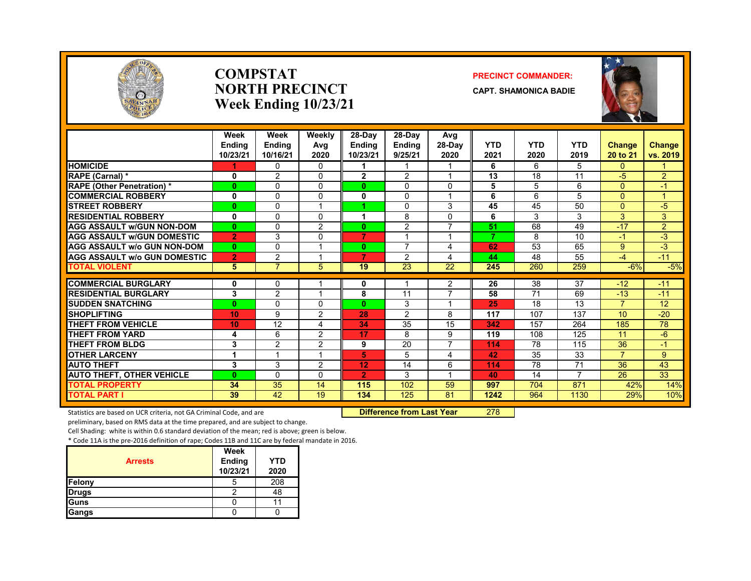

### **COMPSTATNORTH PRECINCTWeek Ending 10/23/21**

### **PRECINCT COMMANDER:**

**CAPT. SHAMONICA BADIE**



|                                     | Week<br><b>Endina</b><br>10/23/21 | Week<br><b>Endina</b><br>10/16/21 | Weekly<br>Avg<br>2020   | 28-Day<br>Endina<br>10/23/21 | 28-Dav<br><b>Endina</b><br>9/25/21 | Avg<br>28-Day<br>2020 | <b>YTD</b><br>2021      | <b>YTD</b><br>2020 | <b>YTD</b><br>2019 | <b>Change</b><br>20 to 21 | <b>Change</b><br>vs. 2019 |
|-------------------------------------|-----------------------------------|-----------------------------------|-------------------------|------------------------------|------------------------------------|-----------------------|-------------------------|--------------------|--------------------|---------------------------|---------------------------|
| <b>HOMICIDE</b>                     |                                   | $\Omega$                          | $\Omega$                |                              |                                    | 1                     | 6                       | 6                  | 5                  | $\Omega$                  |                           |
| <b>RAPE (Carnal) *</b>              | 0                                 | $\overline{2}$                    | $\Omega$                | $\mathbf{2}$                 | 2                                  | 1                     | 13                      | 18                 | 11                 | -5                        | $\overline{2}$            |
| <b>RAPE (Other Penetration) *</b>   | $\bf{0}$                          | $\Omega$                          | $\Omega$                | $\mathbf{0}$                 | 0                                  | 0                     | 5                       | 5                  | 6                  | $\Omega$                  | $-1$                      |
| <b>COMMERCIAL ROBBERY</b>           | 0                                 | $\Omega$                          | $\Omega$                | 0                            | $\Omega$                           | 1                     | 6                       | 6                  | 5                  | $\Omega$                  |                           |
| <b>STREET ROBBERY</b>               | $\bf{0}$                          | $\Omega$                          | и                       |                              | $\Omega$                           | 3                     | 45                      | 45                 | 50                 | $\Omega$                  | $-5$                      |
| <b>RESIDENTIAL ROBBERY</b>          | 0                                 | $\Omega$                          | $\Omega$                |                              | 8                                  | 0                     | 6                       | 3                  | 3                  | 3                         | 3                         |
| <b>AGG ASSAULT w/GUN NON-DOM</b>    | $\mathbf{0}$                      | $\Omega$                          | $\overline{2}$          | $\mathbf{0}$                 | 2                                  | $\overline{ }$        | 51                      | 68                 | 49                 | $-17$                     | $\overline{2}$            |
| <b>AGG ASSAULT w/GUN DOMESTIC</b>   | $\overline{2}$                    | 3                                 | $\Omega$                | $\overline{7}$               |                                    | 1                     | $\overline{\mathbf{z}}$ | 8                  | 10                 | $-1$                      | $-3$                      |
| <b>AGG ASSAULT w/o GUN NON-DOM</b>  | $\mathbf{0}$                      | $\Omega$                          | $\overline{\mathbf{A}}$ | $\mathbf{0}$                 | $\overline{7}$                     | 4                     | 62                      | 53                 | 65                 | 9                         | $-3$                      |
| <b>AGG ASSAULT w/o GUN DOMESTIC</b> | $\overline{2}$                    | $\overline{2}$                    |                         | 7                            | 2                                  | 4                     | 44                      | 48                 | 55                 | -4                        | $-11$                     |
| <b>TOTAL VIOLENT</b>                | 5                                 | $\overline{7}$                    | 5                       | 19                           | 23                                 | 22                    | 245                     | 260                | 259                | $-6%$                     | $-5%$                     |
| <b>COMMERCIAL BURGLARY</b>          | 0                                 | 0                                 |                         | 0                            |                                    | 2                     | 26                      | 38                 | 37                 | $-12$                     | $-11$                     |
| <b>RESIDENTIAL BURGLARY</b>         | 3                                 | $\overline{2}$                    |                         | 8                            | 11                                 | 7                     | 58                      | 71                 | 69                 | $-13$                     | $-11$                     |
| <b>SUDDEN SNATCHING</b>             | $\bf{0}$                          | $\Omega$                          | $\Omega$                | 0                            | 3                                  | 1                     | 25                      | 18                 | 13                 | $\overline{7}$            | 12                        |
| <b>SHOPLIFTING</b>                  | 10                                | 9                                 | 2                       | 28                           | 2                                  | 8                     | 117                     | 107                | 137                | 10                        | $-20$                     |
| <b>THEFT FROM VEHICLE</b>           | 10                                | 12                                | 4                       | 34                           | 35                                 | 15                    | 342                     | 157                | 264                | 185                       | 78                        |
| <b>THEFT FROM YARD</b>              | 4                                 | 6                                 | 2                       | 17                           | 8                                  | 9                     | 119                     | 108                | 125                | 11                        | $-6$                      |
| <b>THEFT FROM BLDG</b>              | 3                                 | $\overline{2}$                    | 2                       | 9                            | 20                                 | $\overline{7}$        | 114                     | 78                 | 115                | 36                        | $-1$                      |
| <b>OTHER LARCENY</b>                | 1                                 |                                   |                         | 5                            | 5                                  | 4                     | 42                      | 35                 | 33                 | $\overline{7}$            | 9                         |
| <b>AUTO THEFT</b>                   | 3                                 | 3                                 | $\overline{2}$          | 12                           | 14                                 | 6                     | 114                     | 78                 | $\overline{71}$    | 36                        | 43                        |
| <b>AUTO THEFT, OTHER VEHICLE</b>    | $\mathbf{0}$                      | $\Omega$                          | $\Omega$                | $\overline{2}$               | 3                                  | 1                     | 40                      | 14                 | $\overline{ }$     | 26                        | 33                        |
| <b>TOTAL PROPERTY</b>               | 34                                | 35                                | 14                      | 115                          | 102                                | 59                    | 997                     | 704                | 871                | 42%                       | 14%                       |
| <b>TOTAL PART I</b>                 | 39                                | 42                                | 19                      | 134                          | 125                                | 81                    | 1242                    | 964                | 1130               | 29%                       | 10%                       |

Statistics are based on UCR criteria, not GA Criminal Code, and are **Difference from Last Year** 278

preliminary, based on RMS data at the time prepared, and are subject to change.

Cell Shading: white is within 0.6 standard deviation of the mean; red is above; green is below.

|                | Week               |                    |
|----------------|--------------------|--------------------|
| <b>Arrests</b> | Ending<br>10/23/21 | <b>YTD</b><br>2020 |
| Felony         | 5                  | 208                |
| <b>Drugs</b>   |                    | 48                 |
| Guns           |                    |                    |
| Gangs          |                    |                    |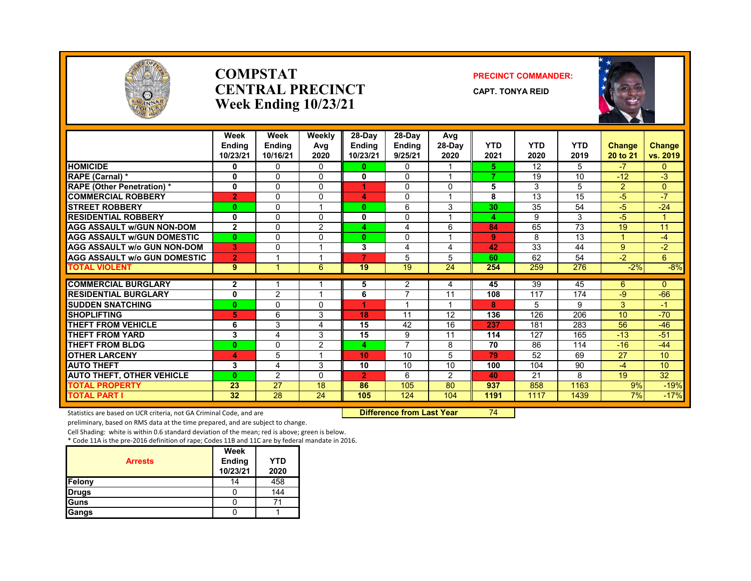

### **COMPSTATCENTRAL PRECINCTWeek Ending 10/23/21**

### **PRECINCT COMMANDER:**

**CAPT. TONYA REID**



|                                     | Week<br><b>Ending</b><br>10/23/21 | Week<br><b>Endina</b><br>10/16/21 | Weekly<br>Avg<br>2020 | 28-Day<br><b>Endina</b><br>10/23/21 | 28-Day<br><b>Ending</b><br>9/25/21 | Avg<br>28-Day<br>2020 | <b>YTD</b><br>2021 | <b>YTD</b><br>2020 | <b>YTD</b><br>2019 | <b>Change</b><br>20 to 21 | Change<br>vs. 2019 |
|-------------------------------------|-----------------------------------|-----------------------------------|-----------------------|-------------------------------------|------------------------------------|-----------------------|--------------------|--------------------|--------------------|---------------------------|--------------------|
| <b>HOMICIDE</b>                     | 0                                 | $\Omega$                          | 0                     | 0                                   | $\Omega$                           |                       | 5.                 | 12                 | 5.                 | $-7$                      | 0                  |
| <b>RAPE (Carnal)</b> *              | 0                                 | $\Omega$                          | $\Omega$              | 0                                   | $\mathbf{0}$                       |                       | 7                  | 19                 | 10                 | $-12$                     | $-3$               |
| <b>RAPE (Other Penetration) *</b>   | 0                                 | $\Omega$                          | $\Omega$              |                                     | $\Omega$                           | 0                     | 5                  | 3                  | 5                  | $\overline{a}$            | $\overline{0}$     |
| <b>COMMERCIAL ROBBERY</b>           | $\overline{2}$                    | $\Omega$                          | $\Omega$              | 4                                   | $\mathbf{0}$                       |                       | 8                  | 13                 | 15                 | -5                        | $-7$               |
| <b>STREET ROBBERY</b>               | 0                                 | 0                                 |                       | $\bf{0}$                            | 6                                  | 3                     | 30                 | 35                 | 54                 | -5                        | $-24$              |
| <b>RESIDENTIAL ROBBERY</b>          | 0                                 | $\Omega$                          | $\Omega$              | 0                                   | $\mathbf{0}$                       |                       | 4                  | 9                  | 3                  | -5                        |                    |
| <b>AGG ASSAULT W/GUN NON-DOM</b>    | $\mathbf{2}$                      | $\mathbf{0}$                      | 2                     | 4                                   | 4                                  | 6                     | 84                 | 65                 | $\overline{73}$    | 19                        | 11                 |
| <b>AGG ASSAULT w/GUN DOMESTIC</b>   | $\bf{0}$                          | $\Omega$                          | $\Omega$              | $\mathbf{0}$                        | $\mathbf{0}$                       |                       | 9                  | 8                  | 13                 | 4                         | $-4$               |
| <b>AGG ASSAULT w/o GUN NON-DOM</b>  | 3                                 | 0                                 |                       | 3                                   | 4                                  | 4                     | 42                 | 33                 | 44                 | 9                         | $-2$               |
| <b>AGG ASSAULT W/o GUN DOMESTIC</b> | $\overline{2}$                    |                                   |                       | 7                                   | 5                                  | 5                     | 60                 | 62                 | 54                 | $-2$                      | 6                  |
| <b>TOTAL VIOLENT</b>                | 9                                 |                                   | 6                     | 19                                  | 19                                 | $\overline{24}$       | 254                | 259                | 276                | $-2%$                     | $-8%$              |
| <b>COMMERCIAL BURGLARY</b>          | $\mathbf{2}$                      |                                   |                       | 5                                   | 2                                  |                       | 45                 | 39                 | 45                 | 6                         | 0                  |
| <b>RESIDENTIAL BURGLARY</b>         | 0                                 | 2                                 |                       | 6                                   | 7                                  | 4<br>11               | 108                | 117                | 174                | -9                        | $-66$              |
| <b>SUDDEN SNATCHING</b>             | $\bf{0}$                          | $\Omega$                          | $\Omega$              |                                     |                                    |                       | 8                  | 5                  | 9                  | 3                         | $-1$               |
| <b>SHOPLIFTING</b>                  | 5                                 | 6                                 | 3                     | 18                                  | 11                                 | 12                    | 136                | 126                | 206                | 10                        | $-70$              |
| <b>THEFT FROM VEHICLE</b>           | 6                                 | 3                                 | 4                     | 15                                  | 42                                 | 16                    | 237                | 181                | 283                | 56                        | $-46$              |
| <b>THEFT FROM YARD</b>              | 3                                 | 4                                 | 3                     | 15                                  | 9                                  | 11                    | 114                | 127                | 165                | $-13$                     | $-51$              |
| <b>THEFT FROM BLDG</b>              | $\bf{0}$                          | $\Omega$                          | 2                     | 4.                                  | $\overline{7}$                     | 8                     | 70                 | 86                 | 114                | $-16$                     | $-44$              |
| <b>OTHER LARCENY</b>                | 4                                 | 5                                 |                       | 10                                  | 10                                 | 5                     | 79                 | 52                 | 69                 | 27                        | 10 <sup>10</sup>   |
| <b>AUTO THEFT</b>                   | 3                                 | 4                                 | 3                     | 10                                  | 10                                 | 10                    | 100                | 104                | 90                 | $-4$                      | 10 <sup>10</sup>   |
| <b>AUTO THEFT, OTHER VEHICLE</b>    | 0                                 | 2                                 | $\Omega$              | $\overline{2}$                      | 6                                  | 2                     | 40                 | 21                 | 8                  | 19                        | $\overline{32}$    |
| <b>TOTAL PROPERTY</b>               | 23                                | $\overline{27}$                   | 18                    | 86                                  | 105                                | 80                    | 937                | 858                | 1163               | 9%                        | $-19%$             |
| <b>TOTAL PART I</b>                 | 32                                | $\overline{28}$                   | $\overline{24}$       | 105                                 | 124                                | 104                   | 1191               | 1117               | 1439               | 7%                        | $-17%$             |

Statistics are based on UCR criteria, not GA Criminal Code, and are **Difference from Last Year** 74

preliminary, based on RMS data at the time prepared, and are subject to change.

Cell Shading: white is within 0.6 standard deviation of the mean; red is above; green is below.

| <b>Arrests</b> | Week<br>Ending<br>10/23/21 | YTD<br>2020 |
|----------------|----------------------------|-------------|
| Felony         | 14                         | 458         |
| Drugs          |                            | 144         |
| Guns           |                            |             |
| Gangs          |                            |             |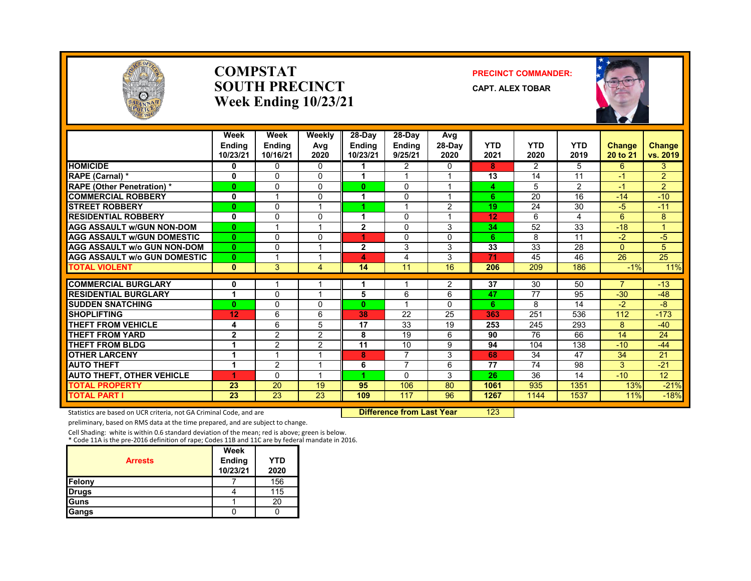

### **COMPSTATSOUTH PRECINCTWeek Ending 10/23/21**

### **PRECINCT COMMANDER:**

**CAPT. ALEX TOBAR**



|                                     | Week<br><b>Endina</b><br>10/23/21 | Week<br><b>Endina</b><br>10/16/21 | Weekly<br>Avg<br>2020 | 28-Day<br><b>Endina</b><br>10/23/21 | $28-Dav$<br><b>Endina</b><br>9/25/21 | Avg<br>$28-Dav$<br>2020 | <b>YTD</b><br>2021 | <b>YTD</b><br>2020 | <b>YTD</b><br>2019 | <b>Change</b><br>20 to 21 | <b>Change</b><br>vs. 2019 |
|-------------------------------------|-----------------------------------|-----------------------------------|-----------------------|-------------------------------------|--------------------------------------|-------------------------|--------------------|--------------------|--------------------|---------------------------|---------------------------|
| <b>HOMICIDE</b>                     | 0                                 | $\Omega$                          | 0                     |                                     | 2                                    | $\Omega$                | 8                  | $\mathcal{P}$      | 5.                 | 6                         | 3                         |
| RAPE (Carnal) *                     | 0                                 | $\Omega$                          | 0                     | 1                                   |                                      |                         | 13                 | 14                 | 11                 | $-1$                      | $\overline{2}$            |
| <b>RAPE (Other Penetration) *</b>   | $\bf{0}$                          | $\Omega$                          | 0                     | $\bf{0}$                            | $\Omega$                             | 1                       | 4                  | 5                  | 2                  | $-1$                      | $\overline{2}$            |
| <b>COMMERCIAL ROBBERY</b>           | $\mathbf 0$                       |                                   | $\Omega$              |                                     | $\Omega$                             |                         | 6                  | 20                 | 16                 | $-14$                     | $-10$                     |
| <b>STREET ROBBERY</b>               | $\bf{0}$                          | $\Omega$                          |                       |                                     |                                      | 2                       | 19                 | 24                 | 30                 | -5                        | $-11$                     |
| <b>RESIDENTIAL ROBBERY</b>          | 0                                 | $\Omega$                          | $\Omega$              | 1                                   | $\Omega$                             |                         | 12                 | 6                  | 4                  | 6                         | 8                         |
| <b>AGG ASSAULT W/GUN NON-DOM</b>    | $\mathbf{0}$                      |                                   |                       | $\overline{2}$                      | $\Omega$                             | 3                       | 34                 | 52                 | $\overline{33}$    | $-18$                     | $\overline{A}$            |
| <b>AGG ASSAULT w/GUN DOMESTIC</b>   | $\bf{0}$                          | $\Omega$                          | 0                     |                                     | $\Omega$                             | $\Omega$                | 6                  | 8                  | 11                 | $-2$                      | $-5$                      |
| <b>AGG ASSAULT w/o GUN NON-DOM</b>  | $\mathbf{0}$                      | $\Omega$                          |                       | $\mathbf{2}$                        | 3                                    | 3                       | 33                 | 33                 | 28                 | $\Omega$                  | 5                         |
| <b>AGG ASSAULT W/o GUN DOMESTIC</b> | $\bf{0}$                          |                                   |                       | 4                                   | 4                                    | 3                       | 71                 | 45                 | 46                 | 26                        | 25                        |
| <b>TOTAL VIOLENT</b>                | $\mathbf{0}$                      | 3                                 | 4                     | 14                                  | 11                                   | 16                      | 206                | 209                | 186                | $-1%$                     | 11%                       |
| <b>COMMERCIAL BURGLARY</b>          | 0                                 |                                   |                       |                                     |                                      | 2                       | 37                 | 30                 | 50                 | 7                         | $-13$                     |
| <b>RESIDENTIAL BURGLARY</b>         |                                   | $\Omega$                          |                       | 5                                   | 6                                    | 6                       | 47                 | 77                 | 95                 | $-30$                     | $-48$                     |
| <b>SUDDEN SNATCHING</b>             | $\mathbf{0}$                      | $\Omega$                          | 0                     | $\bf{0}$                            |                                      | $\Omega$                | 6                  | 8                  | 14                 | $-2$                      | -8                        |
| <b>SHOPLIFTING</b>                  | 12                                | 6                                 | 6                     | 38                                  | 22                                   | 25                      | 363                | 251                | 536                | 112                       | $-173$                    |
| <b>THEFT FROM VEHICLE</b>           | 4                                 | 6                                 | 5                     | 17                                  | 33                                   | 19                      | 253                | 245                | 293                | 8                         | $-40$                     |
| <b>THEFT FROM YARD</b>              | $\overline{2}$                    | $\overline{2}$                    | 2                     | 8                                   | 19                                   | 6                       | 90                 | 76                 | 66                 | 14                        | 24                        |
| <b>THEFT FROM BLDG</b>              |                                   | $\overline{2}$                    | $\overline{2}$        | 11                                  | 10                                   | 9                       | 94                 | 104                | 138                | $-10$                     | $-44$                     |
| <b>OTHER LARCENY</b>                | 1                                 |                                   |                       | 8                                   | 7                                    | 3                       | 68                 | 34                 | 47                 | 34                        | 21                        |
| <b>AUTO THEFT</b>                   | ۸                                 | $\overline{2}$                    |                       | 6                                   | 7                                    | 6                       | 77                 | 74                 | 98                 | 3                         | $-21$                     |
| <b>AUTO THEFT, OTHER VEHICLE</b>    | 4                                 | $\Omega$                          |                       |                                     | $\Omega$                             | 3                       | 26                 | 36                 | 14                 | $-10$                     | $\overline{12}$           |
| <b>TOTAL PROPERTY</b>               | 23                                | 20                                | 19                    | 95                                  | 106                                  | 80                      | 1061               | 935                | 1351               | 13%                       | $-21%$                    |
| TOTAL PART I                        | 23                                | 23                                | 23                    | 109                                 | 117                                  | 96                      | 1267               | 1144               | 1537               | 11%                       | $-18%$                    |

Statistics are based on UCR criteria, not GA Criminal Code, and are **Difference from Last Year** 123

preliminary, based on RMS data at the time prepared, and are subject to change.

Cell Shading: white is within 0.6 standard deviation of the mean; red is above; green is below. \* Code 11A is the pre‐2016 definition of rape; Codes 11B and 11C are by federal mandate in 2016.

| <b>Arrests</b> | Week<br>Ending<br>10/23/21 | YTD<br>2020 |
|----------------|----------------------------|-------------|
| Felony         |                            | 156         |
| <b>Drugs</b>   |                            | 115         |
| Guns           |                            | 20          |
| <b>Gangs</b>   |                            |             |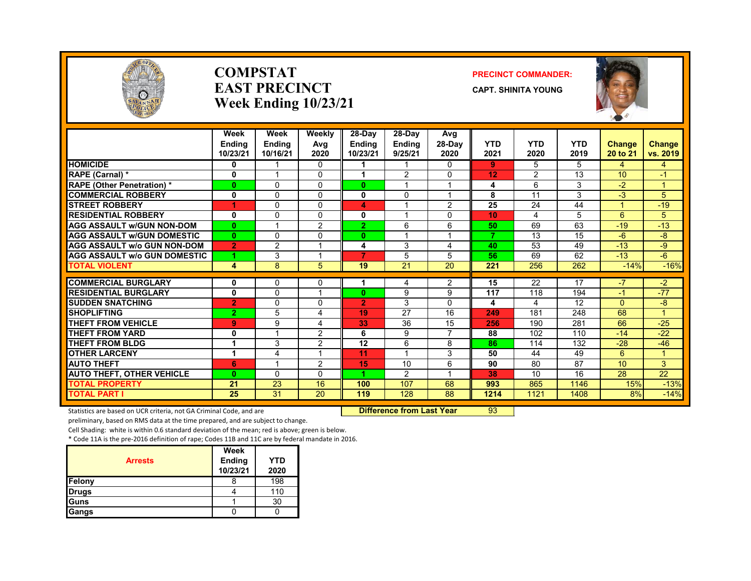

### **COMPSTATEAST PRECINCTWeek Ending 10/23/21**

### **PRECINCT COMMANDER:**

**CAPT. SHINITA YOUNG**



|                                     | Week<br><b>Endina</b><br>10/23/21 | Week<br><b>Endina</b><br>10/16/21 | Weekly<br>Avg<br>2020   | 28-Day<br><b>Endina</b><br>10/23/21 | 28-Day<br><b>Ending</b><br>9/25/21 | Avg<br>$28-Dav$<br>2020 | <b>YTD</b><br>2021 | <b>YTD</b><br>2020 | <b>YTD</b><br>2019 | <b>Change</b><br>20 to 21 | Change<br>vs. 2019 |
|-------------------------------------|-----------------------------------|-----------------------------------|-------------------------|-------------------------------------|------------------------------------|-------------------------|--------------------|--------------------|--------------------|---------------------------|--------------------|
| <b>HOMICIDE</b>                     | 0                                 |                                   | 0                       |                                     | 1                                  | $\mathbf{0}$            | 9                  | 5                  | 5                  | 4                         | 4                  |
| <b>RAPE (Carnal) *</b>              | 0                                 |                                   | 0                       |                                     | 2                                  | 0                       | 12                 | 2                  | 13                 | 10                        | $-1$               |
| <b>RAPE (Other Penetration) *</b>   | $\mathbf{0}$                      | 0                                 | 0                       | $\mathbf{0}$                        |                                    | 1                       | 4                  | 6                  | 3                  | $-2$                      | 1.                 |
| <b>COMMERCIAL ROBBERY</b>           | $\mathbf{0}$                      | $\Omega$                          | 0                       | 0                                   | $\Omega$                           | 1                       | 8                  | 11                 | 3                  | $-3$                      | 5                  |
| <b>STREET ROBBERY</b>               | 1                                 | $\Omega$                          | $\Omega$                | 4                                   |                                    | $\overline{2}$          | 25                 | 24                 | 44                 |                           | $-19$              |
| <b>RESIDENTIAL ROBBERY</b>          | 0                                 | 0                                 | 0                       | 0                                   |                                    | 0                       | 10                 | 4                  | 5                  | 6                         | 5                  |
| <b>AGG ASSAULT w/GUN NON-DOM</b>    | $\mathbf{0}$                      |                                   | $\overline{2}$          | 2.                                  | 6                                  | 6                       | 50                 | 69                 | 63                 | $-19$                     | $-13$              |
| <b>AGG ASSAULT W/GUN DOMESTIC</b>   | $\mathbf{0}$                      | $\Omega$                          | 0                       | $\mathbf{0}$                        |                                    | $\overline{1}$          | 7                  | 13                 | 15                 | $-6$                      | $-8$               |
| <b>AGG ASSAULT w/o GUN NON-DOM</b>  | $\overline{2}$                    | $\mathfrak{p}$                    | $\overline{\mathbf{A}}$ | 4                                   | 3                                  | 4                       | 40                 | 53                 | 49                 | $-13$                     | $-9$               |
| <b>AGG ASSAULT w/o GUN DOMESTIC</b> | 4                                 | 3                                 |                         | 7                                   | 5                                  | 5                       | 56                 | 69                 | 62                 | $-13$                     | $-6$               |
| <b>TOTAL VIOLENT</b>                | 4                                 | 8                                 | 5                       | 19                                  | 21                                 | 20                      | 221                | 256                | 262                | $-14%$                    | $-16%$             |
| <b>COMMERCIAL BURGLARY</b>          | $\mathbf{0}$                      | 0                                 | 0                       |                                     | 4                                  | $\overline{2}$          | 15                 | 22                 | 17                 | $\overline{\phantom{a}}$  | $-2$               |
| <b>RESIDENTIAL BURGLARY</b>         | 0                                 | $\Omega$                          |                         | 0                                   | 9                                  | 9                       | 117                | 118                | 194                | $-1$                      | $-77$              |
| <b>SUDDEN SNATCHING</b>             | $\overline{2}$                    | $\Omega$                          | 0                       | $\overline{2}$                      | 3                                  | $\Omega$                | 4                  | 4                  | 12                 | 0                         | $-8$               |
| <b>SHOPLIFTING</b>                  | $\overline{2}$                    | 5                                 | 4                       | 19                                  | 27                                 | 16                      | 249                | 181                | 248                | 68                        | 1                  |
| <b>THEFT FROM VEHICLE</b>           | 9                                 | 9                                 | 4                       | 33                                  | 36                                 | 15                      | 256                | 190                | 281                | 66                        | $-25$              |
| <b>THEFT FROM YARD</b>              | 0                                 |                                   | 2                       | 6                                   | 9                                  | 7                       | 88                 | 102                | 110                | $-14$                     | $-22$              |
| <b>THEFT FROM BLDG</b>              |                                   | 3                                 | 2                       | 12                                  | 6                                  | 8                       | 86                 | 114                | 132                | $-28$                     | $-46$              |
| <b>OTHER LARCENY</b>                | 1                                 | 4                                 |                         | 11                                  | $\overline{\mathbf{A}}$            | 3                       | 50                 | 44                 | 49                 | 6                         | $\mathbf{1}$       |
| <b>AUTO THEFT</b>                   | 6                                 | $\overline{A}$                    | 2                       | 15                                  | 10                                 | 6                       | 90                 | 80                 | 87                 | 10                        | 3                  |
| <b>AUTO THEFT, OTHER VEHICLE</b>    | $\mathbf{0}$                      | 0                                 | 0                       |                                     | 2                                  | 1                       | 38                 | 10                 | 16                 | 28                        | 22                 |
| <b>TOTAL PROPERTY</b>               | 21                                | 23                                | 16                      | 100                                 | 107                                | 68                      | 993                | 865                | 1146               | 15%                       | $-13%$             |
| <b>TOTAL PART I</b>                 | 25                                | 31                                | 20                      | 119                                 | 128                                | 88                      | 1214               | 1121               | 1408               | 8%                        | $-14%$             |

Statistics are based on UCR criteria, not GA Criminal Code, and are **Difference from Last Year** 93

preliminary, based on RMS data at the time prepared, and are subject to change.

Cell Shading: white is within 0.6 standard deviation of the mean; red is above; green is below.

| <b>Arrests</b> | Week<br>Ending<br>10/23/21 | <b>YTD</b><br>2020 |
|----------------|----------------------------|--------------------|
| Felony         |                            | 198                |
| <b>Drugs</b>   |                            | 110                |
| Guns           |                            | 30                 |
| Gangs          |                            |                    |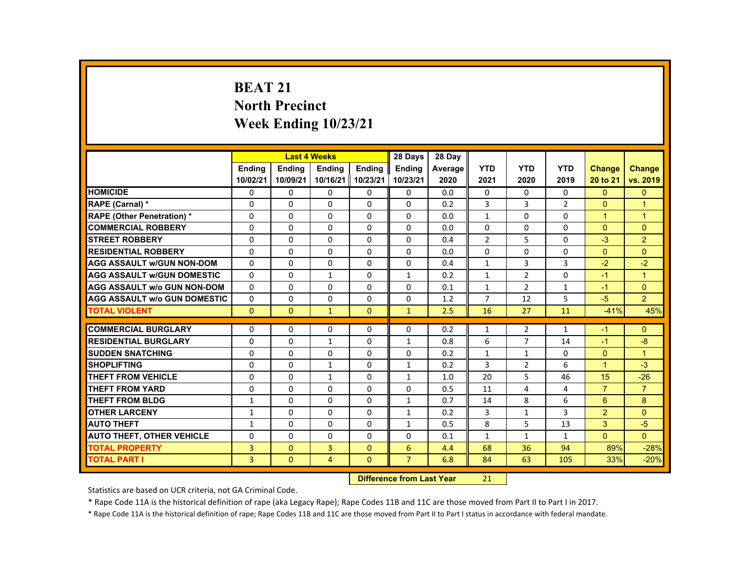# **BEAT 21 North Precinct Week Ending 10/23/21**

|                                     |               |               | <b>Last 4 Weeks</b> |               | 28 Days        | 28 Day  |                |                |                |                      |                      |
|-------------------------------------|---------------|---------------|---------------------|---------------|----------------|---------|----------------|----------------|----------------|----------------------|----------------------|
|                                     | <b>Endina</b> | <b>Endina</b> | <b>Endina</b>       | <b>Endina</b> | <b>Endina</b>  | Average | <b>YTD</b>     | <b>YTD</b>     | <b>YTD</b>     | <b>Change</b>        | Change               |
|                                     | 10/02/21      | 10/09/21      | 10/16/21 10/23/21   |               | 10/23/21       | 2020    | 2021           | 2020           | 2019           | 20 to 21             | vs. 2019             |
| <b>HOMICIDE</b>                     | 0             | 0             | 0                   | 0             | 0              | 0.0     | 0              | 0              | 0              | $\mathbf{0}$         | $\mathbf{0}$         |
| RAPE (Carnal) *                     | $\Omega$      | $\Omega$      | $\Omega$            | $\Omega$      | $\Omega$       | 0.2     | 3              | 3              | $\overline{2}$ | $\Omega$             | $\overline{1}$       |
| <b>RAPE (Other Penetration) *</b>   | $\Omega$      | $\Omega$      | $\Omega$            | $\Omega$      | $\Omega$       | 0.0     | $\mathbf{1}$   | $\Omega$       | $\Omega$       | $\blacktriangleleft$ | $\mathbf{1}$         |
| <b>COMMERCIAL ROBBERY</b>           | 0             | 0             | 0                   | 0             | 0              | 0.0     | 0              | 0              | 0              | $\Omega$             | $\mathbf{0}$         |
| <b>STREET ROBBERY</b>               | $\Omega$      | $\Omega$      | $\Omega$            | $\Omega$      | $\Omega$       | 0.4     | $\overline{2}$ | 5              | $\Omega$       | $-3$                 | $\overline{2}$       |
| <b>RESIDENTIAL ROBBERY</b>          | $\Omega$      | $\Omega$      | $\Omega$            | $\Omega$      | $\Omega$       | 0.0     | $\Omega$       | $\Omega$       | $\Omega$       | $\Omega$             | $\Omega$             |
| <b>AGG ASSAULT w/GUN NON-DOM</b>    | $\Omega$      | 0             | $\Omega$            | 0             | 0              | 0.4     | $\mathbf{1}$   | 3              | 3              | $-2$                 | $-2$                 |
| <b>AGG ASSAULT w/GUN DOMESTIC</b>   | $\Omega$      | $\Omega$      | $\mathbf{1}$        | $\Omega$      | $\mathbf{1}$   | 0.2     | $\mathbf{1}$   | 2              | $\Omega$       | $-1$                 | $\blacktriangleleft$ |
| <b>AGG ASSAULT w/o GUN NON-DOM</b>  | $\Omega$      | $\Omega$      | $\Omega$            | $\Omega$      | $\Omega$       | 0.1     | $\mathbf{1}$   | 2              | $\mathbf{1}$   | $-1$                 | $\Omega$             |
| <b>AGG ASSAULT W/o GUN DOMESTIC</b> | $\Omega$      | $\Omega$      | $\Omega$            | $\Omega$      | $\Omega$       | 1.2     | $\overline{7}$ | 12             | 5              | $-5$                 | $\overline{2}$       |
| <b>TOTAL VIOLENT</b>                | $\mathbf{0}$  | $\mathbf{0}$  | $\mathbf{1}$        | $\Omega$      | $\mathbf{1}$   | 2.5     | 16             | 27             | 11             | $-41%$               | 45%                  |
|                                     |               |               |                     |               |                |         |                |                |                |                      |                      |
| <b>COMMERCIAL BURGLARY</b>          | $\Omega$      | $\Omega$      | $\Omega$            | $\Omega$      | $\Omega$       | 0.2     | $\mathbf{1}$   | $\overline{2}$ | $\mathbf{1}$   | $-1$                 | $\Omega$             |
| <b>RESIDENTIAL BURGLARY</b>         | $\Omega$      | 0             | $\mathbf{1}$        | 0             | $\mathbf{1}$   | 0.8     | 6              | 7              | 14             | $-1$                 | -8                   |
| <b>SUDDEN SNATCHING</b>             | $\Omega$      | $\Omega$      | $\Omega$            | $\Omega$      | $\Omega$       | 0.2     | $\mathbf{1}$   | $\mathbf{1}$   | $\Omega$       | $\Omega$             | $\overline{1}$       |
| <b>SHOPLIFTING</b>                  | $\Omega$      | $\Omega$      | $\mathbf{1}$        | $\Omega$      | $\mathbf{1}$   | 0.2     | 3              | $\overline{2}$ | 6              | $\mathbf{1}$         | $-3$                 |
| <b>THEFT FROM VEHICLE</b>           | $\Omega$      | 0             | $\mathbf{1}$        | 0             | $\mathbf{1}$   | 1.0     | 20             | 5              | 46             | 15                   | $-26$                |
| <b>THEFT FROM YARD</b>              | $\Omega$      | $\Omega$      | $\Omega$            | $\Omega$      | $\Omega$       | 0.5     | 11             | 4              | 4              | $\overline{7}$       | $\overline{7}$       |
| <b>THEFT FROM BLDG</b>              | $\mathbf{1}$  | $\Omega$      | $\Omega$            | $\Omega$      | $\mathbf{1}$   | 0.7     | 14             | 8              | 6              | 6                    | 8                    |
| <b>OTHER LARCENY</b>                | $\mathbf{1}$  | 0             | $\Omega$            | $\Omega$      | $\mathbf{1}$   | 0.2     | 3              | $\mathbf{1}$   | 3              | $\overline{2}$       | $\Omega$             |
| <b>AUTO THEFT</b>                   | $\mathbf{1}$  | $\Omega$      | $\Omega$            | $\Omega$      | $\mathbf{1}$   | 0.5     | 8              | 5              | 13             | 3                    | $-5$                 |
| <b>AUTO THEFT, OTHER VEHICLE</b>    | $\Omega$      | $\Omega$      | $\Omega$            | $\Omega$      | $\Omega$       | 0.1     | $\mathbf{1}$   | $\mathbf{1}$   | $\mathbf{1}$   | $\Omega$             | $\Omega$             |
| <b>TOTAL PROPERTY</b>               | 3             | $\Omega$      | 3                   | $\mathbf{0}$  | 6              | 4.4     | 68             | 36             | 94             | 89%                  | $-28%$               |
| <b>TOTAL PART I</b>                 | 3             | $\mathbf{0}$  | $\overline{4}$      | $\mathbf{0}$  | $\overline{7}$ | 6.8     | 84             | 63             | 105            | 33%                  | $-20%$               |

#### **Difference from Last Year**r 21

Statistics are based on UCR criteria, not GA Criminal Code.

\* Rape Code 11A is the historical definition of rape (aka Legacy Rape); Rape Codes 11B and 11C are those moved from Part II to Part I in 2017.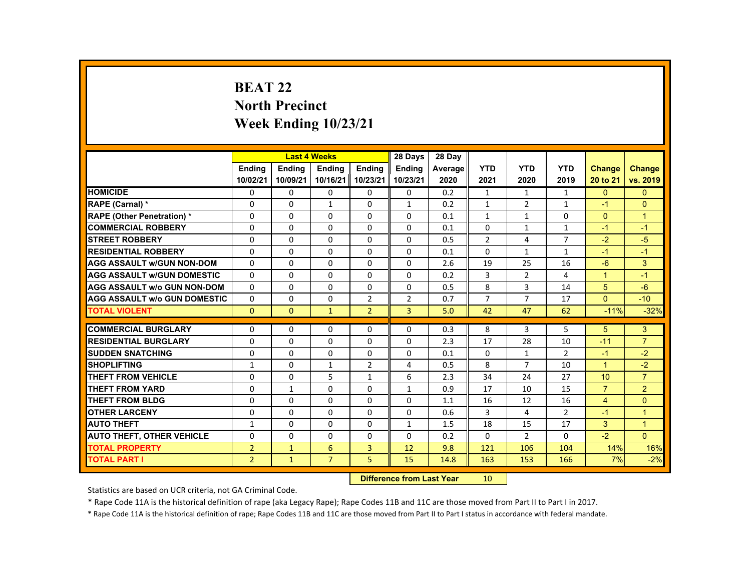# **BEAT 22 North Precinct Week Ending 10/23/21**

|                                     |                |               | <b>Last 4 Weeks</b> |                   | 28 Days        | 28 Day  |                |                |                |                      |                |
|-------------------------------------|----------------|---------------|---------------------|-------------------|----------------|---------|----------------|----------------|----------------|----------------------|----------------|
|                                     | <b>Endina</b>  | <b>Endina</b> | <b>Endina</b>       | <b>Endina</b>     | <b>Endina</b>  | Average | <b>YTD</b>     | <b>YTD</b>     | <b>YTD</b>     | Change               | <b>Change</b>  |
|                                     | 10/02/21       | 10/09/21      |                     | 10/16/21 10/23/21 | 10/23/21       | 2020    | 2021           | 2020           | 2019           | 20 to 21             | vs. 2019       |
| <b>HOMICIDE</b>                     | 0              | 0             | 0                   | 0                 | 0              | 0.2     | $\mathbf{1}$   | $\mathbf{1}$   | $\mathbf{1}$   | $\mathbf{0}$         | $\mathbf{0}$   |
| RAPE (Carnal) *                     | $\Omega$       | $\Omega$      | $\mathbf{1}$        | $\Omega$          | $\mathbf{1}$   | 0.2     | $\mathbf{1}$   | $\overline{2}$ | $\mathbf{1}$   | $-1$                 | $\Omega$       |
| <b>RAPE (Other Penetration) *</b>   | $\Omega$       | $\Omega$      | $\Omega$            | $\Omega$          | $\Omega$       | 0.1     | $\mathbf{1}$   | $\mathbf{1}$   | $\Omega$       | $\Omega$             | $\overline{1}$ |
| <b>COMMERCIAL ROBBERY</b>           | 0              | $\mathbf{0}$  | 0                   | 0                 | 0              | 0.1     | 0              | $\mathbf{1}$   | $\mathbf{1}$   | $-1$                 | $-1$           |
| <b>STREET ROBBERY</b>               | $\Omega$       | $\Omega$      | $\Omega$            | $\Omega$          | $\Omega$       | 0.5     | $\overline{2}$ | 4              | $\overline{7}$ | $-2$                 | $-5$           |
| <b>RESIDENTIAL ROBBERY</b>          | $\Omega$       | $\Omega$      | $\Omega$            | $\Omega$          | $\Omega$       | 0.1     | $\Omega$       | $\mathbf{1}$   | $\mathbf{1}$   | $-1$                 | $-1$           |
| <b>AGG ASSAULT w/GUN NON-DOM</b>    | $\Omega$       | $\Omega$      | $\Omega$            | $\Omega$          | $\Omega$       | 2.6     | 19             | 25             | 16             | $-6$                 | 3              |
| <b>AGG ASSAULT W/GUN DOMESTIC</b>   | $\Omega$       | $\Omega$      | $\Omega$            | $\Omega$          | $\Omega$       | 0.2     | 3              | 2              | 4              | $\blacktriangleleft$ | $-1$           |
| <b>AGG ASSAULT W/o GUN NON-DOM</b>  | $\Omega$       | $\Omega$      | $\Omega$            | $\Omega$          | $\Omega$       | 0.5     | 8              | 3              | 14             | 5                    | $-6$           |
| <b>AGG ASSAULT W/o GUN DOMESTIC</b> | $\Omega$       | $\Omega$      | $\Omega$            | $\overline{2}$    | $\overline{2}$ | 0.7     | $\overline{7}$ | $\overline{7}$ | 17             | $\Omega$             | $-10$          |
| <b>TOTAL VIOLENT</b>                | $\Omega$       | $\Omega$      | $\mathbf{1}$        | $\overline{2}$    | $\overline{3}$ | 5.0     | 42             | 47             | 62             | $-11%$               | $-32%$         |
|                                     |                |               |                     |                   |                |         |                |                |                |                      |                |
| <b>COMMERCIAL BURGLARY</b>          | $\Omega$       | $\Omega$      | $\Omega$            | $\Omega$          | $\Omega$       | 0.3     | 8              | 3              | 5              | 5                    | 3              |
| <b>RESIDENTIAL BURGLARY</b>         | $\Omega$       | $\Omega$      | $\Omega$            | $\Omega$          | $\Omega$       | 2.3     | 17             | 28             | 10             | $-11$                | $\overline{7}$ |
| <b>SUDDEN SNATCHING</b>             | 0              | $\mathbf{0}$  | $\Omega$            | $\Omega$          | $\Omega$       | 0.1     | $\Omega$       | $\mathbf{1}$   | $\overline{2}$ | $-1$                 | $-2$           |
| <b>SHOPLIFTING</b>                  | $\mathbf{1}$   | $\Omega$      | $\mathbf{1}$        | $\overline{2}$    | 4              | 0.5     | 8              | $\overline{7}$ | 10             | $\blacktriangleleft$ | $-2$           |
| THEFT FROM VEHICLE                  | $\Omega$       | $\mathbf{0}$  | 5                   | $\mathbf{1}$      | 6              | 2.3     | 34             | 24             | 27             | 10                   | $\overline{7}$ |
| <b>THEFT FROM YARD</b>              | $\Omega$       | $\mathbf{1}$  | $\Omega$            | $\Omega$          | $\mathbf{1}$   | 0.9     | 17             | 10             | 15             | $\overline{7}$       | $\overline{2}$ |
| THEFT FROM BLDG                     | $\Omega$       | $\Omega$      | $\Omega$            | $\Omega$          | $\Omega$       | 1.1     | 16             | 12             | 16             | $\overline{4}$       | $\Omega$       |
| <b>OTHER LARCENY</b>                | $\mathbf{0}$   | $\mathbf{0}$  | 0                   | 0                 | 0              | 0.6     | 3              | 4              | $\overline{2}$ | $-1$                 | $\overline{1}$ |
| <b>AUTO THEFT</b>                   | $\mathbf{1}$   | $\Omega$      | $\Omega$            | $\Omega$          | $\mathbf{1}$   | 1.5     | 18             | 15             | 17             | 3                    | $\overline{1}$ |
| <b>AUTO THEFT, OTHER VEHICLE</b>    | $\Omega$       | $\Omega$      | $\Omega$            | $\Omega$          | $\Omega$       | 0.2     | $\Omega$       | $\overline{2}$ | $\Omega$       | $-2$                 | $\Omega$       |
| <b>TOTAL PROPERTY</b>               | $\overline{2}$ | $\mathbf{1}$  | 6                   | $\overline{3}$    | 12             | 9.8     | 121            | 106            | 104            | 14%                  | 16%            |
| <b>TOTAL PART I</b>                 | $\overline{2}$ | $\mathbf{1}$  | $\overline{7}$      | 5                 | 15             | 14.8    | 163            | 153            | 166            | 7%                   | $-2%$          |
|                                     |                |               |                     |                   |                |         |                |                |                |                      |                |

#### **Difference from Last Year**r 10

Statistics are based on UCR criteria, not GA Criminal Code.

\* Rape Code 11A is the historical definition of rape (aka Legacy Rape); Rape Codes 11B and 11C are those moved from Part II to Part I in 2017.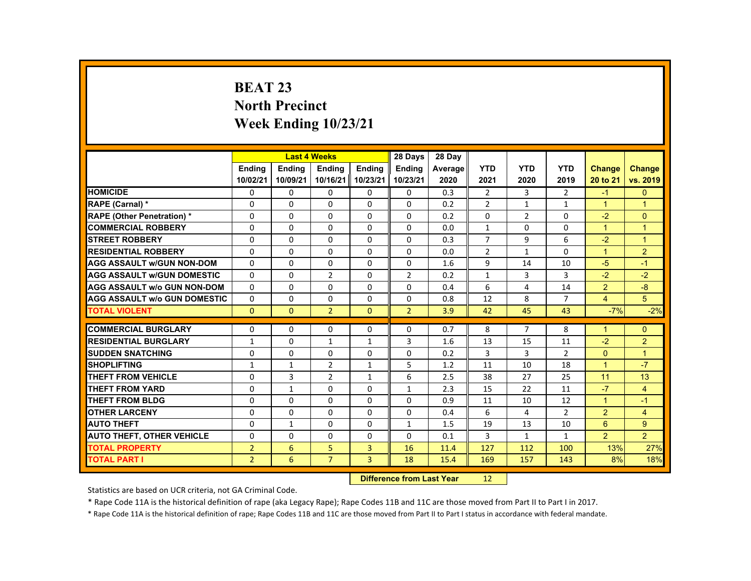# **BEAT 23 North Precinct Week Ending 10/23/21**

|                                     |                |               | <b>Last 4 Weeks</b> |                   | 28 Days        | 28 Day  |                |                |                |                |                |
|-------------------------------------|----------------|---------------|---------------------|-------------------|----------------|---------|----------------|----------------|----------------|----------------|----------------|
|                                     | <b>Ending</b>  | <b>Ending</b> | <b>Ending</b>       | <b>Endina</b>     | <b>Endina</b>  | Average | <b>YTD</b>     | <b>YTD</b>     | <b>YTD</b>     | Change         | Change         |
|                                     | 10/02/21       | 10/09/21      |                     | 10/16/21 10/23/21 | 10/23/21       | 2020    | 2021           | 2020           | 2019           | 20 to 21       | vs. 2019       |
| <b>HOMICIDE</b>                     | 0              | $\mathbf{0}$  | 0                   | 0                 | 0              | 0.3     | $\overline{2}$ | 3              | 2              | $-1$           | $\mathbf{0}$   |
| RAPE (Carnal) *                     | 0              | $\Omega$      | $\Omega$            | $\Omega$          | $\Omega$       | 0.2     | $\overline{2}$ | $\mathbf{1}$   | $\mathbf{1}$   | $\mathbf{1}$   | $\overline{1}$ |
| <b>RAPE (Other Penetration) *</b>   | $\Omega$       | $\Omega$      | $\Omega$            | $\Omega$          | $\Omega$       | 0.2     | $\Omega$       | 2              | $\Omega$       | $-2$           | $\mathbf{0}$   |
| <b>COMMERCIAL ROBBERY</b>           | 0              | $\mathbf{0}$  | 0                   | 0                 | 0              | 0.0     | $\mathbf{1}$   | 0              | 0              | $\mathbf{1}$   | $\overline{1}$ |
| <b>STREET ROBBERY</b>               | $\Omega$       | $\Omega$      | $\Omega$            | $\Omega$          | $\Omega$       | 0.3     | $\overline{7}$ | 9              | 6              | $-2$           | $\overline{1}$ |
| <b>RESIDENTIAL ROBBERY</b>          | $\Omega$       | $\Omega$      | $\Omega$            | $\Omega$          | $\Omega$       | 0.0     | $\overline{2}$ | $\mathbf{1}$   | $\Omega$       | $\mathbf{1}$   | $\overline{2}$ |
| <b>AGG ASSAULT WGUN NON-DOM</b>     | $\mathbf{0}$   | $\mathbf{0}$  | 0                   | 0                 | 0              | 1.6     | 9              | 14             | 10             | $-5$           | $-1$           |
| <b>AGG ASSAULT W/GUN DOMESTIC</b>   | $\Omega$       | $\Omega$      | $\overline{2}$      | $\Omega$          | $\overline{2}$ | 0.2     | $\mathbf{1}$   | 3              | 3              | $-2$           | $-2$           |
| <b>AGG ASSAULT W/o GUN NON-DOM</b>  | $\Omega$       | $\Omega$      | $\Omega$            | $\Omega$          | $\Omega$       | 0.4     | 6              | 4              | 14             | $\overline{2}$ | $-8$           |
| <b>AGG ASSAULT W/o GUN DOMESTIC</b> | $\Omega$       | $\Omega$      | $\Omega$            | $\Omega$          | $\Omega$       | 0.8     | 12             | 8              | $\overline{7}$ | $\overline{4}$ | 5              |
| <b>TOTAL VIOLENT</b>                | $\mathbf{0}$   | $\mathbf{0}$  | $\overline{2}$      | $\mathbf{0}$      | $\overline{2}$ | 3.9     | 42             | 45             | 43             | $-7%$          | $-2%$          |
|                                     |                |               |                     |                   |                |         |                |                |                |                |                |
| <b>COMMERCIAL BURGLARY</b>          | $\mathbf{0}$   | $\mathbf{0}$  | 0                   | 0                 | 0              | 0.7     | 8              | $\overline{7}$ | 8              | $\mathbf{1}$   | $\mathbf{0}$   |
| <b>RESIDENTIAL BURGLARY</b>         | $\mathbf{1}$   | $\mathbf{0}$  | 1                   | $\mathbf{1}$      | 3              | 1.6     | 13             | 15             | 11             | $-2$           | $\overline{2}$ |
| <b>SUDDEN SNATCHING</b>             | $\Omega$       | $\Omega$      | $\Omega$            | $\Omega$          | $\Omega$       | 0.2     | 3              | 3              | $\overline{2}$ | $\Omega$       | $\overline{1}$ |
| <b>SHOPLIFTING</b>                  | $\mathbf{1}$   | $\mathbf{1}$  | $\overline{2}$      | $\mathbf{1}$      | 5              | 1.2     | 11             | 10             | 18             | $\mathbf{1}$   | $-7$           |
| <b>THEFT FROM VEHICLE</b>           | $\Omega$       | 3             | $\overline{2}$      | $\mathbf{1}$      | 6              | 2.5     | 38             | 27             | 25             | 11             | 13             |
| <b>THEFT FROM YARD</b>              | 0              | $\mathbf{1}$  | $\Omega$            | $\Omega$          | $\mathbf{1}$   | 2.3     | 15             | 22             | 11             | $-7$           | $\overline{4}$ |
| THEFT FROM BLDG                     | $\Omega$       | $\Omega$      | $\Omega$            | $\Omega$          | $\Omega$       | 0.9     | 11             | 10             | 12             | $\mathbf{1}$   | $-1$           |
| <b>OTHER LARCENY</b>                | $\Omega$       | $\Omega$      | $\Omega$            | $\Omega$          | $\Omega$       | 0.4     | 6              | 4              | $\overline{2}$ | $\overline{2}$ | 4              |
| <b>AUTO THEFT</b>                   | $\Omega$       | $\mathbf{1}$  | $\Omega$            | $\Omega$          | $\mathbf{1}$   | 1.5     | 19             | 13             | 10             | 6              | 9              |
| <b>AUTO THEFT, OTHER VEHICLE</b>    | $\Omega$       | $\Omega$      | $\Omega$            | $\Omega$          | $\Omega$       | 0.1     | 3              | $\mathbf{1}$   | $\mathbf{1}$   | $\overline{2}$ | $\overline{2}$ |
| <b>TOTAL PROPERTY</b>               | $\overline{2}$ | 6             | 5                   | $\overline{3}$    | 16             | 11.4    | 127            | 112            | 100            | 13%            | 27%            |
| <b>TOTAL PART I</b>                 | $\overline{2}$ | 6             | $\overline{7}$      | $\overline{3}$    | 18             | 15.4    | 169            | 157            | 143            | 8%             | 18%            |
|                                     |                |               |                     |                   |                |         |                |                |                |                |                |

#### **Difference from Last Year**r 12

Statistics are based on UCR criteria, not GA Criminal Code.

\* Rape Code 11A is the historical definition of rape (aka Legacy Rape); Rape Codes 11B and 11C are those moved from Part II to Part I in 2017.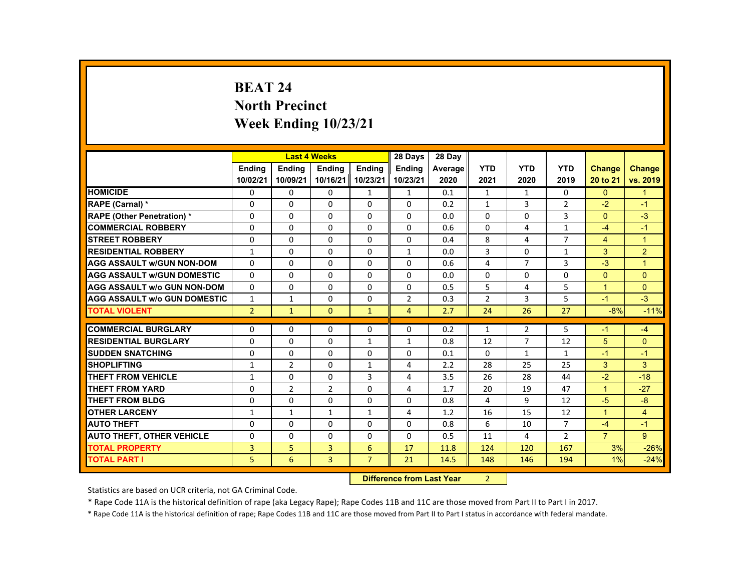# **BEAT 24 North Precinct Week Ending 10/23/21**

|                                     |                |                | <b>Last 4 Weeks</b> |                   | 28 Days        | 28 Day  |                |                |                |                      |                |
|-------------------------------------|----------------|----------------|---------------------|-------------------|----------------|---------|----------------|----------------|----------------|----------------------|----------------|
|                                     | <b>Endina</b>  | <b>Endina</b>  | <b>Endina</b>       | <b>Endina</b>     | <b>Endina</b>  | Average | <b>YTD</b>     | <b>YTD</b>     | <b>YTD</b>     | <b>Change</b>        | <b>Change</b>  |
|                                     | 10/02/21       | 10/09/21       |                     | 10/16/21 10/23/21 | 10/23/21       | 2020    | 2021           | 2020           | 2019           | 20 to 21             | vs. 2019       |
| <b>HOMICIDE</b>                     | 0              | 0              | 0                   | 1                 | $\mathbf{1}$   | 0.1     | $\mathbf{1}$   | $\mathbf{1}$   | 0              | $\mathbf{0}$         | $\mathbf{1}$   |
| RAPE (Carnal) *                     | $\Omega$       | $\Omega$       | $\Omega$            | $\Omega$          | $\Omega$       | 0.2     | $\mathbf{1}$   | 3              | $\overline{2}$ | $-2$                 | $-1$           |
| <b>RAPE (Other Penetration) *</b>   | $\Omega$       | $\Omega$       | $\Omega$            | $\Omega$          | $\Omega$       | 0.0     | $\Omega$       | $\Omega$       | $\overline{3}$ | $\Omega$             | $-3$           |
| <b>COMMERCIAL ROBBERY</b>           | 0              | $\mathbf{0}$   | 0                   | 0                 | 0              | 0.6     | 0              | 4              | $\mathbf{1}$   | $-4$                 | $-1$           |
| <b>STREET ROBBERY</b>               | $\Omega$       | $\Omega$       | $\Omega$            | $\Omega$          | $\Omega$       | 0.4     | 8              | 4              | $\overline{7}$ | 4                    | $\overline{1}$ |
| <b>RESIDENTIAL ROBBERY</b>          | $\mathbf{1}$   | $\Omega$       | $\Omega$            | $\Omega$          | $\mathbf{1}$   | 0.0     | 3              | $\Omega$       | $\mathbf{1}$   | 3                    | $\overline{2}$ |
| <b>AGG ASSAULT w/GUN NON-DOM</b>    | $\Omega$       | $\Omega$       | $\Omega$            | $\Omega$          | $\Omega$       | 0.6     | 4              | $\overline{7}$ | 3              | $-3$                 | $\overline{1}$ |
| <b>AGG ASSAULT WGUN DOMESTIC</b>    | $\Omega$       | $\Omega$       | $\Omega$            | $\Omega$          | $\Omega$       | 0.0     | $\Omega$       | $\Omega$       | $\Omega$       | $\Omega$             | $\Omega$       |
| <b>AGG ASSAULT W/o GUN NON-DOM</b>  | $\Omega$       | $\Omega$       | $\Omega$            | $\Omega$          | $\Omega$       | 0.5     | 5              | 4              | 5              | $\mathbf{1}$         | $\mathbf{0}$   |
| <b>AGG ASSAULT W/o GUN DOMESTIC</b> | $\mathbf{1}$   | $\mathbf{1}$   | $\Omega$            | $\Omega$          | $\overline{2}$ | 0.3     | $\overline{2}$ | 3              | 5              | $-1$                 | $-3$           |
| <b>TOTAL VIOLENT</b>                | $\overline{2}$ | $\mathbf{1}$   | $\Omega$            | $\mathbf{1}$      | $\overline{4}$ | 2.7     | 24             | 26             | 27             | $-8%$                | $-11%$         |
|                                     |                |                |                     |                   |                |         |                |                |                |                      |                |
| <b>COMMERCIAL BURGLARY</b>          | $\Omega$       | $\Omega$       | $\Omega$            | $\Omega$          | $\Omega$       | 0.2     | $\mathbf{1}$   | 2              | 5              | $-1$                 | $-4$           |
| <b>RESIDENTIAL BURGLARY</b>         | 0              | $\mathbf{0}$   | 0                   | $\mathbf{1}$      | $\mathbf{1}$   | 0.8     | 12             | $\overline{7}$ | 12             | 5                    | $\Omega$       |
| <b>SUDDEN SNATCHING</b>             | $\Omega$       | $\Omega$       | $\Omega$            | $\Omega$          | $\Omega$       | 0.1     | $\Omega$       | $\mathbf{1}$   | $\mathbf{1}$   | $-1$                 | $-1$           |
| <b>SHOPLIFTING</b>                  | $\mathbf{1}$   | $\overline{2}$ | $\Omega$            | $\mathbf{1}$      | 4              | 2.2     | 28             | 25             | 25             | 3                    | 3              |
| <b>THEFT FROM VEHICLE</b>           | $\mathbf{1}$   | $\mathbf{0}$   | 0                   | 3                 | 4              | 3.5     | 26             | 28             | 44             | $-2$                 | $-18$          |
| <b>THEFT FROM YARD</b>              | $\Omega$       | $\overline{2}$ | $\overline{2}$      | $\Omega$          | 4              | 1.7     | 20             | 19             | 47             | $\blacktriangleleft$ | $-27$          |
| THEFT FROM BLDG                     | $\Omega$       | $\Omega$       | $\Omega$            | $\Omega$          | $\Omega$       | 0.8     | 4              | 9              | 12             | $-5$                 | $-8$           |
| <b>OTHER LARCENY</b>                | $\mathbf{1}$   | $\mathbf{1}$   | $\mathbf{1}$        | $\mathbf{1}$      | 4              | 1.2     | 16             | 15             | 12             | $\mathbf{1}$         | 4              |
| <b>AUTO THEFT</b>                   | $\Omega$       | $\Omega$       | $\Omega$            | $\Omega$          | $\Omega$       | 0.8     | 6              | 10             | 7              | $-4$                 | $-1$           |
| <b>AUTO THEFT, OTHER VEHICLE</b>    | $\Omega$       | $\mathbf{0}$   | $\Omega$            | $\Omega$          | $\Omega$       | 0.5     | 11             | 4              | $\overline{2}$ | $\overline{7}$       | 9              |
| <b>TOTAL PROPERTY</b>               | 3              | 5              | 3                   | 6                 | 17             | 11.8    | 124            | 120            | 167            | 3%                   | $-26%$         |
| <b>TOTAL PART I</b>                 | 5              | 6              | 3                   | $\overline{7}$    | 21             | 14.5    | 148            | 146            | 194            | 1%                   | $-24%$         |

#### **Difference from Last Year**r 2

Statistics are based on UCR criteria, not GA Criminal Code.

\* Rape Code 11A is the historical definition of rape (aka Legacy Rape); Rape Codes 11B and 11C are those moved from Part II to Part I in 2017.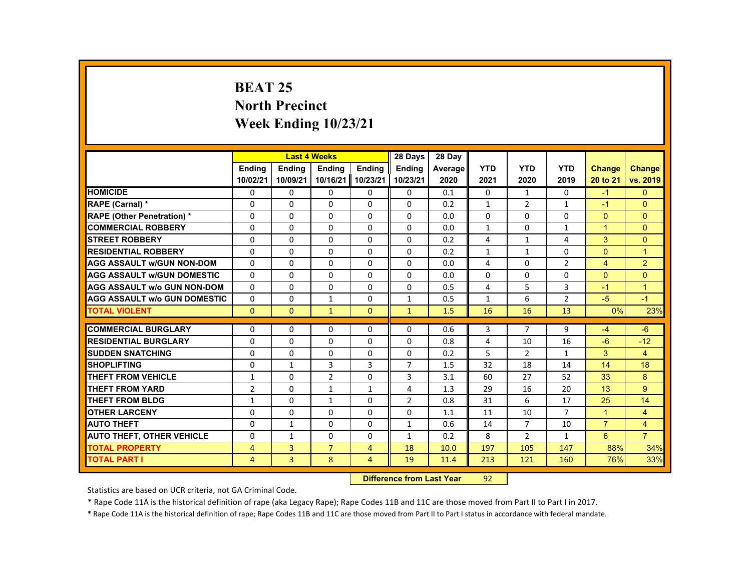# **BEAT 25 North Precinct Week Ending 10/23/21**

| <b>YTD</b><br><b>YTD</b><br><b>YTD</b><br><b>Endina</b><br><b>Endina</b><br><b>Endina</b><br><b>Endina</b><br><b>Endina</b><br><b>Change</b><br><b>Change</b><br>Average<br>10/02/21<br>10/09/21<br>10/16/21<br>10/23/21<br>10/23/21<br>vs. 2019<br>2020<br>2021<br>2020<br>2019<br>20 to 21<br><b>HOMICIDE</b><br>0<br>0<br>0<br>$\Omega$<br>0<br>0<br>0<br>0.1<br>0<br>$-1$<br>$\mathbf{1}$<br>$\Omega$<br>$\Omega$<br>$\Omega$<br>2<br>$\Omega$<br>$\Omega$<br>$\Omega$<br>0.2<br>$\mathbf{1}$<br>$\mathbf{1}$<br>$-1$<br>RAPE (Carnal) *<br><b>RAPE (Other Penetration) *</b><br>$\Omega$<br>$\Omega$<br>$\Omega$<br>$\Omega$<br>$\Omega$<br>0.0<br>$\Omega$<br>$\Omega$<br>$\Omega$<br>$\Omega$<br>$\Omega$<br><b>COMMERCIAL ROBBERY</b><br>0<br>0<br>0<br>0<br>0<br>$\mathbf{1}$<br>0<br>$\mathbf{1}$<br>$\mathbf{1}$<br>$\mathbf{0}$<br>0.0<br>3<br>$\Omega$<br><b>STREET ROBBERY</b><br>$\Omega$<br>$\Omega$<br>$\Omega$<br>$\Omega$<br>$\Omega$<br>0.2<br>4<br>4<br>1<br><b>RESIDENTIAL ROBBERY</b><br>$\Omega$<br>$\Omega$<br>$\Omega$<br>$\Omega$<br>$\Omega$<br>$\Omega$<br>$\Omega$<br>$\overline{1}$<br>0.2<br>$\mathbf{1}$<br>$\mathbf{1}$<br>2<br><b>AGG ASSAULT w/GUN NON-DOM</b><br>$\overline{2}$<br>$\Omega$<br>$\Omega$<br>$\Omega$<br>$\Omega$<br>$\Omega$<br>4<br>$\Omega$<br>$\overline{4}$<br>0.0<br>$\Omega$<br>$\Omega$<br>$\Omega$<br>$\Omega$<br>$\Omega$<br>$\Omega$<br>$\Omega$<br>$\Omega$<br>$\Omega$<br>$\Omega$<br><b>AGG ASSAULT w/GUN DOMESTIC</b><br>0.0<br>5<br>$\Omega$<br>$\Omega$<br>$\Omega$<br>$\Omega$<br>$\Omega$<br>3<br>$\overline{1}$<br>4<br><b>AGG ASSAULT w/o GUN NON-DOM</b><br>0.5<br>$-1$<br>6<br>$\overline{2}$<br>$-5$<br><b>AGG ASSAULT w/o GUN DOMESTIC</b><br>$\Omega$<br>$\Omega$<br>$\Omega$<br>$-1$<br>$\mathbf{1}$<br>$\mathbf{1}$<br>0.5<br>$\mathbf{1}$<br>13<br>$\Omega$<br>$\Omega$<br>$\mathbf{1}$<br>$\Omega$<br>$\mathbf{1}$<br>1.5<br>16<br>16<br>0%<br><b>TOTAL VIOLENT</b><br><b>COMMERCIAL BURGLARY</b><br>$\Omega$<br>$\Omega$<br>$\Omega$<br>$\Omega$<br>3<br>$\overline{7}$<br>9<br>$-6$<br>$\Omega$<br>0.6<br>-4<br><b>RESIDENTIAL BURGLARY</b><br>$\Omega$<br>$\Omega$<br>$\Omega$<br>$\Omega$<br>$\Omega$<br>16<br>$-6$<br>$-12$<br>0.8<br>4<br>10<br>5<br>3<br><b>SUDDEN SNATCHING</b><br>$\Omega$<br>$\Omega$<br>$\overline{2}$<br>$\overline{4}$<br>$\Omega$<br>0<br>$\Omega$<br>0.2<br>$\mathbf{1}$<br>3<br>3<br>$\overline{7}$<br><b>SHOPLIFTING</b><br>1.5<br>32<br>18<br>14<br>18<br>$\Omega$<br>$\mathbf{1}$<br>14<br>$\overline{2}$<br>3<br>8<br>THEFT FROM VEHICLE<br>$\Omega$<br>$\Omega$<br>27<br>33<br>$\mathbf{1}$<br>3.1<br>60<br>52<br>9<br><b>THEFT FROM YARD</b><br>$\overline{2}$<br>$\Omega$<br>$\mathbf{1}$<br>$\mathbf{1}$<br>4<br>29<br>20<br>13<br>1.3<br>16<br>$\overline{2}$<br>6<br>14<br><b>THEFT FROM BLDG</b><br>$\Omega$<br>$\Omega$<br>31<br>17<br>25<br>$\mathbf{1}$<br>$\mathbf{1}$<br>0.8<br><b>OTHER LARCENY</b><br>0<br>0<br>0<br>0<br>0<br>$\overline{7}$<br>$\overline{4}$<br>1.1<br>11<br>10<br>$\mathbf{1}$<br>$\overline{7}$<br><b>AUTO THEFT</b><br>$\Omega$<br>$\Omega$<br>$\Omega$<br>$\mathbf{1}$<br>0.6<br>14<br>$\overline{7}$<br>10<br>$\overline{4}$<br>$\mathbf{1}$<br>$\overline{7}$<br>6<br><b>AUTO THEFT, OTHER VEHICLE</b><br>$\Omega$<br>$\Omega$<br>$\Omega$<br>0.2<br>8<br>$\overline{2}$<br>$\mathbf{1}$<br>$\mathbf{1}$<br>$\mathbf{1}$<br><b>TOTAL PROPERTY</b><br>$\overline{3}$<br>$\overline{7}$<br>88%<br>4<br>$\overline{4}$<br>18<br>10.0<br>197<br>105<br>147 |  | <b>Last 4 Weeks</b> | 28 Days | 28 Day |  |  |     |
|--------------------------------------------------------------------------------------------------------------------------------------------------------------------------------------------------------------------------------------------------------------------------------------------------------------------------------------------------------------------------------------------------------------------------------------------------------------------------------------------------------------------------------------------------------------------------------------------------------------------------------------------------------------------------------------------------------------------------------------------------------------------------------------------------------------------------------------------------------------------------------------------------------------------------------------------------------------------------------------------------------------------------------------------------------------------------------------------------------------------------------------------------------------------------------------------------------------------------------------------------------------------------------------------------------------------------------------------------------------------------------------------------------------------------------------------------------------------------------------------------------------------------------------------------------------------------------------------------------------------------------------------------------------------------------------------------------------------------------------------------------------------------------------------------------------------------------------------------------------------------------------------------------------------------------------------------------------------------------------------------------------------------------------------------------------------------------------------------------------------------------------------------------------------------------------------------------------------------------------------------------------------------------------------------------------------------------------------------------------------------------------------------------------------------------------------------------------------------------------------------------------------------------------------------------------------------------------------------------------------------------------------------------------------------------------------------------------------------------------------------------------------------------------------------------------------------------------------------------------------------------------------------------------------------------------------------------------------------------------------------------------------------------------------------------------------------------------------------------------------------------------------------------------------------------------------------------------------------------------------------------------------------------------------------------------------------------------------------------------------------------------------------------------------------------------------------------------------------------------------------------------------|--|---------------------|---------|--------|--|--|-----|
|                                                                                                                                                                                                                                                                                                                                                                                                                                                                                                                                                                                                                                                                                                                                                                                                                                                                                                                                                                                                                                                                                                                                                                                                                                                                                                                                                                                                                                                                                                                                                                                                                                                                                                                                                                                                                                                                                                                                                                                                                                                                                                                                                                                                                                                                                                                                                                                                                                                                                                                                                                                                                                                                                                                                                                                                                                                                                                                                                                                                                                                                                                                                                                                                                                                                                                                                                                                                                                                                                                                    |  |                     |         |        |  |  |     |
|                                                                                                                                                                                                                                                                                                                                                                                                                                                                                                                                                                                                                                                                                                                                                                                                                                                                                                                                                                                                                                                                                                                                                                                                                                                                                                                                                                                                                                                                                                                                                                                                                                                                                                                                                                                                                                                                                                                                                                                                                                                                                                                                                                                                                                                                                                                                                                                                                                                                                                                                                                                                                                                                                                                                                                                                                                                                                                                                                                                                                                                                                                                                                                                                                                                                                                                                                                                                                                                                                                                    |  |                     |         |        |  |  |     |
|                                                                                                                                                                                                                                                                                                                                                                                                                                                                                                                                                                                                                                                                                                                                                                                                                                                                                                                                                                                                                                                                                                                                                                                                                                                                                                                                                                                                                                                                                                                                                                                                                                                                                                                                                                                                                                                                                                                                                                                                                                                                                                                                                                                                                                                                                                                                                                                                                                                                                                                                                                                                                                                                                                                                                                                                                                                                                                                                                                                                                                                                                                                                                                                                                                                                                                                                                                                                                                                                                                                    |  |                     |         |        |  |  |     |
|                                                                                                                                                                                                                                                                                                                                                                                                                                                                                                                                                                                                                                                                                                                                                                                                                                                                                                                                                                                                                                                                                                                                                                                                                                                                                                                                                                                                                                                                                                                                                                                                                                                                                                                                                                                                                                                                                                                                                                                                                                                                                                                                                                                                                                                                                                                                                                                                                                                                                                                                                                                                                                                                                                                                                                                                                                                                                                                                                                                                                                                                                                                                                                                                                                                                                                                                                                                                                                                                                                                    |  |                     |         |        |  |  |     |
|                                                                                                                                                                                                                                                                                                                                                                                                                                                                                                                                                                                                                                                                                                                                                                                                                                                                                                                                                                                                                                                                                                                                                                                                                                                                                                                                                                                                                                                                                                                                                                                                                                                                                                                                                                                                                                                                                                                                                                                                                                                                                                                                                                                                                                                                                                                                                                                                                                                                                                                                                                                                                                                                                                                                                                                                                                                                                                                                                                                                                                                                                                                                                                                                                                                                                                                                                                                                                                                                                                                    |  |                     |         |        |  |  |     |
|                                                                                                                                                                                                                                                                                                                                                                                                                                                                                                                                                                                                                                                                                                                                                                                                                                                                                                                                                                                                                                                                                                                                                                                                                                                                                                                                                                                                                                                                                                                                                                                                                                                                                                                                                                                                                                                                                                                                                                                                                                                                                                                                                                                                                                                                                                                                                                                                                                                                                                                                                                                                                                                                                                                                                                                                                                                                                                                                                                                                                                                                                                                                                                                                                                                                                                                                                                                                                                                                                                                    |  |                     |         |        |  |  |     |
|                                                                                                                                                                                                                                                                                                                                                                                                                                                                                                                                                                                                                                                                                                                                                                                                                                                                                                                                                                                                                                                                                                                                                                                                                                                                                                                                                                                                                                                                                                                                                                                                                                                                                                                                                                                                                                                                                                                                                                                                                                                                                                                                                                                                                                                                                                                                                                                                                                                                                                                                                                                                                                                                                                                                                                                                                                                                                                                                                                                                                                                                                                                                                                                                                                                                                                                                                                                                                                                                                                                    |  |                     |         |        |  |  |     |
|                                                                                                                                                                                                                                                                                                                                                                                                                                                                                                                                                                                                                                                                                                                                                                                                                                                                                                                                                                                                                                                                                                                                                                                                                                                                                                                                                                                                                                                                                                                                                                                                                                                                                                                                                                                                                                                                                                                                                                                                                                                                                                                                                                                                                                                                                                                                                                                                                                                                                                                                                                                                                                                                                                                                                                                                                                                                                                                                                                                                                                                                                                                                                                                                                                                                                                                                                                                                                                                                                                                    |  |                     |         |        |  |  |     |
|                                                                                                                                                                                                                                                                                                                                                                                                                                                                                                                                                                                                                                                                                                                                                                                                                                                                                                                                                                                                                                                                                                                                                                                                                                                                                                                                                                                                                                                                                                                                                                                                                                                                                                                                                                                                                                                                                                                                                                                                                                                                                                                                                                                                                                                                                                                                                                                                                                                                                                                                                                                                                                                                                                                                                                                                                                                                                                                                                                                                                                                                                                                                                                                                                                                                                                                                                                                                                                                                                                                    |  |                     |         |        |  |  |     |
|                                                                                                                                                                                                                                                                                                                                                                                                                                                                                                                                                                                                                                                                                                                                                                                                                                                                                                                                                                                                                                                                                                                                                                                                                                                                                                                                                                                                                                                                                                                                                                                                                                                                                                                                                                                                                                                                                                                                                                                                                                                                                                                                                                                                                                                                                                                                                                                                                                                                                                                                                                                                                                                                                                                                                                                                                                                                                                                                                                                                                                                                                                                                                                                                                                                                                                                                                                                                                                                                                                                    |  |                     |         |        |  |  |     |
|                                                                                                                                                                                                                                                                                                                                                                                                                                                                                                                                                                                                                                                                                                                                                                                                                                                                                                                                                                                                                                                                                                                                                                                                                                                                                                                                                                                                                                                                                                                                                                                                                                                                                                                                                                                                                                                                                                                                                                                                                                                                                                                                                                                                                                                                                                                                                                                                                                                                                                                                                                                                                                                                                                                                                                                                                                                                                                                                                                                                                                                                                                                                                                                                                                                                                                                                                                                                                                                                                                                    |  |                     |         |        |  |  |     |
|                                                                                                                                                                                                                                                                                                                                                                                                                                                                                                                                                                                                                                                                                                                                                                                                                                                                                                                                                                                                                                                                                                                                                                                                                                                                                                                                                                                                                                                                                                                                                                                                                                                                                                                                                                                                                                                                                                                                                                                                                                                                                                                                                                                                                                                                                                                                                                                                                                                                                                                                                                                                                                                                                                                                                                                                                                                                                                                                                                                                                                                                                                                                                                                                                                                                                                                                                                                                                                                                                                                    |  |                     |         |        |  |  |     |
|                                                                                                                                                                                                                                                                                                                                                                                                                                                                                                                                                                                                                                                                                                                                                                                                                                                                                                                                                                                                                                                                                                                                                                                                                                                                                                                                                                                                                                                                                                                                                                                                                                                                                                                                                                                                                                                                                                                                                                                                                                                                                                                                                                                                                                                                                                                                                                                                                                                                                                                                                                                                                                                                                                                                                                                                                                                                                                                                                                                                                                                                                                                                                                                                                                                                                                                                                                                                                                                                                                                    |  |                     |         |        |  |  | 23% |
|                                                                                                                                                                                                                                                                                                                                                                                                                                                                                                                                                                                                                                                                                                                                                                                                                                                                                                                                                                                                                                                                                                                                                                                                                                                                                                                                                                                                                                                                                                                                                                                                                                                                                                                                                                                                                                                                                                                                                                                                                                                                                                                                                                                                                                                                                                                                                                                                                                                                                                                                                                                                                                                                                                                                                                                                                                                                                                                                                                                                                                                                                                                                                                                                                                                                                                                                                                                                                                                                                                                    |  |                     |         |        |  |  |     |
|                                                                                                                                                                                                                                                                                                                                                                                                                                                                                                                                                                                                                                                                                                                                                                                                                                                                                                                                                                                                                                                                                                                                                                                                                                                                                                                                                                                                                                                                                                                                                                                                                                                                                                                                                                                                                                                                                                                                                                                                                                                                                                                                                                                                                                                                                                                                                                                                                                                                                                                                                                                                                                                                                                                                                                                                                                                                                                                                                                                                                                                                                                                                                                                                                                                                                                                                                                                                                                                                                                                    |  |                     |         |        |  |  |     |
|                                                                                                                                                                                                                                                                                                                                                                                                                                                                                                                                                                                                                                                                                                                                                                                                                                                                                                                                                                                                                                                                                                                                                                                                                                                                                                                                                                                                                                                                                                                                                                                                                                                                                                                                                                                                                                                                                                                                                                                                                                                                                                                                                                                                                                                                                                                                                                                                                                                                                                                                                                                                                                                                                                                                                                                                                                                                                                                                                                                                                                                                                                                                                                                                                                                                                                                                                                                                                                                                                                                    |  |                     |         |        |  |  |     |
|                                                                                                                                                                                                                                                                                                                                                                                                                                                                                                                                                                                                                                                                                                                                                                                                                                                                                                                                                                                                                                                                                                                                                                                                                                                                                                                                                                                                                                                                                                                                                                                                                                                                                                                                                                                                                                                                                                                                                                                                                                                                                                                                                                                                                                                                                                                                                                                                                                                                                                                                                                                                                                                                                                                                                                                                                                                                                                                                                                                                                                                                                                                                                                                                                                                                                                                                                                                                                                                                                                                    |  |                     |         |        |  |  |     |
|                                                                                                                                                                                                                                                                                                                                                                                                                                                                                                                                                                                                                                                                                                                                                                                                                                                                                                                                                                                                                                                                                                                                                                                                                                                                                                                                                                                                                                                                                                                                                                                                                                                                                                                                                                                                                                                                                                                                                                                                                                                                                                                                                                                                                                                                                                                                                                                                                                                                                                                                                                                                                                                                                                                                                                                                                                                                                                                                                                                                                                                                                                                                                                                                                                                                                                                                                                                                                                                                                                                    |  |                     |         |        |  |  |     |
|                                                                                                                                                                                                                                                                                                                                                                                                                                                                                                                                                                                                                                                                                                                                                                                                                                                                                                                                                                                                                                                                                                                                                                                                                                                                                                                                                                                                                                                                                                                                                                                                                                                                                                                                                                                                                                                                                                                                                                                                                                                                                                                                                                                                                                                                                                                                                                                                                                                                                                                                                                                                                                                                                                                                                                                                                                                                                                                                                                                                                                                                                                                                                                                                                                                                                                                                                                                                                                                                                                                    |  |                     |         |        |  |  |     |
|                                                                                                                                                                                                                                                                                                                                                                                                                                                                                                                                                                                                                                                                                                                                                                                                                                                                                                                                                                                                                                                                                                                                                                                                                                                                                                                                                                                                                                                                                                                                                                                                                                                                                                                                                                                                                                                                                                                                                                                                                                                                                                                                                                                                                                                                                                                                                                                                                                                                                                                                                                                                                                                                                                                                                                                                                                                                                                                                                                                                                                                                                                                                                                                                                                                                                                                                                                                                                                                                                                                    |  |                     |         |        |  |  |     |
|                                                                                                                                                                                                                                                                                                                                                                                                                                                                                                                                                                                                                                                                                                                                                                                                                                                                                                                                                                                                                                                                                                                                                                                                                                                                                                                                                                                                                                                                                                                                                                                                                                                                                                                                                                                                                                                                                                                                                                                                                                                                                                                                                                                                                                                                                                                                                                                                                                                                                                                                                                                                                                                                                                                                                                                                                                                                                                                                                                                                                                                                                                                                                                                                                                                                                                                                                                                                                                                                                                                    |  |                     |         |        |  |  |     |
|                                                                                                                                                                                                                                                                                                                                                                                                                                                                                                                                                                                                                                                                                                                                                                                                                                                                                                                                                                                                                                                                                                                                                                                                                                                                                                                                                                                                                                                                                                                                                                                                                                                                                                                                                                                                                                                                                                                                                                                                                                                                                                                                                                                                                                                                                                                                                                                                                                                                                                                                                                                                                                                                                                                                                                                                                                                                                                                                                                                                                                                                                                                                                                                                                                                                                                                                                                                                                                                                                                                    |  |                     |         |        |  |  |     |
|                                                                                                                                                                                                                                                                                                                                                                                                                                                                                                                                                                                                                                                                                                                                                                                                                                                                                                                                                                                                                                                                                                                                                                                                                                                                                                                                                                                                                                                                                                                                                                                                                                                                                                                                                                                                                                                                                                                                                                                                                                                                                                                                                                                                                                                                                                                                                                                                                                                                                                                                                                                                                                                                                                                                                                                                                                                                                                                                                                                                                                                                                                                                                                                                                                                                                                                                                                                                                                                                                                                    |  |                     |         |        |  |  |     |
|                                                                                                                                                                                                                                                                                                                                                                                                                                                                                                                                                                                                                                                                                                                                                                                                                                                                                                                                                                                                                                                                                                                                                                                                                                                                                                                                                                                                                                                                                                                                                                                                                                                                                                                                                                                                                                                                                                                                                                                                                                                                                                                                                                                                                                                                                                                                                                                                                                                                                                                                                                                                                                                                                                                                                                                                                                                                                                                                                                                                                                                                                                                                                                                                                                                                                                                                                                                                                                                                                                                    |  |                     |         |        |  |  |     |
|                                                                                                                                                                                                                                                                                                                                                                                                                                                                                                                                                                                                                                                                                                                                                                                                                                                                                                                                                                                                                                                                                                                                                                                                                                                                                                                                                                                                                                                                                                                                                                                                                                                                                                                                                                                                                                                                                                                                                                                                                                                                                                                                                                                                                                                                                                                                                                                                                                                                                                                                                                                                                                                                                                                                                                                                                                                                                                                                                                                                                                                                                                                                                                                                                                                                                                                                                                                                                                                                                                                    |  |                     |         |        |  |  | 34% |
| <b>TOTAL PART I</b><br>$\overline{3}$<br>8<br>19<br>$\overline{4}$<br>$\overline{4}$<br>11.4<br>213<br>121<br>160<br>76%                                                                                                                                                                                                                                                                                                                                                                                                                                                                                                                                                                                                                                                                                                                                                                                                                                                                                                                                                                                                                                                                                                                                                                                                                                                                                                                                                                                                                                                                                                                                                                                                                                                                                                                                                                                                                                                                                                                                                                                                                                                                                                                                                                                                                                                                                                                                                                                                                                                                                                                                                                                                                                                                                                                                                                                                                                                                                                                                                                                                                                                                                                                                                                                                                                                                                                                                                                                           |  |                     |         |        |  |  | 33% |

#### **Difference from Last Year**r 92

Statistics are based on UCR criteria, not GA Criminal Code.

\* Rape Code 11A is the historical definition of rape (aka Legacy Rape); Rape Codes 11B and 11C are those moved from Part II to Part I in 2017.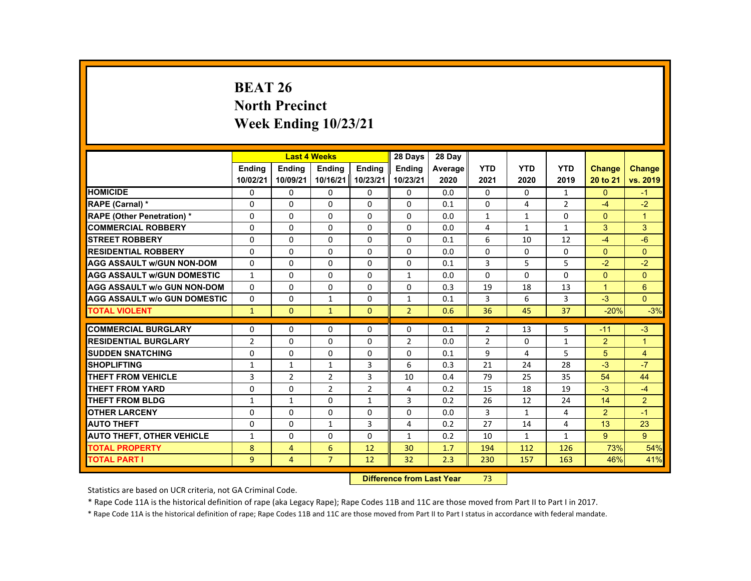# **BEAT 26 North Precinct Week Ending 10/23/21**

|                                     |                |                | <b>Last 4 Weeks</b> |                   | 28 Days        | 28 Day  |                |              |                |                |                |
|-------------------------------------|----------------|----------------|---------------------|-------------------|----------------|---------|----------------|--------------|----------------|----------------|----------------|
|                                     | <b>Endina</b>  | <b>Endina</b>  | <b>Endina</b>       | <b>Endina</b>     | <b>Endina</b>  | Average | <b>YTD</b>     | <b>YTD</b>   | <b>YTD</b>     | <b>Change</b>  | <b>Change</b>  |
|                                     | 10/02/21       | 10/09/21       |                     | 10/16/21 10/23/21 | 10/23/21       | 2020    | 2021           | 2020         | 2019           | 20 to 21       | vs. 2019       |
| <b>HOMICIDE</b>                     | $\mathbf{0}$   | $\mathbf{0}$   | 0                   | 0                 | 0              | 0.0     | $\mathbf{0}$   | 0            | $\mathbf{1}$   | $\mathbf{0}$   | $-1$           |
| <b>RAPE (Carnal) *</b>              | $\Omega$       | $\Omega$       | $\Omega$            | $\Omega$          | $\Omega$       | 0.1     | $\Omega$       | 4            | $\overline{2}$ | $-4$           | $-2$           |
| <b>RAPE (Other Penetration) *</b>   | $\Omega$       | $\Omega$       | $\Omega$            | $\Omega$          | $\Omega$       | 0.0     | $\mathbf{1}$   | $\mathbf{1}$ | $\Omega$       | $\Omega$       | $\overline{1}$ |
| <b>COMMERCIAL ROBBERY</b>           | 0              | $\mathbf{0}$   | 0                   | 0                 | 0              | 0.0     | 4              | $\mathbf{1}$ | $\mathbf{1}$   | 3              | 3              |
| <b>STREET ROBBERY</b>               | 0              | $\Omega$       | $\Omega$            | $\Omega$          | $\Omega$       | 0.1     | 6              | 10           | 12             | $-4$           | $-6$           |
| <b>RESIDENTIAL ROBBERY</b>          | $\Omega$       | $\Omega$       | $\Omega$            | $\Omega$          | $\Omega$       | 0.0     | $\Omega$       | $\Omega$     | $\Omega$       | $\Omega$       | $\Omega$       |
| <b>AGG ASSAULT w/GUN NON-DOM</b>    | $\Omega$       | $\mathbf{0}$   | 0                   | 0                 | 0              | 0.1     | 3              | 5            | 5              | $-2$           | $-2$           |
| <b>AGG ASSAULT WGUN DOMESTIC</b>    | $\mathbf{1}$   | $\Omega$       | $\Omega$            | 0                 | $\mathbf{1}$   | 0.0     | 0              | 0            | 0              | $\Omega$       | $\Omega$       |
| <b>AGG ASSAULT W/o GUN NON-DOM</b>  | $\Omega$       | $\mathbf{0}$   | 0                   | $\Omega$          | 0              | 0.3     | 19             | 18           | 13             | $\mathbf{1}$   | $6\phantom{1}$ |
| <b>AGG ASSAULT W/o GUN DOMESTIC</b> | $\Omega$       | $\mathbf{0}$   | $\mathbf{1}$        | $\Omega$          | $\mathbf{1}$   | 0.1     | 3              | 6            | $\overline{3}$ | $-3$           | $\Omega$       |
| <b>TOTAL VIOLENT</b>                | $\mathbf{1}$   | $\Omega$       | $\mathbf{1}$        | $\Omega$          | $\overline{2}$ | 0.6     | 36             | 45           | 37             | $-20%$         | $-3%$          |
|                                     |                |                |                     |                   |                |         |                |              |                |                |                |
| <b>COMMERCIAL BURGLARY</b>          | $\Omega$       | $\Omega$       | $\Omega$            | $\Omega$          | $\Omega$       | 0.1     | $\overline{2}$ | 13           | 5              | $-11$          | $-3$           |
| <b>RESIDENTIAL BURGLARY</b>         | $\overline{2}$ | $\mathbf{0}$   | 0                   | 0                 | $\overline{2}$ | 0.0     | $\overline{2}$ | 0            | $\mathbf{1}$   | $\overline{2}$ | $\overline{1}$ |
| <b>SUDDEN SNATCHING</b>             | $\Omega$       | $\Omega$       | $\Omega$            | $\Omega$          | $\Omega$       | 0.1     | 9              | 4            | 5              | 5              | 4              |
| <b>SHOPLIFTING</b>                  | $\mathbf{1}$   | $\mathbf{1}$   | $\mathbf{1}$        | $\mathbf{3}$      | 6              | 0.3     | 21             | 24           | 28             | $-3$           | $-7$           |
| THEFT FROM VEHICLE                  | 3              | $\overline{2}$ | $\overline{2}$      | 3                 | 10             | 0.4     | 79             | 25           | 35             | 54             | 44             |
| <b>THEFT FROM YARD</b>              | $\Omega$       | $\Omega$       | 2                   | $\overline{2}$    | 4              | 0.2     | 15             | 18           | 19             | $-3$           | $-4$           |
| THEFT FROM BLDG                     | $\mathbf{1}$   | $\mathbf{1}$   | $\Omega$            | $\mathbf{1}$      | 3              | 0.2     | 26             | 12           | 24             | 14             | $\overline{2}$ |
| <b>OTHER LARCENY</b>                | 0              | $\mathbf{0}$   | 0                   | 0                 | 0              | 0.0     | 3              | $\mathbf{1}$ | 4              | $\overline{2}$ | $-1$           |
| <b>AUTO THEFT</b>                   | $\Omega$       | $\Omega$       | $\mathbf{1}$        | $\overline{3}$    | 4              | 0.2     | 27             | 14           | 4              | 13             | 23             |
| <b>AUTO THEFT, OTHER VEHICLE</b>    | $\mathbf{1}$   | $\Omega$       | $\Omega$            | $\Omega$          | $\mathbf{1}$   | 0.2     | 10             | $\mathbf{1}$ | $\mathbf{1}$   | 9              | 9              |
| <b>TOTAL PROPERTY</b>               | 8              | $\overline{4}$ | 6                   | 12                | 30             | 1.7     | 194            | 112          | 126            | 73%            | 54%            |
| <b>TOTAL PART I</b>                 | $\overline{9}$ | $\overline{4}$ | $\overline{7}$      | 12                | 32             | 2.3     | 230            | 157          | 163            | 46%            | 41%            |

#### **Difference from Last Year**r 73

Statistics are based on UCR criteria, not GA Criminal Code.

\* Rape Code 11A is the historical definition of rape (aka Legacy Rape); Rape Codes 11B and 11C are those moved from Part II to Part I in 2017.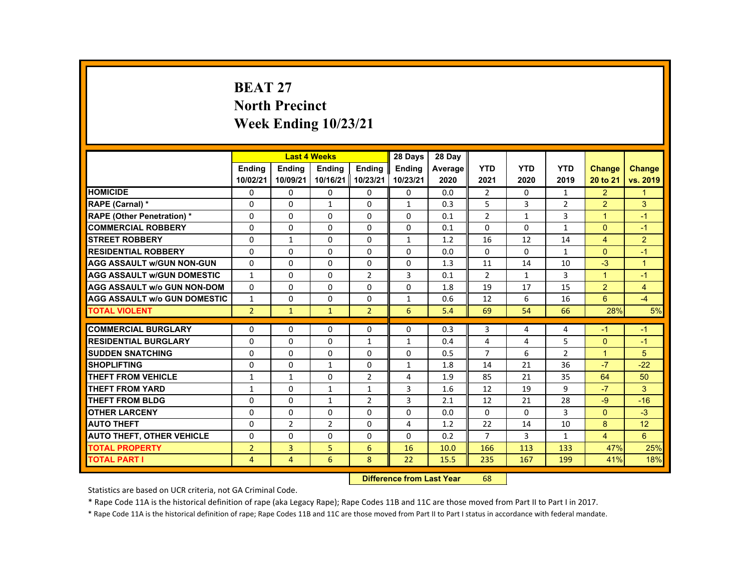# **BEAT 27 North Precinct Week Ending 10/23/21**

|                                     |                |                | <b>Last 4 Weeks</b> |                | 28 Days       | 28 Day  |                |              |                |                      |                |
|-------------------------------------|----------------|----------------|---------------------|----------------|---------------|---------|----------------|--------------|----------------|----------------------|----------------|
|                                     | <b>Endina</b>  | <b>Endina</b>  | <b>Endina</b>       | <b>Endina</b>  | <b>Endina</b> | Average | <b>YTD</b>     | <b>YTD</b>   | <b>YTD</b>     | <b>Change</b>        | Change         |
|                                     | 10/02/21       | 10/09/21       | 10/16/21 10/23/21   |                | 10/23/21      | 2020    | 2021           | 2020         | 2019           | 20 to 21             | vs. 2019       |
| <b>HOMICIDE</b>                     | 0              | 0              | 0                   | 0              | 0             | 0.0     | $\overline{2}$ | 0            | $\mathbf{1}$   | $\overline{2}$       | $\mathbf{1}$   |
| <b>RAPE (Carnal) *</b>              | $\Omega$       | $\Omega$       | $\mathbf{1}$        | $\Omega$       | $\mathbf{1}$  | 0.3     | 5              | 3            | $\overline{2}$ | 2                    | 3              |
| <b>RAPE (Other Penetration) *</b>   | $\Omega$       | $\Omega$       | $\Omega$            | $\Omega$       | $\Omega$      | 0.1     | $\overline{2}$ | $\mathbf{1}$ | 3              | $\blacktriangleleft$ | $-1$           |
| <b>COMMERCIAL ROBBERY</b>           | 0              | 0              | 0                   | 0              | 0             | 0.1     | $\Omega$       | 0            | $\mathbf{1}$   | $\Omega$             | $-1$           |
| <b>STREET ROBBERY</b>               | $\Omega$       | $\mathbf{1}$   | $\Omega$            | $\Omega$       | $\mathbf{1}$  | 1.2     | 16             | 12           | 14             | $\overline{4}$       | $\overline{2}$ |
| <b>RESIDENTIAL ROBBERY</b>          | $\Omega$       | $\Omega$       | $\Omega$            | $\Omega$       | $\Omega$      | 0.0     | $\Omega$       | $\Omega$     | $\mathbf{1}$   | $\Omega$             | $-1$           |
| <b>AGG ASSAULT w/GUN NON-GUN</b>    | $\Omega$       | 0              | $\Omega$            | 0              | 0             | 1.3     | 11             | 14           | 10             | $-3$                 | $\overline{1}$ |
| <b>AGG ASSAULT w/GUN DOMESTIC</b>   | $\mathbf{1}$   | $\Omega$       | $\Omega$            | $\overline{2}$ | 3             | 0.1     | 2              | $\mathbf{1}$ | 3              | $\blacktriangleleft$ | $-1$           |
| <b>AGG ASSAULT w/o GUN NON-DOM</b>  | $\Omega$       | $\Omega$       | $\Omega$            | $\Omega$       | $\Omega$      | 1.8     | 19             | 17           | 15             | 2                    | $\overline{4}$ |
| <b>AGG ASSAULT W/o GUN DOMESTIC</b> | $\mathbf{1}$   | $\Omega$       | $\Omega$            | $\Omega$       | $\mathbf{1}$  | 0.6     | 12             | 6            | 16             | 6                    | $-4$           |
| <b>TOTAL VIOLENT</b>                | $\overline{2}$ | $\mathbf{1}$   | $\mathbf{1}$        | $\overline{2}$ | 6             | 5.4     | 69             | 54           | 66             | 28%                  | 5%             |
|                                     |                |                |                     |                |               |         |                |              |                |                      |                |
| <b>COMMERCIAL BURGLARY</b>          | $\Omega$       | $\Omega$       | $\Omega$            | $\Omega$       | $\Omega$      | 0.3     | 3              | 4            | 4              | $-1$                 | $-1$           |
| <b>RESIDENTIAL BURGLARY</b>         | $\Omega$       | 0              | $\Omega$            | $\mathbf{1}$   | $\mathbf{1}$  | 0.4     | 4              | 4            | 5              | $\mathbf{0}$         | $-1$           |
| <b>SUDDEN SNATCHING</b>             | $\Omega$       | $\Omega$       | $\Omega$            | $\Omega$       | $\Omega$      | 0.5     | $\overline{7}$ | 6            | $\overline{2}$ | $\overline{1}$       | 5              |
| <b>SHOPLIFTING</b>                  | $\Omega$       | $\Omega$       | $\mathbf{1}$        | $\Omega$       | $\mathbf{1}$  | 1.8     | 14             | 21           | 36             | $-7$                 | $-22$          |
| <b>THEFT FROM VEHICLE</b>           | $\mathbf{1}$   | $\mathbf{1}$   | $\Omega$            | $\overline{2}$ | 4             | 1.9     | 85             | 21           | 35             | 64                   | 50             |
| <b>THEFT FROM YARD</b>              | $\mathbf{1}$   | $\Omega$       | $\mathbf{1}$        | $\mathbf{1}$   | 3             | 1.6     | 12             | 19           | 9              | $-7$                 | 3              |
| <b>THEFT FROM BLDG</b>              | $\Omega$       | $\Omega$       | $\mathbf{1}$        | $\overline{2}$ | 3             | 2.1     | 12             | 21           | 28             | $-9$                 | $-16$          |
| <b>OTHER LARCENY</b>                | 0              | 0              | $\Omega$            | $\Omega$       | $\Omega$      | 0.0     | $\Omega$       | 0            | 3              | $\Omega$             | $-3$           |
| <b>AUTO THEFT</b>                   | $\Omega$       | $\overline{2}$ | 2                   | $\Omega$       | 4             | 1.2     | 22             | 14           | 10             | 8                    | 12             |
| <b>AUTO THEFT, OTHER VEHICLE</b>    | $\Omega$       | $\Omega$       | $\Omega$            | $\Omega$       | $\Omega$      | 0.2     | $\overline{7}$ | $\mathbf{3}$ | $\mathbf{1}$   | $\overline{4}$       | 6              |
| <b>TOTAL PROPERTY</b>               | $\overline{2}$ | 3              | 5                   | 6              | 16            | 10.0    | 166            | 113          | 133            | 47%                  | 25%            |
| <b>TOTAL PART I</b>                 | 4              | $\overline{4}$ | 6                   | 8              | 22            | 15.5    | 235            | 167          | 199            | 41%                  | 18%            |

#### **Difference from Last Year**r 68

Statistics are based on UCR criteria, not GA Criminal Code.

\* Rape Code 11A is the historical definition of rape (aka Legacy Rape); Rape Codes 11B and 11C are those moved from Part II to Part I in 2017.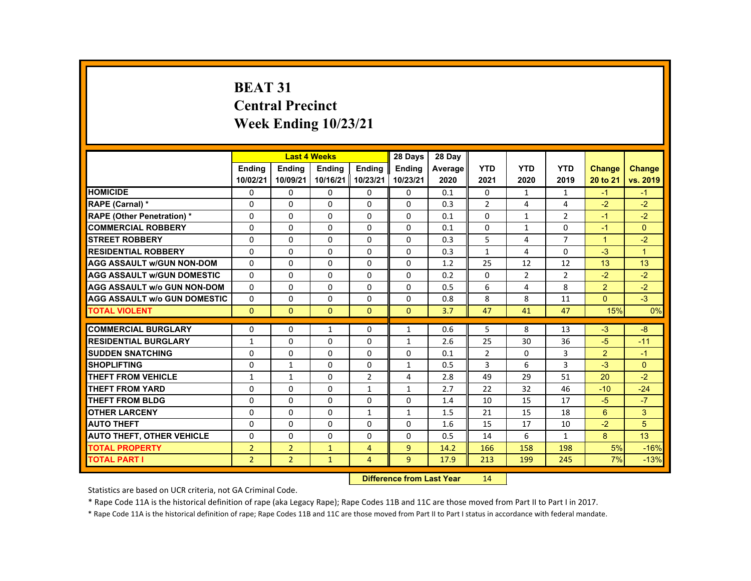# **BEAT 31 Central Precinct Week Ending 10/23/21**

|                                     |                |                | <b>Last 4 Weeks</b> |                | 28 Days        | 28 Day  |                |                |                |                      |                |
|-------------------------------------|----------------|----------------|---------------------|----------------|----------------|---------|----------------|----------------|----------------|----------------------|----------------|
|                                     | <b>Endina</b>  | <b>Endina</b>  | <b>Endina</b>       | <b>Endina</b>  | <b>Endina</b>  | Average | <b>YTD</b>     | <b>YTD</b>     | <b>YTD</b>     | <b>Change</b>        | <b>Change</b>  |
|                                     | 10/02/21       | 10/09/21       | 10/16/21 10/23/21   |                | 10/23/21       | 2020    | 2021           | 2020           | 2019           | 20 to 21             | vs. 2019       |
| <b>HOMICIDE</b>                     | 0              | 0              | 0                   | 0              | 0              | 0.1     | 0              | $\mathbf{1}$   | $\mathbf{1}$   | $-1$                 | $-1$           |
| RAPE (Carnal) *                     | $\Omega$       | $\Omega$       | $\Omega$            | $\Omega$       | $\Omega$       | 0.3     | $\overline{2}$ | 4              | 4              | $-2$                 | $-2$           |
| <b>RAPE (Other Penetration) *</b>   | $\Omega$       | $\Omega$       | $\Omega$            | $\Omega$       | $\Omega$       | 0.1     | $\Omega$       | $\mathbf{1}$   | $\overline{2}$ | $-1$                 | $-2$           |
| <b>COMMERCIAL ROBBERY</b>           | 0              | 0              | 0                   | 0              | 0              | 0.1     | 0              | $\mathbf{1}$   | $\Omega$       | $-1$                 | $\Omega$       |
| <b>STREET ROBBERY</b>               | $\Omega$       | $\Omega$       | $\Omega$            | $\Omega$       | $\Omega$       | 0.3     | 5              | 4              | $\overline{7}$ | $\blacktriangleleft$ | $-2$           |
| <b>RESIDENTIAL ROBBERY</b>          | $\Omega$       | $\Omega$       | $\Omega$            | $\Omega$       | $\Omega$       | 0.3     | $\mathbf{1}$   | $\overline{4}$ | $\Omega$       | $-3$                 | $\overline{1}$ |
| <b>AGG ASSAULT w/GUN NON-DOM</b>    | $\Omega$       | 0              | $\Omega$            | 0              | 0              | 1.2     | 25             | 12             | 12             | 13                   | 13             |
| <b>AGG ASSAULT w/GUN DOMESTIC</b>   | $\Omega$       | $\Omega$       | $\Omega$            | $\Omega$       | $\Omega$       | 0.2     | $\Omega$       | $\overline{2}$ | $\overline{2}$ | $-2$                 | $-2$           |
| <b>AGG ASSAULT w/o GUN NON-DOM</b>  | $\Omega$       | $\Omega$       | $\Omega$            | $\Omega$       | $\Omega$       | 0.5     | 6              | 4              | 8              | $\overline{2}$       | $-2$           |
| <b>AGG ASSAULT W/o GUN DOMESTIC</b> | $\Omega$       | $\Omega$       | $\Omega$            | $\Omega$       | $\Omega$       | 0.8     | 8              | 8              | 11             | $\Omega$             | $-3$           |
| <b>TOTAL VIOLENT</b>                | $\mathbf{0}$   | $\mathbf{0}$   | $\Omega$            | $\Omega$       | $\Omega$       | 3.7     | 47             | 41             | 47             | 15%                  | 0%             |
|                                     |                |                |                     |                |                |         |                |                |                |                      |                |
| <b>COMMERCIAL BURGLARY</b>          | $\Omega$       | $\Omega$       | $\mathbf{1}$        | $\Omega$       | $\mathbf{1}$   | 0.6     | 5              | 8              | 13             | $-3$                 | $-8$           |
| <b>RESIDENTIAL BURGLARY</b>         | $\mathbf{1}$   | 0              | 0                   | 0              | $\mathbf{1}$   | 2.6     | 25             | 30             | 36             | $-5$                 | $-11$          |
| <b>SUDDEN SNATCHING</b>             | $\Omega$       | $\Omega$       | $\Omega$            | $\Omega$       | $\Omega$       | 0.1     | $\overline{2}$ | $\Omega$       | 3              | 2                    | $-1$           |
| <b>SHOPLIFTING</b>                  | $\Omega$       | $\mathbf{1}$   | $\Omega$            | $\Omega$       | $\mathbf{1}$   | 0.5     | 3              | 6              | 3              | $-3$                 | $\Omega$       |
| <b>THEFT FROM VEHICLE</b>           | $\mathbf{1}$   | $\mathbf{1}$   | 0                   | $\overline{2}$ | 4              | 2.8     | 49             | 29             | 51             | 20                   | $-2$           |
| <b>THEFT FROM YARD</b>              | $\Omega$       | $\Omega$       | $\Omega$            | $\mathbf{1}$   | $\mathbf{1}$   | 2.7     | 22             | 32             | 46             | $-10$                | $-24$          |
| <b>THEFT FROM BLDG</b>              | $\Omega$       | $\Omega$       | $\Omega$            | $\Omega$       | $\Omega$       | 1.4     | 10             | 15             | 17             | $-5$                 | $-7$           |
| <b>OTHER LARCENY</b>                | 0              | 0              | $\Omega$            | $\mathbf{1}$   | $\mathbf{1}$   | 1.5     | 21             | 15             | 18             | 6                    | 3              |
| <b>AUTO THEFT</b>                   | $\Omega$       | $\Omega$       | $\Omega$            | $\Omega$       | $\Omega$       | 1.6     | 15             | 17             | 10             | $-2$                 | 5              |
| <b>AUTO THEFT, OTHER VEHICLE</b>    | $\Omega$       | $\Omega$       | $\Omega$            | $\Omega$       | $\Omega$       | 0.5     | 14             | 6              | $\mathbf{1}$   | 8                    | 13             |
| <b>TOTAL PROPERTY</b>               | $\overline{2}$ | $\overline{2}$ | $\mathbf{1}$        | $\overline{4}$ | $\overline{9}$ | 14.2    | 166            | 158            | 198            | 5%                   | $-16%$         |
| <b>TOTAL PART I</b>                 | $\overline{2}$ | $\overline{2}$ | $\mathbf{1}$        | $\overline{4}$ | $\overline{9}$ | 17.9    | 213            | 199            | 245            | 7%                   | $-13%$         |

#### **Difference from Last Year**r 14

Statistics are based on UCR criteria, not GA Criminal Code.

\* Rape Code 11A is the historical definition of rape (aka Legacy Rape); Rape Codes 11B and 11C are those moved from Part II to Part I in 2017.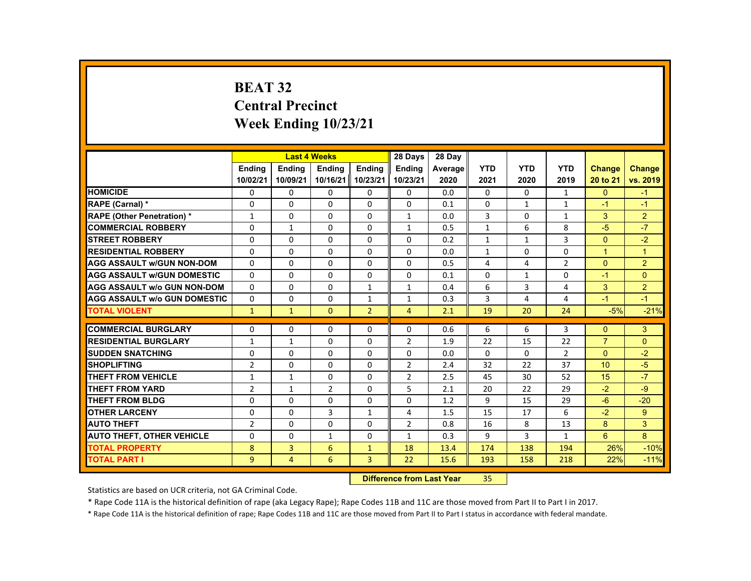# **BEAT 32 Central Precinct Week Ending 10/23/21**

|                                     |                |                | <b>Last 4 Weeks</b> |                   | 28 Days        | 28 Day  |              |              |                |                  |                |
|-------------------------------------|----------------|----------------|---------------------|-------------------|----------------|---------|--------------|--------------|----------------|------------------|----------------|
|                                     | <b>Endina</b>  | <b>Endina</b>  | <b>Endina</b>       | <b>Endina</b>     | <b>Endina</b>  | Average | <b>YTD</b>   | <b>YTD</b>   | <b>YTD</b>     | <b>Change</b>    | <b>Change</b>  |
|                                     | 10/02/21       | 10/09/21       |                     | 10/16/21 10/23/21 | 10/23/21       | 2020    | 2021         | 2020         | 2019           | 20 to 21         | vs. 2019       |
| <b>HOMICIDE</b>                     | $\mathbf{0}$   | $\mathbf{0}$   | 0                   | 0                 | 0              | 0.0     | $\mathbf{0}$ | 0            | $\mathbf{1}$   | $\mathbf{0}$     | $-1$           |
| <b>RAPE (Carnal) *</b>              | $\Omega$       | $\Omega$       | $\Omega$            | $\Omega$          | $\Omega$       | 0.1     | $\Omega$     | $\mathbf{1}$ | $\mathbf{1}$   | $-1$             | $-1$           |
| <b>RAPE (Other Penetration) *</b>   | $\mathbf{1}$   | $\Omega$       | $\Omega$            | $\Omega$          | $\mathbf{1}$   | 0.0     | 3            | $\Omega$     | $\mathbf{1}$   | 3                | $\overline{2}$ |
| <b>COMMERCIAL ROBBERY</b>           | 0              | $\mathbf{1}$   | 0                   | 0                 | 1              | 0.5     | $\mathbf{1}$ | 6            | 8              | $-5$             | $-7$           |
| <b>STREET ROBBERY</b>               | $\Omega$       | $\Omega$       | $\Omega$            | $\Omega$          | $\Omega$       | 0.2     | $\mathbf{1}$ | $\mathbf{1}$ | 3              | $\Omega$         | $-2$           |
| <b>RESIDENTIAL ROBBERY</b>          | $\Omega$       | $\Omega$       | $\Omega$            | $\Omega$          | $\Omega$       | 0.0     | $\mathbf{1}$ | $\Omega$     | $\Omega$       | $\mathbf{1}$     | $\overline{1}$ |
| <b>AGG ASSAULT w/GUN NON-DOM</b>    | $\Omega$       | $\mathbf{0}$   | 0                   | 0                 | 0              | 0.5     | 4            | 4            | $\overline{2}$ | $\Omega$         | $\overline{2}$ |
| <b>AGG ASSAULT WGUN DOMESTIC</b>    | $\Omega$       | $\Omega$       | $\Omega$            | 0                 | 0              | 0.1     | 0            | $\mathbf{1}$ | 0              | $-1$             | $\Omega$       |
| <b>AGG ASSAULT W/o GUN NON-DOM</b>  | $\Omega$       | $\mathbf{0}$   | 0                   | $\mathbf{1}$      | $\mathbf{1}$   | 0.4     | 6            | 3            | 4              | 3                | $\overline{2}$ |
| <b>AGG ASSAULT W/o GUN DOMESTIC</b> | $\Omega$       | $\Omega$       | $\Omega$            | $\mathbf{1}$      | $\mathbf{1}$   | 0.3     | 3            | 4            | 4              | $-1$             | $-1$           |
| <b>TOTAL VIOLENT</b>                | $\mathbf{1}$   | $\mathbf{1}$   | $\Omega$            | $\overline{2}$    | $\overline{4}$ | 2.1     | 19           | 20           | 24             | $-5%$            | $-21%$         |
|                                     |                |                |                     |                   |                |         |              |              |                |                  |                |
| <b>COMMERCIAL BURGLARY</b>          | $\Omega$       | $\Omega$       | $\Omega$            | $\Omega$          | $\Omega$       | 0.6     | 6            | 6            | 3              | $\Omega$         | 3              |
| <b>RESIDENTIAL BURGLARY</b>         | 1              | $\mathbf{1}$   | 0                   | 0                 | $\overline{2}$ | 1.9     | 22           | 15           | 22             | $\overline{7}$   | $\Omega$       |
| <b>SUDDEN SNATCHING</b>             | $\Omega$       | $\Omega$       | $\Omega$            | $\Omega$          | $\Omega$       | 0.0     | $\Omega$     | $\Omega$     | $\overline{2}$ | $\Omega$         | $-2$           |
| <b>SHOPLIFTING</b>                  | $\overline{2}$ | $\Omega$       | $\Omega$            | $\Omega$          | $\overline{2}$ | 2.4     | 32           | 22           | 37             | 10 <sup>10</sup> | $-5$           |
| THEFT FROM VEHICLE                  | 1              | 1              | 0                   | 0                 | $\overline{2}$ | 2.5     | 45           | 30           | 52             | 15               | $-7$           |
| <b>THEFT FROM YARD</b>              | $\overline{2}$ | $\mathbf{1}$   | 2                   | $\Omega$          | 5              | 2.1     | 20           | 22           | 29             | $-2$             | $-9$           |
| THEFT FROM BLDG                     | $\Omega$       | $\Omega$       | $\Omega$            | $\Omega$          | $\Omega$       | 1.2     | 9            | 15           | 29             | $-6$             | $-20$          |
| <b>OTHER LARCENY</b>                | 0              | $\mathbf{0}$   | 3                   | $\mathbf{1}$      | 4              | 1.5     | 15           | 17           | 6              | $-2$             | 9              |
| <b>AUTO THEFT</b>                   | $\overline{2}$ | $\Omega$       | $\Omega$            | $\Omega$          | $\overline{2}$ | 0.8     | 16           | 8            | 13             | 8                | 3              |
| <b>AUTO THEFT, OTHER VEHICLE</b>    | $\Omega$       | $\Omega$       | $\mathbf{1}$        | $\Omega$          | $\mathbf{1}$   | 0.3     | 9            | 3            | $\mathbf{1}$   | 6                | 8              |
| <b>TOTAL PROPERTY</b>               | 8              | 3              | 6                   | $\mathbf{1}$      | 18             | 13.4    | 174          | 138          | 194            | 26%              | $-10%$         |
| <b>TOTAL PART I</b>                 | $\overline{9}$ | $\overline{4}$ | 6                   | $\mathbf{3}$      | 22             | 15.6    | 193          | 158          | 218            | 22%              | $-11%$         |

#### **Difference from Last Year**r 35

Statistics are based on UCR criteria, not GA Criminal Code.

\* Rape Code 11A is the historical definition of rape (aka Legacy Rape); Rape Codes 11B and 11C are those moved from Part II to Part I in 2017.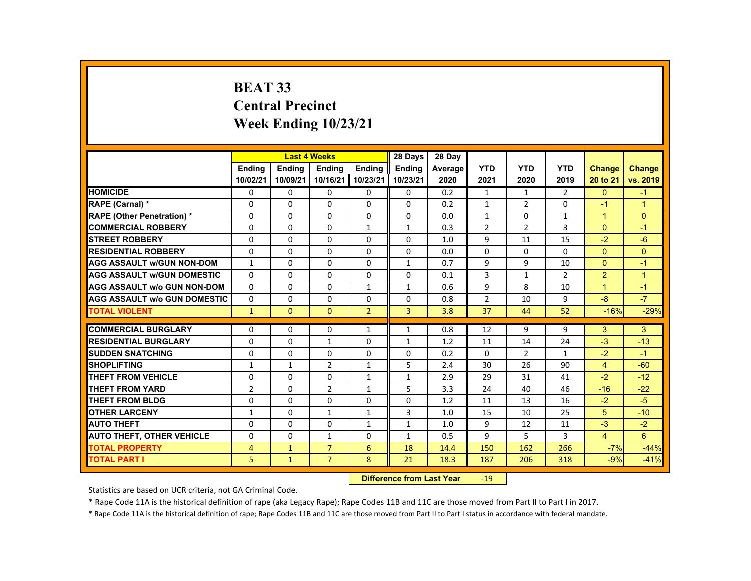# **BEAT 33 Central Precinct Week Ending 10/23/21**

|                                     |                |               | <b>Last 4 Weeks</b> |                | 28 Days        | 28 Day  |                |                |              |                |                |
|-------------------------------------|----------------|---------------|---------------------|----------------|----------------|---------|----------------|----------------|--------------|----------------|----------------|
|                                     | <b>Endina</b>  | <b>Endina</b> | <b>Endina</b>       | <b>Endina</b>  | <b>Endina</b>  | Average | <b>YTD</b>     | <b>YTD</b>     | <b>YTD</b>   | <b>Change</b>  | <b>Change</b>  |
|                                     | 10/02/21       | 10/09/21      | 10/16/21            | 10/23/21       | 10/23/21       | 2020    | 2021           | 2020           | 2019         | 20 to 21       | vs. 2019       |
| <b>HOMICIDE</b>                     | 0              | 0             | 0                   | 0              | 0              | 0.2     | $\mathbf{1}$   | $\mathbf{1}$   | 2            | $\mathbf{0}$   | $-1$           |
| RAPE (Carnal) *                     | $\Omega$       | $\Omega$      | $\Omega$            | 0              | $\Omega$       | 0.2     | $\mathbf{1}$   | $\overline{2}$ | 0            | $-1$           | $\overline{1}$ |
| <b>RAPE (Other Penetration) *</b>   | $\Omega$       | $\Omega$      | $\Omega$            | $\Omega$       | $\Omega$       | 0.0     | $\mathbf{1}$   | $\Omega$       | $\mathbf{1}$ | $\overline{1}$ | $\Omega$       |
| <b>COMMERCIAL ROBBERY</b>           | 0              | 0             | 0                   | $\mathbf{1}$   | $\mathbf{1}$   | 0.3     | $\overline{2}$ | $\overline{2}$ | 3            | $\Omega$       | $-1$           |
| <b>STREET ROBBERY</b>               | $\Omega$       | $\Omega$      | $\Omega$            | $\Omega$       | $\Omega$       | 1.0     | 9              | 11             | 15           | $-2$           | $-6$           |
| <b>RESIDENTIAL ROBBERY</b>          | $\Omega$       | $\Omega$      | $\Omega$            | $\Omega$       | $\Omega$       | 0.0     | $\Omega$       | $\Omega$       | $\Omega$     | $\Omega$       | $\Omega$       |
| <b>AGG ASSAULT w/GUN NON-DOM</b>    | $\mathbf{1}$   | $\mathbf{0}$  | 0                   | $\mathbf{0}$   | $\mathbf{1}$   | 0.7     | 9              | 9              | 10           | $\Omega$       | $-1$           |
| <b>AGG ASSAULT w/GUN DOMESTIC</b>   | $\Omega$       | $\mathbf{0}$  | $\Omega$            | 0              | $\Omega$       | 0.1     | 3              | $\mathbf{1}$   | 2            | $\overline{2}$ | $\overline{1}$ |
| <b>AGG ASSAULT w/o GUN NON-DOM</b>  | $\Omega$       | $\Omega$      | $\Omega$            | $\mathbf{1}$   | $\mathbf{1}$   | 0.6     | 9              | 8              | 10           | $\overline{1}$ | $-1$           |
| <b>AGG ASSAULT W/o GUN DOMESTIC</b> | $\Omega$       | $\Omega$      | $\Omega$            | $\Omega$       | $\Omega$       | 0.8     | $\overline{2}$ | 10             | 9            | $-8$           | $-7$           |
| <b>TOTAL VIOLENT</b>                | $\mathbf{1}$   | $\mathbf{0}$  | $\mathbf{0}$        | $\overline{2}$ | $\overline{3}$ | 3.8     | 37             | 44             | 52           | $-16%$         | $-29%$         |
|                                     |                |               |                     |                |                |         |                |                |              |                |                |
| <b>COMMERCIAL BURGLARY</b>          | $\Omega$       | 0             | $\Omega$            | $\mathbf{1}$   | $\mathbf{1}$   | 0.8     | 12             | 9              | 9            | 3              | 3              |
| <b>RESIDENTIAL BURGLARY</b>         | 0              | 0             | 1                   | 0              | 1              | 1.2     | 11             | 14             | 24           | $-3$           | $-13$          |
| <b>SUDDEN SNATCHING</b>             | $\Omega$       | $\Omega$      | $\Omega$            | $\Omega$       | $\Omega$       | 0.2     | $\Omega$       | $\overline{2}$ | $\mathbf{1}$ | $-2$           | $-1$           |
| <b>SHOPLIFTING</b>                  | $\mathbf{1}$   | $\mathbf{1}$  | $\mathcal{P}$       | $\mathbf{1}$   | 5              | 2.4     | 30             | 26             | 90           | $\overline{4}$ | $-60$          |
| <b>THEFT FROM VEHICLE</b>           | $\Omega$       | $\mathbf{0}$  | 0                   | $\mathbf{1}$   | 1              | 2.9     | 29             | 31             | 41           | $-2$           | $-12$          |
| <b>THEFT FROM YARD</b>              | $\overline{2}$ | $\Omega$      | $\overline{2}$      | $\mathbf{1}$   | 5              | 3.3     | 24             | 40             | 46           | $-16$          | $-22$          |
| <b>THEFT FROM BLDG</b>              | $\Omega$       | $\Omega$      | $\Omega$            | $\Omega$       | $\Omega$       | 1.2     | 11             | 13             | 16           | $-2$           | $-5$           |
| <b>OTHER LARCENY</b>                | $\mathbf{1}$   | $\Omega$      | $\mathbf{1}$        | $\mathbf{1}$   | 3              | 1.0     | 15             | 10             | 25           | 5              | $-10$          |
| <b>AUTO THEFT</b>                   | $\Omega$       | $\Omega$      | $\Omega$            | $\mathbf{1}$   | $\mathbf{1}$   | 1.0     | 9              | 12             | 11           | $-3$           | $-2$           |
| <b>AUTO THEFT, OTHER VEHICLE</b>    | $\Omega$       | $\Omega$      | $\mathbf{1}$        | $\Omega$       | $\mathbf{1}$   | 0.5     | 9              | 5              | 3            | $\overline{4}$ | 6              |
| <b>TOTAL PROPERTY</b>               | 4              | $\mathbf{1}$  | $\overline{7}$      | 6              | 18             | 14.4    | 150            | 162            | 266          | $-7%$          | $-44%$         |
| <b>TOTAL PART I</b>                 | 5              | $\mathbf{1}$  | $\overline{7}$      | 8              | 21             | 18.3    | 187            | 206            | 318          | $-9%$          | $-41%$         |

#### **Difference from Last Year**r -19

Statistics are based on UCR criteria, not GA Criminal Code.

\* Rape Code 11A is the historical definition of rape (aka Legacy Rape); Rape Codes 11B and 11C are those moved from Part II to Part I in 2017.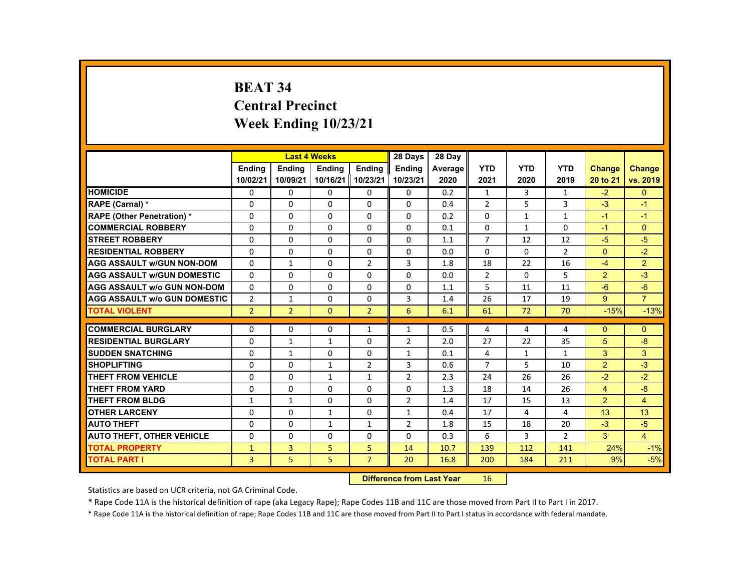# **BEAT 34 Central Precinct Week Ending 10/23/21**

|                                     |                |                | <b>Last 4 Weeks</b> |                | 28 Days        | 28 Day  |                |              |                |                |                |
|-------------------------------------|----------------|----------------|---------------------|----------------|----------------|---------|----------------|--------------|----------------|----------------|----------------|
|                                     | <b>Endina</b>  | <b>Endina</b>  | <b>Endina</b>       | <b>Endina</b>  | <b>Endina</b>  | Average | <b>YTD</b>     | <b>YTD</b>   | <b>YTD</b>     | <b>Change</b>  | Change         |
|                                     | 10/02/21       | 10/09/21       | 10/16/21   10/23/21 |                | 10/23/21       | 2020    | 2021           | 2020         | 2019           | 20 to 21       | vs. 2019       |
| <b>HOMICIDE</b>                     | 0              | 0              | 0                   | 0              | 0              | 0.2     | $\mathbf{1}$   | 3            | $\mathbf{1}$   | $-2$           | $\mathbf{0}$   |
| <b>RAPE (Carnal) *</b>              | $\Omega$       | $\Omega$       | $\Omega$            | $\Omega$       | $\Omega$       | 0.4     | $\overline{2}$ | 5            | 3              | $-3$           | $-1$           |
| <b>RAPE (Other Penetration) *</b>   | $\Omega$       | $\Omega$       | $\Omega$            | $\Omega$       | $\Omega$       | 0.2     | $\Omega$       | $\mathbf{1}$ | $\mathbf{1}$   | $-1$           | $-1$           |
| <b>COMMERCIAL ROBBERY</b>           | $\Omega$       | $\Omega$       | $\Omega$            | $\Omega$       | $\Omega$       | 0.1     | $\Omega$       | $\mathbf{1}$ | $\Omega$       | $-1$           | $\Omega$       |
| <b>STREET ROBBERY</b>               | $\Omega$       | $\Omega$       | $\Omega$            | $\Omega$       | $\Omega$       | 1.1     | $\overline{7}$ | 12           | 12             | $-5$           | $-5$           |
| <b>RESIDENTIAL ROBBERY</b>          | $\Omega$       | $\Omega$       | $\Omega$            | $\Omega$       | $\Omega$       | 0.0     | $\Omega$       | $\Omega$     | $\overline{2}$ | $\Omega$       | $-2$           |
| <b>AGG ASSAULT w/GUN NON-DOM</b>    | $\Omega$       | $\mathbf{1}$   | $\Omega$            | $\overline{2}$ | 3              | 1.8     | 18             | 22           | 16             | $-4$           | $\overline{2}$ |
| <b>AGG ASSAULT w/GUN DOMESTIC</b>   | $\Omega$       | $\Omega$       | $\Omega$            | $\Omega$       | $\Omega$       | 0.0     | $\overline{2}$ | 0            | 5              | $\overline{2}$ | $-3$           |
| <b>AGG ASSAULT w/o GUN NON-DOM</b>  | $\Omega$       | $\Omega$       | $\Omega$            | $\Omega$       | $\Omega$       | 1.1     | 5              | 11           | 11             | $-6$           | $-6$           |
| <b>AGG ASSAULT W/o GUN DOMESTIC</b> | 2              | $\mathbf{1}$   | $\Omega$            | $\Omega$       | 3              | 1.4     | 26             | 17           | 19             | 9              | $\overline{7}$ |
| <b>TOTAL VIOLENT</b>                | $\overline{2}$ | $\overline{2}$ | $\Omega$            | $\overline{2}$ | 6              | 6.1     | 61             | 72           | 70             | $-15%$         | $-13%$         |
|                                     |                |                |                     |                |                |         |                |              |                |                |                |
| <b>COMMERCIAL BURGLARY</b>          | $\Omega$       | $\Omega$       | $\Omega$            | $\mathbf{1}$   | $\mathbf{1}$   | 0.5     | 4              | 4            | 4              | $\Omega$       | $\Omega$       |
| <b>RESIDENTIAL BURGLARY</b>         | $\Omega$       | $\mathbf{1}$   | $\mathbf{1}$        | $\Omega$       | $\overline{2}$ | 2.0     | 27             | 22           | 35             | 5              | -8             |
| <b>SUDDEN SNATCHING</b>             | $\Omega$       | $\mathbf{1}$   | $\Omega$            | $\Omega$       | $\mathbf{1}$   | 0.1     | 4              | $\mathbf{1}$ | $\mathbf{1}$   | 3              | 3              |
| <b>SHOPLIFTING</b>                  | $\Omega$       | $\Omega$       | $\mathbf{1}$        | $\overline{2}$ | 3              | 0.6     | $\overline{7}$ | 5            | 10             | $\overline{2}$ | $-3$           |
| <b>THEFT FROM VEHICLE</b>           | $\Omega$       | 0              | $\mathbf{1}$        | $\mathbf{1}$   | 2              | 2.3     | 24             | 26           | 26             | $-2$           | $-2$           |
| <b>THEFT FROM YARD</b>              | $\Omega$       | $\Omega$       | $\Omega$            | $\Omega$       | $\Omega$       | 1.3     | 18             | 14           | 26             | $\overline{4}$ | $-8$           |
| <b>THEFT FROM BLDG</b>              | $\mathbf{1}$   | $\mathbf{1}$   | $\Omega$            | $\Omega$       | $\overline{2}$ | 1.4     | 17             | 15           | 13             | $\overline{2}$ | $\overline{4}$ |
| <b>OTHER LARCENY</b>                | $\Omega$       | $\Omega$       | $\mathbf{1}$        | $\Omega$       | $\mathbf{1}$   | 0.4     | 17             | 4            | 4              | 13             | 13             |
| <b>AUTO THEFT</b>                   | $\Omega$       | $\Omega$       | $\mathbf{1}$        | $\mathbf{1}$   | 2              | 1.8     | 15             | 18           | 20             | $-3$           | $-5$           |
| <b>AUTO THEFT, OTHER VEHICLE</b>    | $\Omega$       | $\Omega$       | $\Omega$            | $\Omega$       | $\Omega$       | 0.3     | 6              | 3            | $\overline{2}$ | 3              | $\overline{4}$ |
| <b>TOTAL PROPERTY</b>               | $\mathbf{1}$   | 3              | 5                   | 5              | 14             | 10.7    | 139            | 112          | 141            | 24%            | $-1%$          |
| <b>TOTAL PART I</b>                 | $\overline{3}$ | 5 <sub>5</sub> | 5 <sub>1</sub>      | $\overline{7}$ | 20             | 16.8    | 200            | 184          | 211            | 9%             | $-5%$          |

#### **Difference from Last Year**r 16

Statistics are based on UCR criteria, not GA Criminal Code.

\* Rape Code 11A is the historical definition of rape (aka Legacy Rape); Rape Codes 11B and 11C are those moved from Part II to Part I in 2017.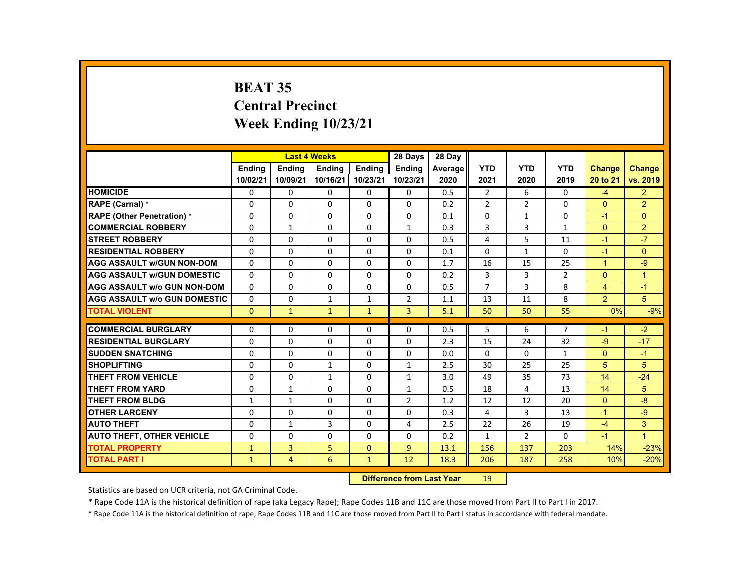# **BEAT 35 Central Precinct Week Ending 10/23/21**

|                                     |               |                | <b>Last 4 Weeks</b> |               | 28 Days        | 28 Day  |                |                |                |                      |                      |
|-------------------------------------|---------------|----------------|---------------------|---------------|----------------|---------|----------------|----------------|----------------|----------------------|----------------------|
|                                     | <b>Endina</b> | <b>Endina</b>  | <b>Endina</b>       | <b>Endina</b> | <b>Endina</b>  | Average | <b>YTD</b>     | <b>YTD</b>     | <b>YTD</b>     | <b>Change</b>        | Change               |
|                                     | 10/02/21      | 10/09/21       | 10/16/21 10/23/21   |               | 10/23/21       | 2020    | 2021           | 2020           | 2019           | 20 to 21             | vs. 2019             |
| <b>HOMICIDE</b>                     | 0             | 0              | 0                   | 0             | 0              | 0.5     | $\overline{2}$ | 6              | 0              | $-4$                 | $\overline{2}$       |
| RAPE (Carnal) *                     | $\Omega$      | $\Omega$       | $\Omega$            | $\Omega$      | $\Omega$       | 0.2     | $\overline{2}$ | 2              | $\Omega$       | $\Omega$             | $\overline{2}$       |
| <b>RAPE (Other Penetration) *</b>   | $\Omega$      | $\Omega$       | $\Omega$            | $\Omega$      | $\Omega$       | 0.1     | $\Omega$       | $\mathbf{1}$   | $\Omega$       | $-1$                 | $\Omega$             |
| <b>COMMERCIAL ROBBERY</b>           | 0             | $\mathbf{1}$   | 0                   | 0             | $\mathbf{1}$   | 0.3     | 3              | 3              | $\mathbf{1}$   | $\Omega$             | 2                    |
| <b>STREET ROBBERY</b>               | $\Omega$      | $\Omega$       | $\Omega$            | $\Omega$      | $\Omega$       | 0.5     | 4              | 5              | 11             | -1                   | $-7$                 |
| <b>RESIDENTIAL ROBBERY</b>          | $\Omega$      | $\Omega$       | $\Omega$            | $\Omega$      | $\Omega$       | 0.1     | $\Omega$       | $\mathbf{1}$   | 0              | $-1$                 | $\Omega$             |
| <b>AGG ASSAULT w/GUN NON-DOM</b>    | $\Omega$      | 0              | $\Omega$            | 0             | 0              | 1.7     | 16             | 15             | 25             | $\blacktriangleleft$ | $-9$                 |
| <b>AGG ASSAULT w/GUN DOMESTIC</b>   | $\Omega$      | $\Omega$       | $\Omega$            | $\Omega$      | $\Omega$       | 0.2     | 3              | 3              | $\overline{2}$ | $\Omega$             | $\blacktriangleleft$ |
| <b>AGG ASSAULT w/o GUN NON-DOM</b>  | $\Omega$      | $\Omega$       | $\Omega$            | $\Omega$      | $\Omega$       | 0.5     | $\overline{7}$ | 3              | 8              | $\overline{4}$       | $-1$                 |
| <b>AGG ASSAULT W/o GUN DOMESTIC</b> | $\Omega$      | $\Omega$       | $\mathbf{1}$        | $\mathbf{1}$  | $\overline{2}$ | 1.1     | 13             | 11             | 8              | 2                    | 5                    |
| <b>TOTAL VIOLENT</b>                | $\mathbf{0}$  | $\mathbf{1}$   | $\mathbf{1}$        | $\mathbf{1}$  | $\overline{3}$ | 5.1     | 50             | 50             | 55             | 0%                   | $-9%$                |
|                                     |               |                |                     |               |                |         |                |                |                |                      |                      |
| <b>COMMERCIAL BURGLARY</b>          | $\Omega$      | $\Omega$       | $\Omega$            | $\Omega$      | $\Omega$       | 0.5     | 5              | 6              | $\overline{7}$ | $-1$                 | $-2$                 |
| <b>RESIDENTIAL BURGLARY</b>         | $\Omega$      | 0              | $\Omega$            | 0             | $\Omega$       | 2.3     | 15             | 24             | 32             | $-9$                 | $-17$                |
| <b>SUDDEN SNATCHING</b>             | $\Omega$      | $\Omega$       | $\Omega$            | $\Omega$      | $\Omega$       | 0.0     | $\Omega$       | $\Omega$       | $\mathbf{1}$   | $\Omega$             | $-1$                 |
| <b>SHOPLIFTING</b>                  | $\Omega$      | $\Omega$       | $\mathbf{1}$        | $\Omega$      | $\mathbf{1}$   | 2.5     | 30             | 25             | 25             | 5                    | 5                    |
| <b>THEFT FROM VEHICLE</b>           | $\Omega$      | 0              | $\mathbf{1}$        | 0             | $\mathbf{1}$   | 3.0     | 49             | 35             | 73             | 14                   | $-24$                |
| <b>THEFT FROM YARD</b>              | $\Omega$      | $\mathbf{1}$   | $\Omega$            | $\Omega$      | $\mathbf{1}$   | 0.5     | 18             | 4              | 13             | 14                   | 5                    |
| <b>THEFT FROM BLDG</b>              | $\mathbf{1}$  | $\mathbf{1}$   | $\Omega$            | $\Omega$      | 2              | 1.2     | 12             | 12             | 20             | $\Omega$             | $-8$                 |
| <b>OTHER LARCENY</b>                | 0             | $\Omega$       | $\Omega$            | $\Omega$      | $\Omega$       | 0.3     | 4              | 3              | 13             | $\blacktriangleleft$ | $-9$                 |
| <b>AUTO THEFT</b>                   | $\Omega$      | $\mathbf{1}$   | 3                   | $\Omega$      | 4              | 2.5     | 22             | 26             | 19             | $-4$                 | 3                    |
| <b>AUTO THEFT, OTHER VEHICLE</b>    | $\Omega$      | $\Omega$       | $\Omega$            | $\Omega$      | $\Omega$       | 0.2     | $\mathbf{1}$   | $\overline{2}$ | $\Omega$       | $-1$                 | $\blacksquare$       |
| <b>TOTAL PROPERTY</b>               | $\mathbf{1}$  | 3              | 5                   | $\mathbf{0}$  | $\overline{9}$ | 13.1    | 156            | 137            | 203            | 14%                  | $-23%$               |
| <b>TOTAL PART I</b>                 | $\mathbf{1}$  | $\overline{4}$ | 6                   | $\mathbf{1}$  | 12             | 18.3    | 206            | 187            | 258            | 10%                  | $-20%$               |

#### **Difference from Last Year**r 19

Statistics are based on UCR criteria, not GA Criminal Code.

\* Rape Code 11A is the historical definition of rape (aka Legacy Rape); Rape Codes 11B and 11C are those moved from Part II to Part I in 2017.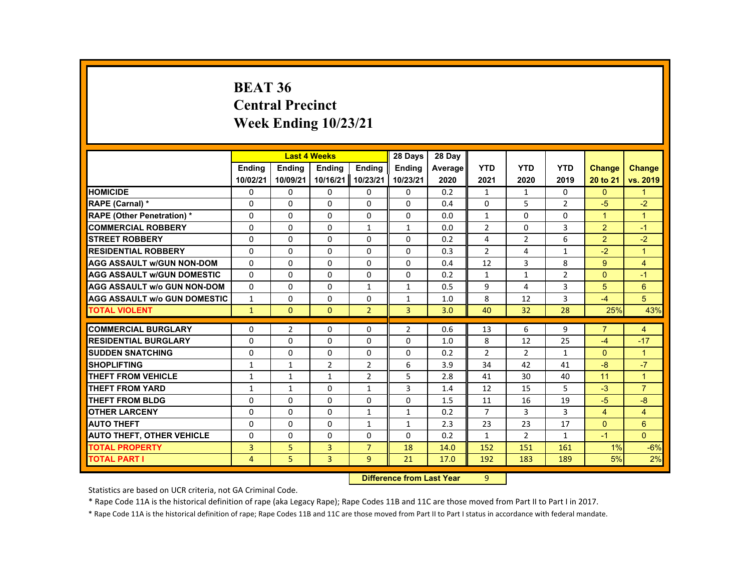# **BEAT 36 Central Precinct Week Ending 10/23/21**

|                                     |               | <b>Last 4 Weeks</b> |                |                | 28 Days                          | 28 Day         |                |                |                |                |                |
|-------------------------------------|---------------|---------------------|----------------|----------------|----------------------------------|----------------|----------------|----------------|----------------|----------------|----------------|
|                                     | <b>Endina</b> | <b>Ending</b>       | <b>Ending</b>  | <b>Endina</b>  | <b>Ending</b>                    | <b>Average</b> | <b>YTD</b>     | <b>YTD</b>     | <b>YTD</b>     | <b>Change</b>  | <b>Change</b>  |
|                                     | 10/02/21      | 10/09/21            | 10/16/21       | 10/23/21       | 10/23/21                         | 2020           | 2021           | 2020           | 2019           | 20 to 21       | vs. 2019       |
| <b>HOMICIDE</b>                     | 0             | 0                   | 0              | 0              | 0                                | 0.2            | 1              | 1              | 0              | $\mathbf{0}$   | 1              |
| RAPE (Carnal) *                     | $\Omega$      | $\Omega$            | $\Omega$       | $\Omega$       | $\Omega$                         | 0.4            | $\Omega$       | 5              | $\overline{2}$ | $-5$           | $-2$           |
| <b>RAPE (Other Penetration) *</b>   | 0             | $\Omega$            | 0              | $\Omega$       | $\Omega$                         | 0.0            | $\mathbf{1}$   | 0              | 0              | $\overline{1}$ | $\overline{1}$ |
| <b>COMMERCIAL ROBBERY</b>           | $\Omega$      | 0                   | $\Omega$       | $\mathbf{1}$   | 1                                | 0.0            | $\overline{2}$ | 0              | 3              | $\overline{2}$ | $-1$           |
| <b>STREET ROBBERY</b>               | $\Omega$      | $\Omega$            | $\Omega$       | $\Omega$       | $\Omega$                         | 0.2            | 4              | $\overline{2}$ | 6              | $\overline{2}$ | $-2$           |
| <b>RESIDENTIAL ROBBERY</b>          | $\Omega$      | $\Omega$            | $\Omega$       | $\Omega$       | 0                                | 0.3            | $\overline{2}$ | 4              | $\mathbf{1}$   | $-2$           | $\overline{1}$ |
| <b>AGG ASSAULT w/GUN NON-DOM</b>    | $\Omega$      | $\Omega$            | $\Omega$       | $\Omega$       | $\Omega$                         | 0.4            | 12             | 3              | 8              | 9              | 4              |
| <b>AGG ASSAULT W/GUN DOMESTIC</b>   | $\Omega$      | $\Omega$            | $\Omega$       | $\Omega$       | $\Omega$                         | 0.2            | $\mathbf{1}$   | $\mathbf{1}$   | $\overline{2}$ | $\Omega$       | $-1$           |
| <b>AGG ASSAULT w/o GUN NON-DOM</b>  | 0             | $\Omega$            | 0              | $\mathbf{1}$   | $\mathbf{1}$                     | 0.5            | 9              | 4              | 3              | 5              | 6              |
| <b>AGG ASSAULT w/o GUN DOMESTIC</b> | $\mathbf{1}$  | 0                   | 0              | 0              | $\mathbf{1}$                     | 1.0            | 8              | 12             | 3              | $-4$           | 5              |
| <b>TOTAL VIOLENT</b>                | $\mathbf{1}$  | $\Omega$            | $\Omega$       | $\overline{2}$ | 3                                | 3.0            | 40             | 32             | 28             | 25%            | 43%            |
| <b>COMMERCIAL BURGLARY</b>          | $\Omega$      | $\overline{2}$      | $\Omega$       | $\Omega$       | $\overline{2}$                   | 0.6            | 13             | 6              | 9              | $\overline{7}$ | 4              |
| <b>RESIDENTIAL BURGLARY</b>         | $\Omega$      | $\Omega$            | $\Omega$       | $\Omega$       | $\Omega$                         | 1.0            | 8              | 12             | 25             | $-4$           | $-17$          |
| <b>SUDDEN SNATCHING</b>             | 0             | 0                   | 0              | 0              | 0                                | 0.2            | $\overline{2}$ | $\overline{2}$ | $\mathbf{1}$   | $\mathbf{0}$   | $\mathbf{1}$   |
| <b>SHOPLIFTING</b>                  | $\mathbf{1}$  | $\mathbf{1}$        | $\overline{2}$ | $\overline{2}$ | 6                                | 3.9            | 34             | 42             | 41             | $-8$           | $-7$           |
| <b>THEFT FROM VEHICLE</b>           | $\mathbf{1}$  | $\mathbf{1}$        | $\mathbf{1}$   | $\overline{2}$ | 5                                | 2.8            | 41             | 30             | 40             | 11             | $\mathbf{1}$   |
| <b>THEFT FROM YARD</b>              | $\mathbf{1}$  | $\mathbf{1}$        | $\Omega$       | $\mathbf{1}$   | 3                                | 1.4            | 12             | 15             | 5              | $-3$           | $\overline{7}$ |
| <b>THEFT FROM BLDG</b>              | $\Omega$      | $\Omega$            | $\Omega$       | $\Omega$       | $\Omega$                         | 1.5            | 11             | 16             | 19             | $-5$           | $-8$           |
| <b>OTHER LARCENY</b>                | 0             | 0                   | 0              | 1              | 1                                | 0.2            | $\overline{7}$ | 3              | 3              | $\overline{4}$ | $\overline{4}$ |
| <b>AUTO THEFT</b>                   | $\Omega$      | $\Omega$            | $\Omega$       | $\mathbf{1}$   | $\mathbf{1}$                     | 2.3            | 23             | 23             | 17             | $\overline{0}$ | $6\phantom{a}$ |
| <b>AUTO THEFT, OTHER VEHICLE</b>    | $\Omega$      | $\Omega$            | $\Omega$       | $\Omega$       | $\Omega$                         | 0.2            | $\mathbf{1}$   | $\overline{2}$ | $\mathbf{1}$   | $-1$           | $\Omega$       |
| <b>TOTAL PROPERTY</b>               | 3             | 5                   | 3              | $\overline{7}$ | 18                               | 14.0           | 152            | 151            | 161            | 1%             | $-6%$          |
| <b>TOTAL PART I</b>                 | 4             | 5                   | 3              | 9              | 21                               | 17.0           | 192            | 183            | 189            | 5%             | 2%             |
|                                     |               |                     |                |                | <b>Difference from Last Year</b> |                | 9              |                |                |                |                |

 **Difference from Last Year**

Statistics are based on UCR criteria, not GA Criminal Code.

\* Rape Code 11A is the historical definition of rape (aka Legacy Rape); Rape Codes 11B and 11C are those moved from Part II to Part I in 2017.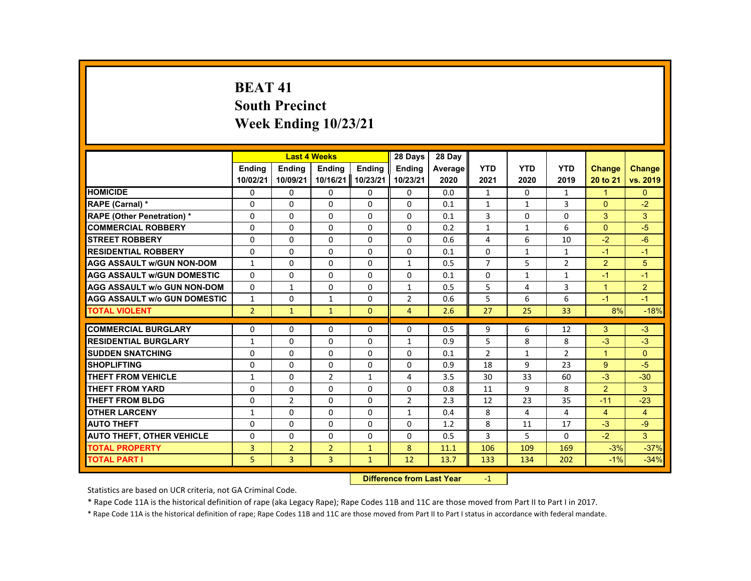# **BEAT 41 South Precinct Week Ending 10/23/21**

|                                     |                |                | <b>Last 4 Weeks</b> |                   | 28 Days        | 28 Day  |                |              |                |                |                |
|-------------------------------------|----------------|----------------|---------------------|-------------------|----------------|---------|----------------|--------------|----------------|----------------|----------------|
|                                     | <b>Endina</b>  | <b>Endina</b>  | <b>Endina</b>       | <b>Endina</b>     | <b>Endina</b>  | Average | <b>YTD</b>     | <b>YTD</b>   | <b>YTD</b>     | <b>Change</b>  | <b>Change</b>  |
|                                     | 10/02/21       | 10/09/21       |                     | 10/16/21 10/23/21 | 10/23/21       | 2020    | 2021           | 2020         | 2019           | 20 to 21       | vs. 2019       |
| <b>HOMICIDE</b>                     | 0              | 0              | 0                   | 0                 | 0              | 0.0     | 1              | 0            | $\mathbf{1}$   | $\mathbf{1}$   | $\Omega$       |
| RAPE (Carnal) *                     | $\Omega$       | $\Omega$       | $\Omega$            | $\Omega$          | $\Omega$       | 0.1     | $\mathbf{1}$   | $\mathbf{1}$ | 3              | $\Omega$       | $-2$           |
| <b>RAPE (Other Penetration) *</b>   | $\Omega$       | $\Omega$       | $\Omega$            | $\Omega$          | $\Omega$       | 0.1     | 3              | $\Omega$     | $\Omega$       | 3              | 3              |
| <b>COMMERCIAL ROBBERY</b>           | 0              | 0              | 0                   | 0                 | 0              | 0.2     | $\mathbf{1}$   | $\mathbf{1}$ | 6              | $\mathbf{0}$   | $-5$           |
| <b>STREET ROBBERY</b>               | $\Omega$       | $\Omega$       | $\Omega$            | $\Omega$          | $\Omega$       | 0.6     | 4              | 6            | 10             | $-2$           | $-6$           |
| <b>RESIDENTIAL ROBBERY</b>          | $\Omega$       | $\Omega$       | $\Omega$            | $\Omega$          | $\Omega$       | 0.1     | $\Omega$       | $\mathbf{1}$ | $\mathbf{1}$   | $-1$           | $-1$           |
| <b>AGG ASSAULT w/GUN NON-DOM</b>    | $\mathbf{1}$   | $\Omega$       | $\Omega$            | $\Omega$          | $\mathbf{1}$   | 0.5     | $\overline{7}$ | 5            | $\overline{2}$ | 2              | 5              |
| <b>AGG ASSAULT w/GUN DOMESTIC</b>   | $\Omega$       | $\Omega$       | $\Omega$            | $\Omega$          | $\Omega$       | 0.1     | $\Omega$       | $\mathbf{1}$ | $\mathbf{1}$   | $-1$           | $-1$           |
| <b>AGG ASSAULT w/o GUN NON-DOM</b>  | $\Omega$       | $\mathbf{1}$   | $\Omega$            | $\Omega$          | $\mathbf{1}$   | 0.5     | 5              | 4            | 3              | $\mathbf{1}$   | $\overline{2}$ |
| <b>AGG ASSAULT w/o GUN DOMESTIC</b> | $\mathbf{1}$   | 0              | 1                   | 0                 | $\overline{2}$ | 0.6     | 5              | 6            | 6              | $-1$           | $-1$           |
| <b>TOTAL VIOLENT</b>                | $\overline{2}$ | $\mathbf{1}$   | $\mathbf{1}$        | $\Omega$          | $\overline{4}$ | 2.6     | 27             | 25           | 33             | 8%             | $-18%$         |
|                                     |                |                |                     |                   |                |         |                |              |                |                |                |
| <b>COMMERCIAL BURGLARY</b>          | $\Omega$       | $\Omega$       | $\Omega$            | $\Omega$          | $\Omega$       | 0.5     | 9              | 6            | 12             | 3              | $-3$           |
| <b>RESIDENTIAL BURGLARY</b>         | $\mathbf{1}$   | 0              | 0                   | 0                 | $\mathbf{1}$   | 0.9     | 5              | 8            | 8              | $-3$           | $-3$           |
| <b>SUDDEN SNATCHING</b>             | $\Omega$       | $\Omega$       | $\Omega$            | $\Omega$          | $\Omega$       | 0.1     | $\overline{2}$ | $\mathbf{1}$ | $\overline{2}$ | $\overline{1}$ | $\Omega$       |
| <b>SHOPLIFTING</b>                  | $\Omega$       | $\Omega$       | $\Omega$            | $\Omega$          | $\Omega$       | 0.9     | 18             | 9            | 23             | 9              | $-5$           |
| THEFT FROM VEHICLE                  | $\mathbf{1}$   | 0              | $\overline{2}$      | 1                 | 4              | 3.5     | 30             | 33           | 60             | $-3$           | $-30$          |
| <b>THEFT FROM YARD</b>              | $\Omega$       | $\Omega$       | $\Omega$            | $\Omega$          | $\Omega$       | 0.8     | 11             | 9            | 8              | 2              | 3              |
| <b>THEFT FROM BLDG</b>              | $\Omega$       | $\overline{2}$ | $\Omega$            | $\Omega$          | $\overline{2}$ | 2.3     | 12             | 23           | 35             | $-11$          | $-23$          |
| <b>OTHER LARCENY</b>                | $\mathbf{1}$   | 0              | 0                   | 0                 | $\mathbf{1}$   | 0.4     | 8              | 4            | 4              | $\overline{4}$ | $\overline{4}$ |
| <b>AUTO THEFT</b>                   | $\Omega$       | $\Omega$       | $\Omega$            | $\Omega$          | $\Omega$       | 1.2     | 8              | 11           | 17             | $-3$           | $-9$           |
| <b>AUTO THEFT, OTHER VEHICLE</b>    | $\Omega$       | $\Omega$       | $\Omega$            | $\Omega$          | $\Omega$       | 0.5     | 3              | 5            | $\Omega$       | $-2$           | 3              |
| <b>TOTAL PROPERTY</b>               | 3              | $\overline{2}$ | $\overline{2}$      | $\mathbf{1}$      | 8              | 11.1    | 106            | 109          | 169            | $-3%$          | $-37%$         |
| <b>TOTAL PART I</b>                 | 5.             | $\overline{3}$ | $\overline{3}$      | $\mathbf{1}$      | 12             | 13.7    | 133            | 134          | 202            | $-1%$          | $-34%$         |

#### **Difference from Last Year**r -1

Statistics are based on UCR criteria, not GA Criminal Code.

\* Rape Code 11A is the historical definition of rape (aka Legacy Rape); Rape Codes 11B and 11C are those moved from Part II to Part I in 2017.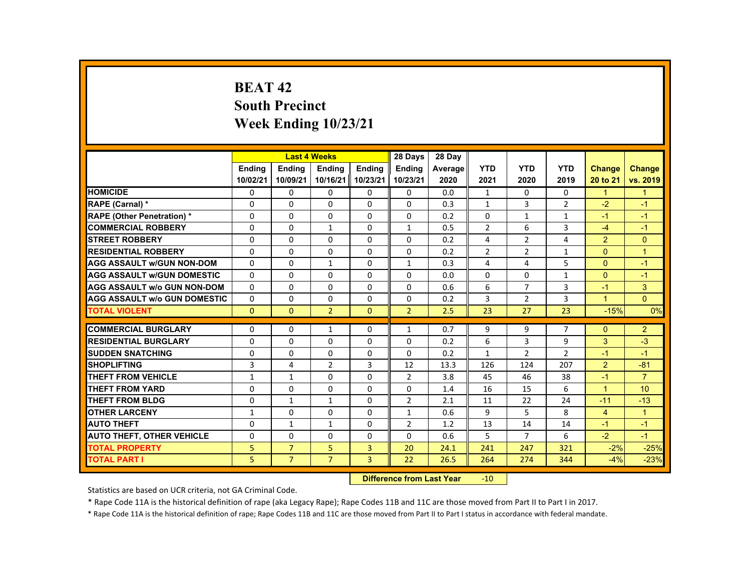# **BEAT 42 South Precinct Week Ending 10/23/21**

|                                     |               |                | <b>Last 4 Weeks</b> |                   | 28 Days        | 28 Day  |                |                |                |                      |                |
|-------------------------------------|---------------|----------------|---------------------|-------------------|----------------|---------|----------------|----------------|----------------|----------------------|----------------|
|                                     | <b>Endina</b> | <b>Endina</b>  | <b>Endina</b>       | <b>Endina</b>     | <b>Endina</b>  | Average | <b>YTD</b>     | <b>YTD</b>     | <b>YTD</b>     | <b>Change</b>        | <b>Change</b>  |
|                                     | 10/02/21      | 10/09/21       |                     | 10/16/21 10/23/21 | 10/23/21       | 2020    | 2021           | 2020           | 2019           | 20 to 21             | vs. 2019       |
| <b>HOMICIDE</b>                     | $\mathbf{0}$  | $\mathbf{0}$   | 0                   | 0                 | 0              | 0.0     | $\mathbf{1}$   | 0              | 0              | $\mathbf{1}$         | $\mathbf{1}$   |
| <b>RAPE (Carnal) *</b>              | $\Omega$      | $\Omega$       | $\Omega$            | $\Omega$          | $\Omega$       | 0.3     | $\mathbf{1}$   | 3              | $\overline{2}$ | $-2$                 | $-1$           |
| <b>RAPE (Other Penetration) *</b>   | $\Omega$      | $\Omega$       | $\Omega$            | $\Omega$          | $\Omega$       | 0.2     | $\Omega$       | $\mathbf{1}$   | $\mathbf{1}$   | $-1$                 | $-1$           |
| <b>COMMERCIAL ROBBERY</b>           | 0             | $\mathbf{0}$   | $\mathbf{1}$        | 0                 | 1              | 0.5     | $\overline{2}$ | 6              | 3              | $-4$                 | $-1$           |
| <b>STREET ROBBERY</b>               | 0             | $\Omega$       | $\Omega$            | $\Omega$          | $\Omega$       | 0.2     | 4              | 2              | 4              | $\overline{2}$       | $\Omega$       |
| <b>RESIDENTIAL ROBBERY</b>          | $\Omega$      | $\Omega$       | $\Omega$            | $\Omega$          | $\Omega$       | 0.2     | $\overline{2}$ | $\overline{2}$ | $\mathbf{1}$   | $\Omega$             | $\overline{1}$ |
| <b>AGG ASSAULT w/GUN NON-DOM</b>    | $\Omega$      | $\mathbf{0}$   | $\mathbf{1}$        | 0                 | $\mathbf{1}$   | 0.3     | 4              | 4              | 5              | $\Omega$             | $-1$           |
| <b>AGG ASSAULT WGUN DOMESTIC</b>    | $\Omega$      | $\Omega$       | $\Omega$            | 0                 | $\Omega$       | 0.0     | 0              | 0              | $\mathbf{1}$   | $\Omega$             | $-1$           |
| <b>AGG ASSAULT W/o GUN NON-DOM</b>  | $\Omega$      | $\mathbf{0}$   | $\Omega$            | $\Omega$          | $\Omega$       | 0.6     | 6              | $\overline{7}$ | 3              | $-1$                 | 3              |
| <b>AGG ASSAULT W/o GUN DOMESTIC</b> | $\Omega$      | $\Omega$       | $\Omega$            | $\Omega$          | $\Omega$       | 0.2     | 3              | $\overline{2}$ | 3              | $\blacktriangleleft$ | $\Omega$       |
| <b>TOTAL VIOLENT</b>                | $\Omega$      | $\Omega$       | $\overline{2}$      | $\Omega$          | $\overline{2}$ | 2.5     | 23             | 27             | 23             | $-15%$               | 0%             |
|                                     |               |                |                     |                   |                |         |                |                |                |                      |                |
| <b>COMMERCIAL BURGLARY</b>          | $\Omega$      | $\Omega$       | $\mathbf{1}$        | $\Omega$          | $\mathbf{1}$   | 0.7     | 9              | 9              | $\overline{7}$ | $\Omega$             | $\overline{2}$ |
| <b>RESIDENTIAL BURGLARY</b>         | 0             | $\mathbf{0}$   | 0                   | 0                 | 0              | 0.2     | 6              | 3              | 9              | 3                    | $-3$           |
| <b>SUDDEN SNATCHING</b>             | $\Omega$      | $\Omega$       | $\Omega$            | $\Omega$          | $\Omega$       | 0.2     | $\mathbf{1}$   | $\overline{2}$ | $\overline{2}$ | $-1$                 | $-1$           |
| <b>SHOPLIFTING</b>                  | 3             | 4              | $\overline{2}$      | $\mathbf{3}$      | 12             | 13.3    | 126            | 124            | 207            | $\overline{2}$       | $-81$          |
| THEFT FROM VEHICLE                  | $\mathbf{1}$  | $\mathbf{1}$   | 0                   | 0                 | $\overline{2}$ | 3.8     | 45             | 46             | 38             | $-1$                 | $\overline{7}$ |
| <b>THEFT FROM YARD</b>              | $\Omega$      | $\Omega$       | $\Omega$            | $\Omega$          | $\Omega$       | 1.4     | 16             | 15             | 6              | $\mathbf{1}$         | 10             |
| THEFT FROM BLDG                     | $\Omega$      | $\mathbf{1}$   | $\mathbf{1}$        | $\Omega$          | $\overline{2}$ | 2.1     | 11             | 22             | 24             | $-11$                | $-13$          |
| <b>OTHER LARCENY</b>                | 1             | $\mathbf{0}$   | 0                   | 0                 | 1              | 0.6     | 9              | 5              | 8              | $\overline{4}$       | $\mathbf{1}$   |
| <b>AUTO THEFT</b>                   | $\Omega$      | $\mathbf{1}$   | $\mathbf{1}$        | $\Omega$          | $\overline{2}$ | 1.2     | 13             | 14             | 14             | $-1$                 | $-1$           |
| <b>AUTO THEFT, OTHER VEHICLE</b>    | $\Omega$      | $\Omega$       | $\Omega$            | $\Omega$          | $\Omega$       | 0.6     | 5              | $\overline{7}$ | 6              | $-2$                 | $-1$           |
| <b>TOTAL PROPERTY</b>               | 5             | $\overline{7}$ | 5                   | $\overline{3}$    | 20             | 24.1    | 241            | 247            | 321            | $-2%$                | $-25%$         |
| <b>TOTAL PART I</b>                 | 5             | $\overline{7}$ | $\overline{7}$      | $\overline{3}$    | 22             | 26.5    | 264            | 274            | 344            | $-4%$                | $-23%$         |

#### **Difference from Last Year**r -10

Statistics are based on UCR criteria, not GA Criminal Code.

\* Rape Code 11A is the historical definition of rape (aka Legacy Rape); Rape Codes 11B and 11C are those moved from Part II to Part I in 2017.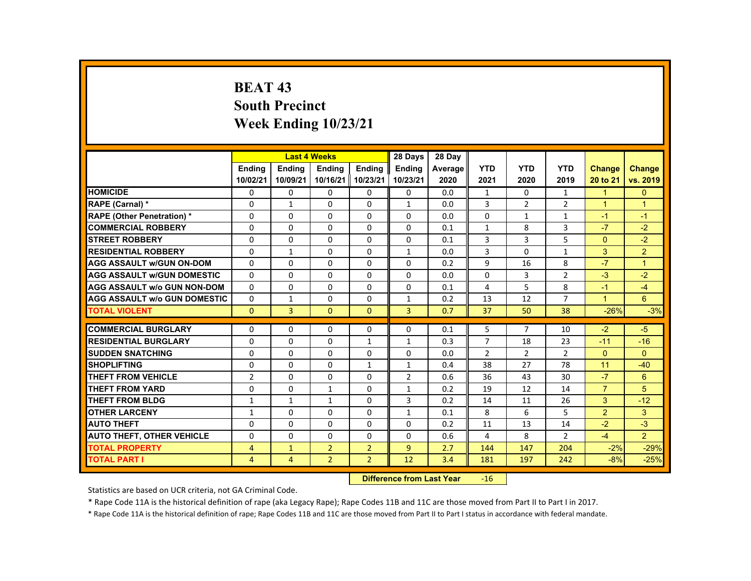# **BEAT 43 South Precinct Week Ending 10/23/21**

|                                     |                |                | <b>Last 4 Weeks</b> |                | 28 Days        | 28 Day  |                |                |                |                      |                |
|-------------------------------------|----------------|----------------|---------------------|----------------|----------------|---------|----------------|----------------|----------------|----------------------|----------------|
|                                     | <b>Endina</b>  | <b>Endina</b>  | <b>Endina</b>       | <b>Endina</b>  | <b>Endina</b>  | Average | <b>YTD</b>     | <b>YTD</b>     | <b>YTD</b>     | <b>Change</b>        | Change         |
|                                     | 10/02/21       | 10/09/21       | 10/16/21 10/23/21   |                | 10/23/21       | 2020    | 2021           | 2020           | 2019           | 20 to 21             | vs. 2019       |
| <b>HOMICIDE</b>                     | 0              | 0              | 0                   | 0              | 0              | 0.0     | $\mathbf{1}$   | $\Omega$       | $\mathbf{1}$   | $\mathbf{1}$         | $\mathbf{0}$   |
| RAPE (Carnal) *                     | $\Omega$       | 1              | $\Omega$            | $\Omega$       | $\mathbf{1}$   | 0.0     | 3              | 2              | $\overline{2}$ | $\overline{1}$       | $\overline{1}$ |
| <b>RAPE (Other Penetration) *</b>   | $\Omega$       | $\Omega$       | $\Omega$            | $\Omega$       | $\Omega$       | 0.0     | $\Omega$       | $\mathbf{1}$   | $\mathbf{1}$   | $-1$                 | $-1$           |
| <b>COMMERCIAL ROBBERY</b>           | $\Omega$       | $\Omega$       | $\Omega$            | $\Omega$       | $\Omega$       | 0.1     | $\mathbf{1}$   | 8              | 3              | $-7$                 | $-2$           |
| <b>STREET ROBBERY</b>               | $\Omega$       | $\Omega$       | $\Omega$            | $\Omega$       | $\Omega$       | 0.1     | 3              | 3              | 5              | $\Omega$             | $-2$           |
| <b>RESIDENTIAL ROBBERY</b>          | $\Omega$       | $\mathbf{1}$   | $\Omega$            | $\Omega$       | $\mathbf{1}$   | 0.0     | 3              | $\Omega$       | $\mathbf{1}$   | 3                    | $\overline{2}$ |
| <b>AGG ASSAULT w/GUN ON-DOM</b>     | $\Omega$       | $\Omega$       | $\Omega$            | $\Omega$       | $\Omega$       | 0.2     | 9              | 16             | 8              | $-7$                 | $\overline{1}$ |
| <b>AGG ASSAULT w/GUN DOMESTIC</b>   | $\Omega$       | $\Omega$       | $\Omega$            | $\Omega$       | $\Omega$       | 0.0     | $\Omega$       | 3              | $\overline{2}$ | $-3$                 | $-2$           |
| <b>AGG ASSAULT w/o GUN NON-DOM</b>  | $\Omega$       | 0              | $\Omega$            | 0              | $\Omega$       | 0.1     | 4              | 5              | 8              | $-1$                 | $-4$           |
| <b>AGG ASSAULT W/o GUN DOMESTIC</b> | $\Omega$       | $\mathbf{1}$   | $\Omega$            | $\Omega$       | $\mathbf{1}$   | 0.2     | 13             | 12             | $\overline{7}$ | $\blacktriangleleft$ | 6              |
| <b>TOTAL VIOLENT</b>                | $\Omega$       | $\overline{3}$ | $\Omega$            | $\Omega$       | $\overline{3}$ | 0.7     | 37             | 50             | 38             | $-26%$               | $-3%$          |
|                                     |                |                |                     |                |                |         |                |                |                |                      |                |
| <b>COMMERCIAL BURGLARY</b>          | $\Omega$       | $\Omega$       | $\Omega$            | 0              | $\Omega$       | 0.1     | 5              | $\overline{7}$ | 10             | $-2$                 | $-5$           |
| <b>RESIDENTIAL BURGLARY</b>         | $\Omega$       | 0              | $\Omega$            | $\mathbf{1}$   | $\mathbf{1}$   | 0.3     | $\overline{7}$ | 18             | 23             | $-11$                | $-16$          |
| <b>SUDDEN SNATCHING</b>             | $\Omega$       | $\Omega$       | $\Omega$            | $\Omega$       | $\Omega$       | 0.0     | $\overline{2}$ | 2              | $\overline{2}$ | $\Omega$             | $\Omega$       |
| <b>SHOPLIFTING</b>                  | $\Omega$       | $\Omega$       | $\Omega$            | $\mathbf{1}$   | $\mathbf{1}$   | 0.4     | 38             | 27             | 78             | 11                   | $-40$          |
| <b>THEFT FROM VEHICLE</b>           | $\overline{2}$ | 0              | 0                   | 0              | $\overline{2}$ | 0.6     | 36             | 43             | 30             | $-7$                 | 6              |
| <b>THEFT FROM YARD</b>              | $\Omega$       | $\Omega$       | $\mathbf{1}$        | $\Omega$       | $\mathbf{1}$   | 0.2     | 19             | 12             | 14             | $\overline{7}$       | 5              |
| <b>THEFT FROM BLDG</b>              | $\mathbf{1}$   | $\mathbf{1}$   | $\mathbf{1}$        | $\Omega$       | 3              | 0.2     | 14             | 11             | 26             | 3                    | $-12$          |
| <b>OTHER LARCENY</b>                | $\mathbf{1}$   | $\Omega$       | $\Omega$            | $\Omega$       | $\mathbf{1}$   | 0.1     | 8              | 6              | 5              | $\overline{2}$       | 3              |
| <b>AUTO THEFT</b>                   | $\Omega$       | $\Omega$       | $\Omega$            | $\Omega$       | $\Omega$       | 0.2     | 11             | 13             | 14             | $-2$                 | $-3$           |
| <b>AUTO THEFT, OTHER VEHICLE</b>    | $\Omega$       | $\Omega$       | $\Omega$            | $\Omega$       | $\Omega$       | 0.6     | 4              | 8              | $\overline{2}$ | $-4$                 | $\overline{2}$ |
| <b>TOTAL PROPERTY</b>               | 4              | $\mathbf{1}$   | $\overline{2}$      | $\overline{2}$ | $\overline{9}$ | 2.7     | 144            | 147            | 204            | $-2%$                | $-29%$         |
| <b>TOTAL PART I</b>                 | $\overline{4}$ | $\overline{4}$ | $\overline{2}$      | $\overline{2}$ | 12             | 3.4     | 181            | 197            | 242            | $-8%$                | $-25%$         |

#### **Difference from Last Year**r -16

Statistics are based on UCR criteria, not GA Criminal Code.

\* Rape Code 11A is the historical definition of rape (aka Legacy Rape); Rape Codes 11B and 11C are those moved from Part II to Part I in 2017.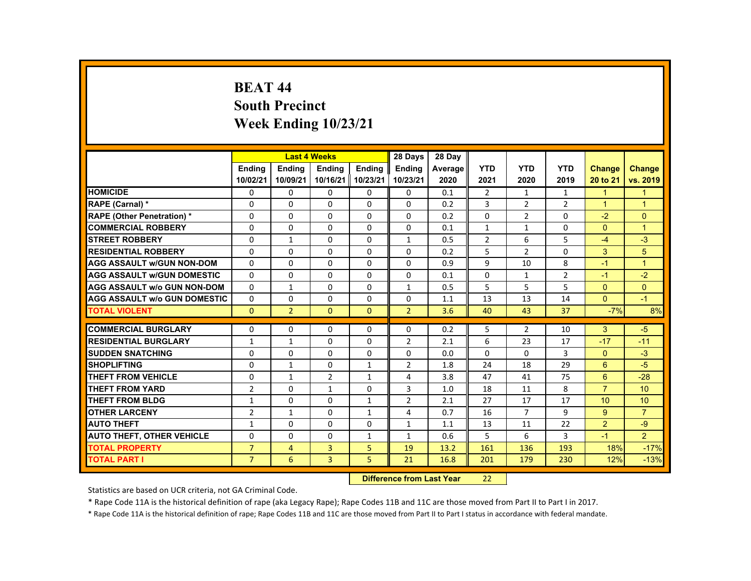# **BEAT 44 South Precinct Week Ending 10/23/21**

|                                     |                |                | <b>Last 4 Weeks</b> |               | 28 Days        | 28 Day  |                |                |                |                      |                |
|-------------------------------------|----------------|----------------|---------------------|---------------|----------------|---------|----------------|----------------|----------------|----------------------|----------------|
|                                     | <b>Endina</b>  | <b>Endina</b>  | <b>Endina</b>       | <b>Endina</b> | <b>Endina</b>  | Average | <b>YTD</b>     | <b>YTD</b>     | <b>YTD</b>     | <b>Change</b>        | Change         |
|                                     | 10/02/21       | 10/09/21       | 10/16/21 10/23/21   |               | 10/23/21       | 2020    | 2021           | 2020           | 2019           | 20 to 21             | vs. 2019       |
| <b>HOMICIDE</b>                     | 0              | 0              | 0                   | 0             | 0              | 0.1     | $\overline{2}$ | $\mathbf{1}$   | $\mathbf{1}$   | $\mathbf{1}$         | $\overline{1}$ |
| RAPE (Carnal) *                     | $\Omega$       | $\Omega$       | $\Omega$            | $\Omega$      | $\Omega$       | 0.2     | 3              | 2              | $\overline{2}$ | $\blacktriangleleft$ | $\overline{1}$ |
| <b>RAPE (Other Penetration) *</b>   | $\Omega$       | $\Omega$       | $\Omega$            | $\Omega$      | $\Omega$       | 0.2     | $\Omega$       | $\overline{2}$ | $\Omega$       | $-2$                 | $\Omega$       |
| <b>COMMERCIAL ROBBERY</b>           | $\Omega$       | $\Omega$       | $\Omega$            | $\Omega$      | $\Omega$       | 0.1     | $\mathbf{1}$   | $\mathbf{1}$   | $\Omega$       | $\Omega$             | $\mathbf{1}$   |
| <b>STREET ROBBERY</b>               | $\Omega$       | $\mathbf{1}$   | $\Omega$            | $\Omega$      | $\mathbf{1}$   | 0.5     | $\overline{2}$ | 6              | 5              | $-4$                 | $-3$           |
| <b>RESIDENTIAL ROBBERY</b>          | $\Omega$       | $\Omega$       | $\Omega$            | $\Omega$      | $\Omega$       | 0.2     | 5              | $\overline{2}$ | $\Omega$       | 3                    | 5              |
| <b>AGG ASSAULT w/GUN NON-DOM</b>    | $\Omega$       | $\Omega$       | $\Omega$            | $\Omega$      | $\Omega$       | 0.9     | $\mathbf{q}$   | 10             | 8              | $-1$                 | $\overline{1}$ |
| <b>AGG ASSAULT w/GUN DOMESTIC</b>   | $\Omega$       | $\Omega$       | $\Omega$            | $\Omega$      | $\Omega$       | 0.1     | $\Omega$       | $\mathbf{1}$   | $\overline{2}$ | $-1$                 | $-2$           |
| <b>AGG ASSAULT w/o GUN NON-DOM</b>  | $\Omega$       | $\mathbf{1}$   | 0                   | 0             | $\mathbf{1}$   | 0.5     | 5              | 5              | 5              | $\Omega$             | $\Omega$       |
| <b>AGG ASSAULT W/o GUN DOMESTIC</b> | $\Omega$       | $\Omega$       | $\Omega$            | $\Omega$      | $\Omega$       | 1.1     | 13             | 13             | 14             | $\Omega$             | $-1$           |
| <b>TOTAL VIOLENT</b>                | $\Omega$       | $\overline{2}$ | $\Omega$            | $\Omega$      | $\overline{2}$ | 3.6     | 40             | 43             | 37             | $-7%$                | 8%             |
|                                     |                |                |                     |               |                |         |                |                |                |                      |                |
| <b>COMMERCIAL BURGLARY</b>          | $\Omega$       | $\Omega$       | $\Omega$            | 0             | $\Omega$       | 0.2     | 5              | $\overline{2}$ | 10             | 3                    | $-5$           |
| <b>RESIDENTIAL BURGLARY</b>         | $\mathbf{1}$   | $\mathbf{1}$   | $\Omega$            | $\Omega$      | $\overline{2}$ | 2.1     | 6              | 23             | 17             | $-17$                | $-11$          |
| <b>SUDDEN SNATCHING</b>             | $\Omega$       | $\Omega$       | $\Omega$            | $\Omega$      | $\Omega$       | 0.0     | $\Omega$       | $\Omega$       | 3              | $\Omega$             | $-3$           |
| <b>SHOPLIFTING</b>                  | $\Omega$       | $\mathbf{1}$   | $\Omega$            | $\mathbf{1}$  | $\overline{2}$ | 1.8     | 24             | 18             | 29             | 6                    | $-5$           |
| <b>THEFT FROM VEHICLE</b>           | 0              | $\mathbf{1}$   | $\overline{2}$      | $\mathbf{1}$  | 4              | 3.8     | 47             | 41             | 75             | 6                    | $-28$          |
| <b>THEFT FROM YARD</b>              | $\overline{2}$ | $\Omega$       | $\mathbf{1}$        | $\Omega$      | 3              | 1.0     | 18             | 11             | 8              | $\overline{7}$       | 10             |
| <b>THEFT FROM BLDG</b>              | $\mathbf{1}$   | $\Omega$       | $\Omega$            | $\mathbf{1}$  | $\overline{2}$ | 2.1     | 27             | 17             | 17             | 10                   | 10             |
| <b>OTHER LARCENY</b>                | $\overline{2}$ | $\mathbf{1}$   | $\Omega$            | $\mathbf{1}$  | 4              | 0.7     | 16             | $\overline{7}$ | 9              | 9                    | $\overline{7}$ |
| <b>AUTO THEFT</b>                   | $\mathbf{1}$   | $\Omega$       | $\Omega$            | $\Omega$      | $\mathbf{1}$   | 1.1     | 13             | 11             | 22             | 2                    | $-9$           |
| <b>AUTO THEFT, OTHER VEHICLE</b>    | $\Omega$       | $\Omega$       | $\Omega$            | $\mathbf{1}$  | $\mathbf{1}$   | 0.6     | 5              | 6              | 3              | $-1$                 | $\overline{2}$ |
| <b>TOTAL PROPERTY</b>               | $\overline{7}$ | $\overline{4}$ | 3                   | 5             | 19             | 13.2    | 161            | 136            | 193            | 18%                  | $-17%$         |
| <b>TOTAL PART I</b>                 | $\overline{7}$ | 6              | $\overline{3}$      | 5             | 21             | 16.8    | 201            | 179            | 230            | 12%                  | $-13%$         |

#### **Difference from Last Year**22

Statistics are based on UCR criteria, not GA Criminal Code.

\* Rape Code 11A is the historical definition of rape (aka Legacy Rape); Rape Codes 11B and 11C are those moved from Part II to Part I in 2017.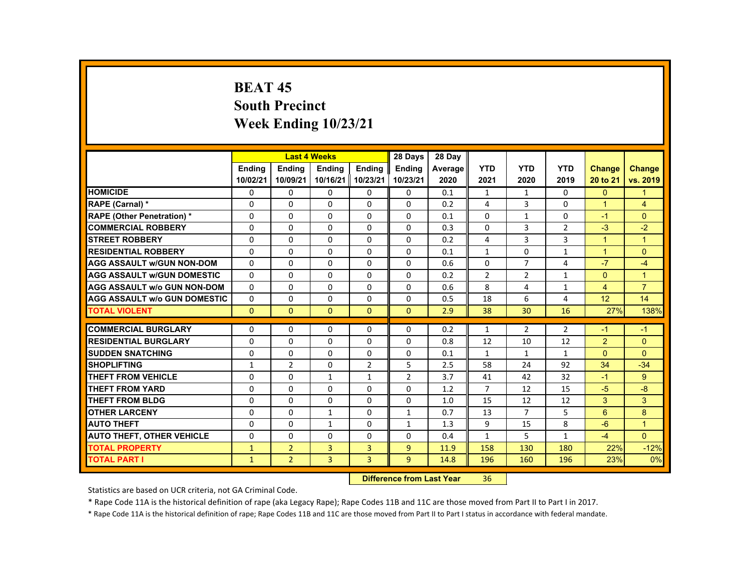# **BEAT 45 South Precinct Week Ending 10/23/21**

|                                     |               |                | <b>Last 4 Weeks</b> |                | 28 Days        | 28 Day  |                |                |                |                      |                      |
|-------------------------------------|---------------|----------------|---------------------|----------------|----------------|---------|----------------|----------------|----------------|----------------------|----------------------|
|                                     | <b>Endina</b> | <b>Endina</b>  | <b>Endina</b>       | <b>Endina</b>  | <b>Endina</b>  | Average | <b>YTD</b>     | <b>YTD</b>     | <b>YTD</b>     | <b>Change</b>        | Change               |
|                                     | 10/02/21      | 10/09/21       | 10/16/21   10/23/21 |                | 10/23/21       | 2020    | 2021           | 2020           | 2019           | 20 to 21             | vs. 2019             |
| <b>HOMICIDE</b>                     | 0             | 0              | 0                   | 0              | 0              | 0.1     | $\mathbf{1}$   | $\mathbf{1}$   | $\Omega$       | $\mathbf{0}$         | 1                    |
| <b>RAPE (Carnal) *</b>              | $\Omega$      | $\Omega$       | $\Omega$            | $\Omega$       | $\Omega$       | 0.2     | 4              | 3              | $\Omega$       | $\blacktriangleleft$ | $\overline{4}$       |
| <b>RAPE (Other Penetration) *</b>   | $\Omega$      | $\Omega$       | $\Omega$            | $\Omega$       | $\Omega$       | 0.1     | $\Omega$       | $\mathbf{1}$   | $\Omega$       | $-1$                 | $\Omega$             |
| <b>COMMERCIAL ROBBERY</b>           | $\Omega$      | $\Omega$       | $\Omega$            | $\Omega$       | $\Omega$       | 0.3     | $\Omega$       | 3              | $\overline{2}$ | $-3$                 | $-2$                 |
| <b>STREET ROBBERY</b>               | $\Omega$      | $\Omega$       | $\Omega$            | $\Omega$       | $\Omega$       | 0.2     | 4              | 3              | 3              | $\blacktriangleleft$ | $\overline{1}$       |
| <b>RESIDENTIAL ROBBERY</b>          | $\Omega$      | $\Omega$       | $\Omega$            | $\Omega$       | $\Omega$       | 0.1     | $\mathbf{1}$   | $\Omega$       | $\mathbf{1}$   | $\overline{1}$       | $\Omega$             |
| <b>AGG ASSAULT w/GUN NON-DOM</b>    | $\Omega$      | $\Omega$       | $\Omega$            | $\Omega$       | $\Omega$       | 0.6     | $\Omega$       | $\overline{7}$ | 4              | $-7$                 | $-4$                 |
| <b>AGG ASSAULT w/GUN DOMESTIC</b>   | $\Omega$      | $\Omega$       | $\Omega$            | 0              | 0              | 0.2     | $\overline{2}$ | $\overline{2}$ | $\mathbf{1}$   | $\Omega$             | $\blacktriangleleft$ |
| <b>AGG ASSAULT w/o GUN NON-DOM</b>  | $\Omega$      | $\Omega$       | $\Omega$            | $\Omega$       | $\Omega$       | 0.6     | 8              | 4              | $\mathbf{1}$   | $\overline{4}$       | $\overline{7}$       |
| <b>AGG ASSAULT W/o GUN DOMESTIC</b> | $\Omega$      | $\Omega$       | $\Omega$            | $\Omega$       | $\Omega$       | 0.5     | 18             | 6              | 4              | 12                   | 14                   |
| <b>TOTAL VIOLENT</b>                | $\mathbf{0}$  | $\Omega$       | $\Omega$            | $\Omega$       | $\Omega$       | 2.9     | 38             | 30             | 16             | 27%                  | 138%                 |
|                                     |               |                |                     |                |                |         |                |                |                |                      |                      |
| <b>COMMERCIAL BURGLARY</b>          | $\Omega$      | $\Omega$       | $\Omega$            | $\Omega$       | $\Omega$       | 0.2     | $\mathbf{1}$   | $\overline{2}$ | $\overline{2}$ | -1                   | $-1$                 |
| <b>RESIDENTIAL BURGLARY</b>         | $\Omega$      | $\Omega$       | $\Omega$            | $\Omega$       | $\Omega$       | 0.8     | 12             | 10             | 12             | 2                    | $\Omega$             |
| <b>SUDDEN SNATCHING</b>             | $\Omega$      | $\Omega$       | $\Omega$            | $\Omega$       | $\Omega$       | 0.1     | $\mathbf{1}$   | $\mathbf{1}$   | $\mathbf{1}$   | $\Omega$             | $\Omega$             |
| <b>SHOPLIFTING</b>                  | $\mathbf{1}$  | $\overline{2}$ | $\Omega$            | $\overline{2}$ | 5              | 2.5     | 58             | 24             | 92             | 34                   | $-34$                |
| <b>THEFT FROM VEHICLE</b>           | 0             | 0              | 1                   | $\mathbf{1}$   | $\overline{2}$ | 3.7     | 41             | 42             | 32             | $-1$                 | 9                    |
| <b>THEFT FROM YARD</b>              | $\Omega$      | $\Omega$       | $\Omega$            | $\Omega$       | $\Omega$       | 1.2     | $\overline{7}$ | 12             | 15             | $-5$                 | $-8$                 |
| <b>THEFT FROM BLDG</b>              | $\Omega$      | $\Omega$       | $\Omega$            | $\Omega$       | $\Omega$       | 1.0     | 15             | 12             | 12             | 3                    | 3                    |
| <b>OTHER LARCENY</b>                | $\Omega$      | $\Omega$       | $\mathbf{1}$        | $\Omega$       | $\mathbf{1}$   | 0.7     | 13             | $\overline{7}$ | 5              | 6                    | 8                    |
| <b>AUTO THEFT</b>                   | $\Omega$      | $\Omega$       | $\mathbf{1}$        | $\Omega$       | $\mathbf{1}$   | 1.3     | 9              | 15             | 8              | $-6$                 | $\blacktriangleleft$ |
| <b>AUTO THEFT, OTHER VEHICLE</b>    | $\Omega$      | $\Omega$       | $\Omega$            | $\Omega$       | $\Omega$       | 0.4     | $\mathbf{1}$   | 5              | $\mathbf{1}$   | $-4$                 | $\Omega$             |
| <b>TOTAL PROPERTY</b>               | $\mathbf{1}$  | $\overline{2}$ | 3                   | 3              | $\overline{9}$ | 11.9    | 158            | 130            | 180            | 22%                  | $-12%$               |
| <b>TOTAL PART I</b>                 | $\mathbf{1}$  | $\overline{2}$ | $\overline{3}$      | $\overline{3}$ | 9 <sup>°</sup> | 14.8    | 196            | 160            | 196            | 23%                  | 0%                   |

#### **Difference from Last Year**r 36

Statistics are based on UCR criteria, not GA Criminal Code.

\* Rape Code 11A is the historical definition of rape (aka Legacy Rape); Rape Codes 11B and 11C are those moved from Part II to Part I in 2017.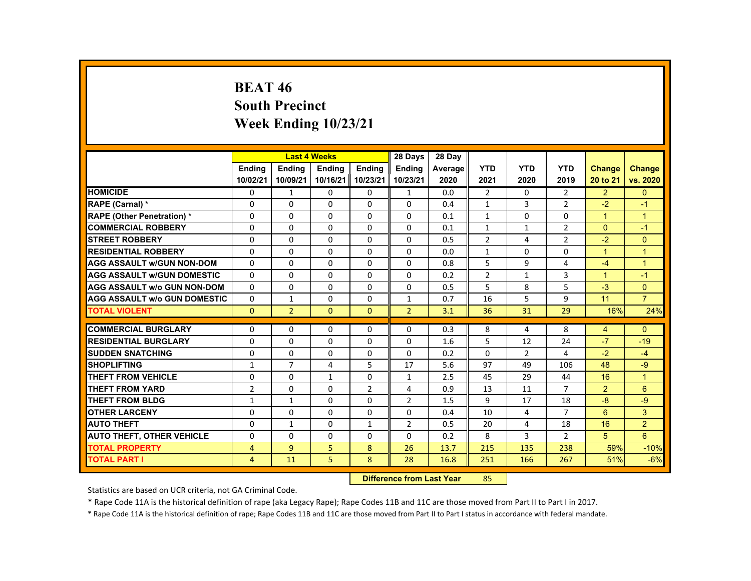# **BEAT 46 South Precinct Week Ending 10/23/21**

|                                     |                |                | <b>Last 4 Weeks</b> |                   | 28 Days        | 28 Day  |                |                |                |                      |                |
|-------------------------------------|----------------|----------------|---------------------|-------------------|----------------|---------|----------------|----------------|----------------|----------------------|----------------|
|                                     | <b>Endina</b>  | <b>Endina</b>  | <b>Endina</b>       | <b>Endina</b>     | <b>Endina</b>  | Average | <b>YTD</b>     | <b>YTD</b>     | <b>YTD</b>     | <b>Change</b>        | <b>Change</b>  |
|                                     | 10/02/21       | 10/09/21       |                     | 10/16/21 10/23/21 | 10/23/21       | 2020    | 2021           | 2020           | 2019           | 20 to 21             | vs. 2020       |
| <b>HOMICIDE</b>                     | $\mathbf{0}$   | $\mathbf{1}$   | 0                   | 0                 | $\mathbf{1}$   | 0.0     | $\overline{2}$ | 0              | $\overline{2}$ | $\overline{2}$       | $\mathbf{0}$   |
| <b>RAPE (Carnal) *</b>              | $\Omega$       | $\Omega$       | $\Omega$            | $\Omega$          | $\Omega$       | 0.4     | $\mathbf{1}$   | 3              | $\overline{2}$ | $-2$                 | $-1$           |
| <b>RAPE (Other Penetration) *</b>   | $\Omega$       | $\Omega$       | $\Omega$            | $\Omega$          | $\Omega$       | 0.1     | $\mathbf{1}$   | $\Omega$       | $\Omega$       | $\mathbf{1}$         | $\overline{1}$ |
| <b>COMMERCIAL ROBBERY</b>           | 0              | $\mathbf{0}$   | 0                   | 0                 | 0              | 0.1     | $\mathbf{1}$   | $\mathbf{1}$   | $\overline{2}$ | $\Omega$             | $-1$           |
| <b>STREET ROBBERY</b>               | 0              | $\Omega$       | $\Omega$            | $\Omega$          | $\Omega$       | 0.5     | $\overline{2}$ | 4              | $\overline{2}$ | $-2$                 | $\Omega$       |
| <b>RESIDENTIAL ROBBERY</b>          | $\Omega$       | $\Omega$       | $\Omega$            | $\Omega$          | $\Omega$       | 0.0     | $\mathbf{1}$   | $\Omega$       | $\Omega$       | $\mathbf{1}$         | $\overline{1}$ |
| <b>AGG ASSAULT w/GUN NON-DOM</b>    | $\Omega$       | $\mathbf{0}$   | 0                   | 0                 | 0              | 0.8     | 5              | 9              | 4              | $-4$                 | $\overline{1}$ |
| <b>AGG ASSAULT WGUN DOMESTIC</b>    | $\Omega$       | $\Omega$       | $\Omega$            | 0                 | 0              | 0.2     | $\overline{2}$ | $\mathbf{1}$   | 3              | $\blacktriangleleft$ | $-1$           |
| <b>AGG ASSAULT W/o GUN NON-DOM</b>  | $\Omega$       | $\mathbf{0}$   | 0                   | $\Omega$          | $\Omega$       | 0.5     | 5              | 8              | 5              | $-3$                 | $\mathbf{0}$   |
| <b>AGG ASSAULT W/o GUN DOMESTIC</b> | $\Omega$       | $\mathbf{1}$   | $\Omega$            | $\Omega$          | $\mathbf{1}$   | 0.7     | 16             | 5              | 9              | 11                   | $\overline{7}$ |
| <b>TOTAL VIOLENT</b>                | $\Omega$       | $\overline{2}$ | $\Omega$            | $\Omega$          | $\overline{2}$ | 3.1     | 36             | 31             | 29             | 16%                  | 24%            |
|                                     |                |                |                     |                   |                |         |                |                |                |                      |                |
| <b>COMMERCIAL BURGLARY</b>          | $\Omega$       | $\Omega$       | $\Omega$            | $\Omega$          | $\Omega$       | 0.3     | 8              | 4              | 8              | $\overline{4}$       | $\Omega$       |
| <b>RESIDENTIAL BURGLARY</b>         | 0              | $\mathbf{0}$   | 0                   | 0                 | 0              | 1.6     | 5              | 12             | 24             | $-7$                 | $-19$          |
| <b>SUDDEN SNATCHING</b>             | $\Omega$       | $\Omega$       | $\Omega$            | $\Omega$          | $\Omega$       | 0.2     | $\Omega$       | $\overline{2}$ | 4              | $-2$                 | $-4$           |
| <b>SHOPLIFTING</b>                  | $\mathbf{1}$   | $\overline{7}$ | 4                   | 5                 | 17             | 5.6     | 97             | 49             | 106            | 48                   | $-9$           |
| THEFT FROM VEHICLE                  | 0              | $\mathbf{0}$   | $\mathbf{1}$        | 0                 | 1              | 2.5     | 45             | 29             | 44             | 16                   | $\overline{1}$ |
| <b>THEFT FROM YARD</b>              | $\overline{2}$ | $\Omega$       | $\Omega$            | $\overline{2}$    | 4              | 0.9     | 13             | 11             | $\overline{7}$ | 2                    | 6              |
| THEFT FROM BLDG                     | $\mathbf{1}$   | $\mathbf{1}$   | $\Omega$            | $\Omega$          | $\overline{2}$ | 1.5     | 9              | 17             | 18             | $-8$                 | $-9$           |
| <b>OTHER LARCENY</b>                | 0              | $\mathbf{0}$   | 0                   | 0                 | 0              | 0.4     | 10             | 4              | 7              | 6                    | 3              |
| <b>AUTO THEFT</b>                   | $\Omega$       | $\mathbf{1}$   | $\Omega$            | $\mathbf{1}$      | $\overline{2}$ | 0.5     | 20             | 4              | 18             | 16                   | $\overline{2}$ |
| <b>AUTO THEFT, OTHER VEHICLE</b>    | $\Omega$       | $\Omega$       | $\Omega$            | $\Omega$          | $\Omega$       | 0.2     | 8              | 3              | $\overline{2}$ | 5                    | 6              |
| <b>TOTAL PROPERTY</b>               | 4              | $\overline{9}$ | 5                   | 8                 | 26             | 13.7    | 215            | 135            | 238            | 59%                  | $-10%$         |
| <b>TOTAL PART I</b>                 | $\overline{4}$ | 11             | 5                   | 8                 | 28             | 16.8    | 251            | 166            | 267            | 51%                  | $-6%$          |

#### **Difference from Last Year**r 85

Statistics are based on UCR criteria, not GA Criminal Code.

\* Rape Code 11A is the historical definition of rape (aka Legacy Rape); Rape Codes 11B and 11C are those moved from Part II to Part I in 2017.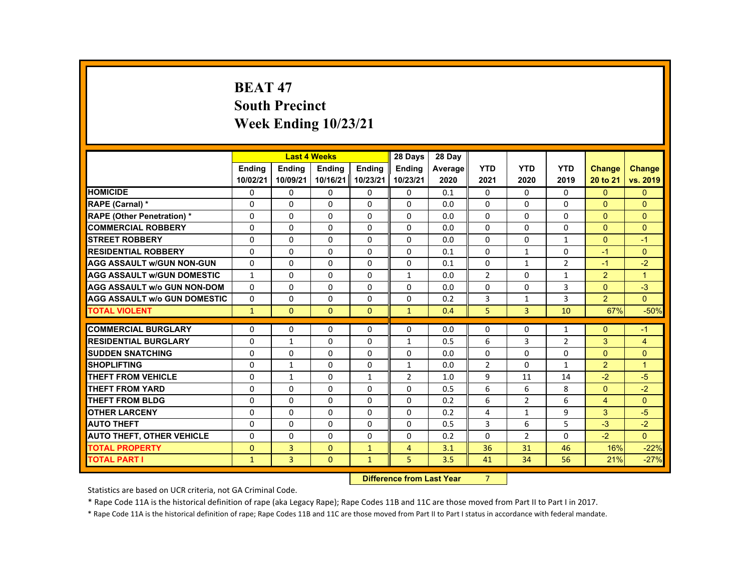# **BEAT 47 South Precinct Week Ending 10/23/21**

|                                     |               |                | <b>Last 4 Weeks</b> |               | 28 Days        | 28 Day  |                |                |                |                |                      |
|-------------------------------------|---------------|----------------|---------------------|---------------|----------------|---------|----------------|----------------|----------------|----------------|----------------------|
|                                     | <b>Endina</b> | <b>Endina</b>  | <b>Endina</b>       | <b>Endina</b> | <b>Endina</b>  | Average | <b>YTD</b>     | <b>YTD</b>     | <b>YTD</b>     | Change         | <b>Change</b>        |
|                                     | 10/02/21      | 10/09/21       | 10/16/21            | 10/23/21      | 10/23/21       | 2020    | 2021           | 2020           | 2019           | 20 to 21       | vs. 2019             |
| <b>HOMICIDE</b>                     | 0             | 0              | $\mathbf{0}$        | $\mathbf{0}$  | 0              | 0.1     | 0              | 0              | 0              | $\Omega$       | $\mathbf{0}$         |
| <b>RAPE (Carnal) *</b>              | $\Omega$      | $\Omega$       | $\Omega$            | $\Omega$      | $\Omega$       | 0.0     | $\Omega$       | $\Omega$       | 0              | $\Omega$       | $\Omega$             |
| <b>RAPE (Other Penetration) *</b>   | $\Omega$      | $\Omega$       | $\Omega$            | $\Omega$      | $\Omega$       | 0.0     | $\Omega$       | $\Omega$       | $\Omega$       | $\Omega$       | $\Omega$             |
| <b>COMMERCIAL ROBBERY</b>           | 0             | 0              | $\Omega$            | 0             | 0              | 0.0     | $\mathbf 0$    | 0              | 0              | $\mathbf{0}$   | $\mathbf{0}$         |
| <b>STREET ROBBERY</b>               | $\Omega$      | $\Omega$       | $\Omega$            | $\Omega$      | $\Omega$       | 0.0     | $\Omega$       | $\Omega$       | $\mathbf{1}$   | $\Omega$       | $-1$                 |
| <b>RESIDENTIAL ROBBERY</b>          | $\Omega$      | $\Omega$       | $\Omega$            | $\Omega$      | $\Omega$       | 0.1     | $\Omega$       | $\mathbf{1}$   | $\Omega$       | $-1$           | $\Omega$             |
| <b>AGG ASSAULT w/GUN NON-GUN</b>    | $\Omega$      | $\Omega$       | $\Omega$            | $\Omega$      | $\Omega$       | 0.1     | $\Omega$       | $\mathbf{1}$   | $\overline{2}$ | $-1$           | $-2$                 |
| <b>AGG ASSAULT W/GUN DOMESTIC</b>   | $\mathbf{1}$  | $\Omega$       | $\Omega$            | $\Omega$      | $\mathbf{1}$   | 0.0     | $\overline{2}$ | $\Omega$       | $\mathbf{1}$   | $\overline{2}$ | $\blacktriangleleft$ |
| <b>AGG ASSAULT w/o GUN NON-DOM</b>  | $\Omega$      | $\Omega$       | $\Omega$            | $\Omega$      | $\Omega$       | 0.0     | $\mathbf 0$    | $\Omega$       | 3              | $\Omega$       | $-3$                 |
| <b>AGG ASSAULT W/o GUN DOMESTIC</b> | $\Omega$      | $\Omega$       | $\Omega$            | $\Omega$      | $\Omega$       | 0.2     | 3              | $\mathbf{1}$   | 3              | 2              | $\Omega$             |
| <b>TOTAL VIOLENT</b>                | $\mathbf{1}$  | $\mathbf{0}$   | $\mathbf{0}$        | $\mathbf{0}$  | $\mathbf{1}$   | 0.4     | 5              | 3              | 10             | 67%            | $-50%$               |
|                                     |               |                |                     |               |                |         |                |                |                |                |                      |
| <b>COMMERCIAL BURGLARY</b>          | $\Omega$      | $\Omega$       | $\Omega$            | 0             | $\Omega$       | 0.0     | $\Omega$       | 0              | $\mathbf{1}$   | $\Omega$       | $-1$                 |
| <b>RESIDENTIAL BURGLARY</b>         | 0             | 1              | 0                   | 0             | $\mathbf{1}$   | 0.5     | 6              | 3              | $\overline{2}$ | 3              | 4                    |
| <b>SUDDEN SNATCHING</b>             | $\Omega$      | $\Omega$       | $\Omega$            | $\Omega$      | $\Omega$       | 0.0     | $\Omega$       | $\Omega$       | $\Omega$       | $\Omega$       | $\Omega$             |
| <b>SHOPLIFTING</b>                  | $\Omega$      | $\mathbf{1}$   | $\Omega$            | $\Omega$      | $\mathbf{1}$   | 0.0     | $\overline{2}$ | $\Omega$       | $\mathbf{1}$   | $\overline{2}$ | $\overline{1}$       |
| <b>THEFT FROM VEHICLE</b>           | $\Omega$      | $\mathbf{1}$   | $\Omega$            | $\mathbf{1}$  | $\overline{2}$ | 1.0     | 9              | 11             | 14             | $-2$           | $-5$                 |
| <b>THEFT FROM YARD</b>              | 0             | $\Omega$       | $\Omega$            | 0             | $\Omega$       | 0.5     | 6              | 6              | 8              | $\Omega$       | $-2$                 |
| THEFT FROM BLDG                     | $\Omega$      | $\Omega$       | $\Omega$            | $\Omega$      | $\Omega$       | 0.2     | 6              | $\overline{2}$ | 6              | $\overline{4}$ | $\overline{0}$       |
| <b>OTHER LARCENY</b>                | 0             | $\Omega$       | $\Omega$            | $\Omega$      | $\Omega$       | 0.2     | 4              | $\mathbf{1}$   | 9              | 3              | $-5$                 |
| <b>AUTO THEFT</b>                   | 0             | $\Omega$       | 0                   | 0             | $\Omega$       | 0.5     | 3              | 6              | 5              | $-3$           | $-2$                 |
| <b>AUTO THEFT, OTHER VEHICLE</b>    | $\Omega$      | $\Omega$       | $\Omega$            | $\Omega$      | $\Omega$       | 0.2     | $\Omega$       | $\overline{2}$ | 0              | $-2$           | $\mathbf{0}$         |
| <b>TOTAL PROPERTY</b>               | $\Omega$      | $\overline{3}$ | $\Omega$            | $\mathbf{1}$  | $\overline{4}$ | 3.1     | 36             | 31             | 46             | 16%            | $-22%$               |
| <b>TOTAL PART I</b>                 | $\mathbf{1}$  | $\overline{3}$ | $\mathbf{0}$        | $\mathbf{1}$  | 5              | 3.5     | 41             | 34             | 56             | 21%            | $-27%$               |

#### **Difference from Last Year**7

Statistics are based on UCR criteria, not GA Criminal Code.

\* Rape Code 11A is the historical definition of rape (aka Legacy Rape); Rape Codes 11B and 11C are those moved from Part II to Part I in 2017.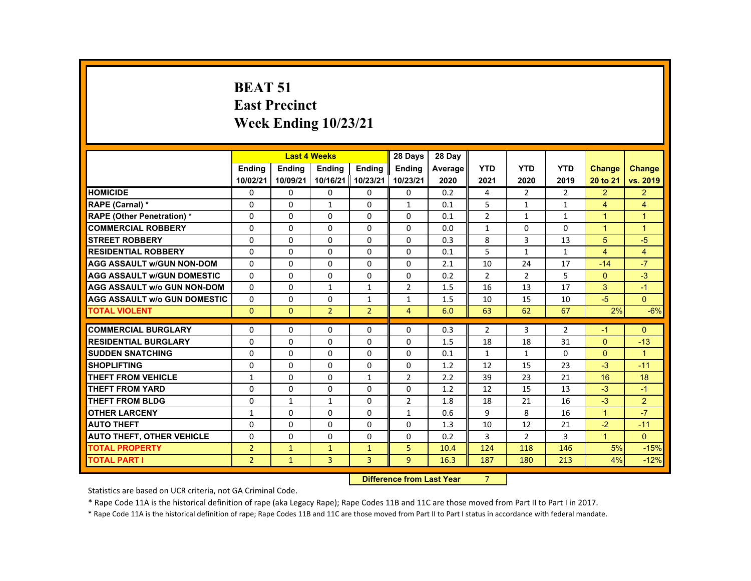# **BEAT 51 East Precinct Week Ending 10/23/21**

|                                     |                |               | <b>Last 4 Weeks</b> |                | 28 Days                          | 28 Day  |                |                |                |                      |                      |
|-------------------------------------|----------------|---------------|---------------------|----------------|----------------------------------|---------|----------------|----------------|----------------|----------------------|----------------------|
|                                     | <b>Ending</b>  | <b>Ending</b> | <b>Ending</b>       | <b>Ending</b>  | <b>Ending</b>                    | Average | <b>YTD</b>     | <b>YTD</b>     | <b>YTD</b>     | <b>Change</b>        | <b>Change</b>        |
|                                     | 10/02/21       | 10/09/21      | 10/16/21            | 10/23/21       | 10/23/21                         | 2020    | 2021           | 2020           | 2019           | 20 to 21             | vs. 2019             |
| <b>HOMICIDE</b>                     | 0              | $\mathbf{0}$  | 0                   | 0              | $\mathbf{0}$                     | 0.2     | 4              | $\overline{2}$ | $\overline{2}$ | $\overline{2}$       | $\overline{2}$       |
| RAPE (Carnal) *                     | $\Omega$       | $\Omega$      | $\mathbf{1}$        | $\Omega$       | $\mathbf{1}$                     | 0.1     | 5              | $\mathbf{1}$   | $\mathbf{1}$   | $\overline{4}$       | $\overline{4}$       |
| <b>RAPE (Other Penetration) *</b>   | $\Omega$       | $\Omega$      | $\Omega$            | $\Omega$       | $\Omega$                         | 0.1     | $\overline{2}$ | $\mathbf{1}$   | $\mathbf{1}$   | $\mathbf{1}$         | $\blacktriangleleft$ |
| <b>COMMERCIAL ROBBERY</b>           | $\Omega$       | $\Omega$      | $\Omega$            | $\Omega$       | $\Omega$                         | 0.0     | 1              | $\Omega$       | $\Omega$       | $\blacktriangleleft$ | $\blacktriangleleft$ |
| <b>STREET ROBBERY</b>               | $\Omega$       | $\Omega$      | $\Omega$            | $\Omega$       | $\Omega$                         | 0.3     | 8              | $\overline{3}$ | 13             | 5                    | $-5$                 |
| <b>RESIDENTIAL ROBBERY</b>          | 0              | $\Omega$      | $\Omega$            | $\Omega$       | $\Omega$                         | 0.1     | 5              | $\mathbf{1}$   | $\mathbf{1}$   | $\overline{4}$       | $\overline{4}$       |
| <b>AGG ASSAULT w/GUN NON-DOM</b>    | $\Omega$       | $\Omega$      | $\Omega$            | $\Omega$       | $\Omega$                         | 2.1     | 10             | 24             | 17             | $-14$                | $-7$                 |
| <b>AGG ASSAULT w/GUN DOMESTIC</b>   | $\Omega$       | $\Omega$      | $\Omega$            | $\Omega$       | $\Omega$                         | 0.2     | $\overline{2}$ | $\overline{2}$ | 5              | $\Omega$             | $-3$                 |
| <b>AGG ASSAULT w/o GUN NON-DOM</b>  | $\Omega$       | $\Omega$      | $\mathbf{1}$        | $\mathbf{1}$   | $\overline{2}$                   | 1.5     | 16             | 13             | 17             | 3                    | $-1$                 |
| <b>AGG ASSAULT w/o GUN DOMESTIC</b> | $\Omega$       | $\Omega$      | $\Omega$            | $\mathbf{1}$   | $\mathbf{1}$                     | 1.5     | 10             | 15             | 10             | $-5$                 | $\Omega$             |
| <b>TOTAL VIOLENT</b>                | $\Omega$       | $\mathbf{0}$  | $\overline{2}$      | $\overline{2}$ | $\overline{4}$                   | 6.0     | 63             | 62             | 67             | 2%                   | $-6%$                |
| <b>COMMERCIAL BURGLARY</b>          | $\Omega$       | $\Omega$      | $\Omega$            | $\Omega$       | $\Omega$                         | 0.3     | $\overline{2}$ | 3              | $\overline{2}$ | $-1$                 | $\Omega$             |
| <b>RESIDENTIAL BURGLARY</b>         | $\Omega$       | $\Omega$      | $\Omega$            | $\Omega$       | $\Omega$                         | 1.5     | 18             | 18             | 31             | $\Omega$             | $-13$                |
| <b>SUDDEN SNATCHING</b>             | 0              | $\mathbf{0}$  | $\Omega$            | $\Omega$       | $\mathbf{0}$                     | 0.1     | 1              | $\mathbf{1}$   | $\Omega$       | $\Omega$             | $\blacktriangleleft$ |
| <b>SHOPLIFTING</b>                  | $\Omega$       | $\Omega$      | $\Omega$            | $\Omega$       | $\Omega$                         | 1.2     | 12             | 15             | 23             | $-3$                 | $-11$                |
| THEFT FROM VEHICLE                  | $\mathbf{1}$   | $\Omega$      | 0                   | $\mathbf{1}$   | $\overline{2}$                   | 2.2     | 39             | 23             | 21             | 16                   | 18                   |
| <b>THEFT FROM YARD</b>              | $\Omega$       | $\Omega$      | $\Omega$            | $\Omega$       | $\Omega$                         | 1.2     | 12             | 15             | 13             | $-3$                 | $-1$                 |
| THEFT FROM BLDG                     | $\Omega$       | $\mathbf{1}$  | $\mathbf{1}$        | $\Omega$       | $\overline{2}$                   | 1.8     | 18             | 21             | 16             | $-3$                 | $\overline{2}$       |
| <b>OTHER LARCENY</b>                | 1              | $\Omega$      | $\Omega$            | $\Omega$       | 1                                | 0.6     | 9              | 8              | 16             | $\mathbf{1}$         | $-7$                 |
| <b>AUTO THEFT</b>                   | 0              | $\Omega$      | $\Omega$            | $\Omega$       | $\Omega$                         | 1.3     | 10             | 12             | 21             | $-2$                 | $-11$                |
| <b>AUTO THEFT, OTHER VEHICLE</b>    | $\Omega$       | $\Omega$      | $\Omega$            | $\Omega$       | $\Omega$                         | 0.2     | 3              | $\overline{2}$ | 3              | $\blacktriangleleft$ | $\Omega$             |
| <b>TOTAL PROPERTY</b>               | $\overline{2}$ | $\mathbf{1}$  | $\mathbf{1}$        | $\mathbf{1}$   | 5                                | 10.4    | 124            | 118            | 146            | 5%                   | $-15%$               |
| <b>TOTAL PART I</b>                 | $\overline{2}$ | $\mathbf{1}$  | $\overline{3}$      | $\overline{3}$ | $\overline{9}$                   | 16.3    | 187            | 180            | 213            | 4%                   | $-12%$               |
|                                     |                |               |                     |                | <b>Difference from Last Year</b> |         |                |                |                |                      |                      |

### **Difference from Last Year**

Statistics are based on UCR criteria, not GA Criminal Code.

\* Rape Code 11A is the historical definition of rape (aka Legacy Rape); Rape Codes 11B and 11C are those moved from Part II to Part I in 2017.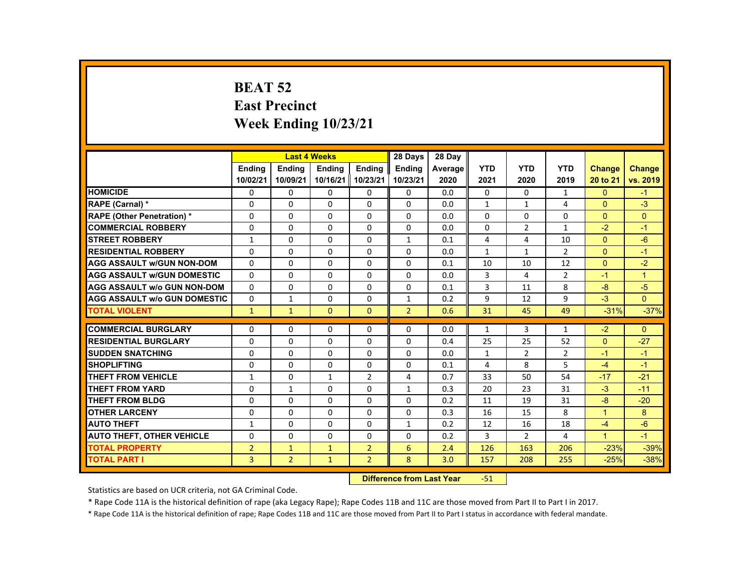# **BEAT 52 East Precinct Week Ending 10/23/21**

|                                     |                |                | <b>Last 4 Weeks</b> |                   | 28 Days        | 28 Dav  |              |                |                |                      |                      |
|-------------------------------------|----------------|----------------|---------------------|-------------------|----------------|---------|--------------|----------------|----------------|----------------------|----------------------|
|                                     | <b>Endina</b>  | <b>Endina</b>  | <b>Endina</b>       | <b>Endina</b>     | <b>Endina</b>  | Average | <b>YTD</b>   | <b>YTD</b>     | <b>YTD</b>     | <b>Change</b>        | <b>Change</b>        |
|                                     | 10/02/21       | 10/09/21       |                     | 10/16/21 10/23/21 | 10/23/21       | 2020    | 2021         | 2020           | 2019           | 20 to 21             | vs. 2019             |
| <b>HOMICIDE</b>                     | 0              | 0              | 0                   | 0                 | 0              | 0.0     | 0            | 0              | $\mathbf{1}$   | $\mathbf{0}$         | $-1$                 |
| <b>RAPE (Carnal) *</b>              | $\Omega$       | $\Omega$       | $\Omega$            | $\Omega$          | $\Omega$       | 0.0     | $\mathbf{1}$ | $\mathbf{1}$   | 4              | $\Omega$             | $-3$                 |
| <b>RAPE (Other Penetration) *</b>   | $\Omega$       | $\Omega$       | $\Omega$            | $\Omega$          | $\Omega$       | 0.0     | $\Omega$     | $\Omega$       | $\Omega$       | $\Omega$             | $\Omega$             |
| <b>COMMERCIAL ROBBERY</b>           | 0              | 0              | 0                   | 0                 | 0              | 0.0     | 0            | $\overline{2}$ | $\mathbf{1}$   | $-2$                 | $-1$                 |
| <b>STREET ROBBERY</b>               | 1              | $\Omega$       | $\Omega$            | $\Omega$          | $\mathbf{1}$   | 0.1     | 4            | 4              | 10             | $\Omega$             | $-6$                 |
| <b>RESIDENTIAL ROBBERY</b>          | $\Omega$       | $\Omega$       | $\Omega$            | $\Omega$          | $\Omega$       | 0.0     | $\mathbf{1}$ | $\mathbf{1}$   | $\overline{2}$ | $\Omega$             | $-1$                 |
| <b>AGG ASSAULT w/GUN NON-DOM</b>    | $\Omega$       | $\Omega$       | $\Omega$            | $\Omega$          | $\Omega$       | 0.1     | 10           | 10             | 12             | $\Omega$             | $-2$                 |
| <b>AGG ASSAULT W/GUN DOMESTIC</b>   | $\Omega$       | $\Omega$       | $\Omega$            | $\Omega$          | $\Omega$       | 0.0     | 3            | 4              | $\overline{2}$ | $-1$                 | $\blacktriangleleft$ |
| <b>AGG ASSAULT w/o GUN NON-DOM</b>  | $\Omega$       | $\Omega$       | $\Omega$            | $\Omega$          | $\Omega$       | 0.1     | 3            | 11             | 8              | $-8$                 | $-5$                 |
| <b>AGG ASSAULT W/o GUN DOMESTIC</b> | $\Omega$       | $\mathbf{1}$   | $\Omega$            | $\Omega$          | $\mathbf{1}$   | 0.2     | 9            | 12             | 9              | $-3$                 | $\Omega$             |
| <b>TOTAL VIOLENT</b>                | $\mathbf{1}$   | $\mathbf{1}$   | $\Omega$            | $\Omega$          | $\overline{2}$ | 0.6     | 31           | 45             | 49             | $-31%$               | $-37%$               |
|                                     |                |                |                     |                   |                |         |              |                |                |                      |                      |
| <b>COMMERCIAL BURGLARY</b>          | $\Omega$       | $\Omega$       | $\Omega$            | 0                 | $\Omega$       | 0.0     | $\mathbf{1}$ | 3              | $\mathbf{1}$   | $-2$                 | $\Omega$             |
| <b>RESIDENTIAL BURGLARY</b>         | $\Omega$       | $\Omega$       | $\Omega$            | $\Omega$          | $\Omega$       | 0.4     | 25           | 25             | 52             | $\Omega$             | $-27$                |
| <b>SUDDEN SNATCHING</b>             | $\Omega$       | 0              | $\Omega$            | $\Omega$          | $\Omega$       | 0.0     | $\mathbf{1}$ | $\overline{2}$ | $\overline{2}$ | $-1$                 | $-1$                 |
| <b>SHOPLIFTING</b>                  | $\Omega$       | $\Omega$       | $\Omega$            | $\Omega$          | $\Omega$       | 0.1     | 4            | 8              | 5              | $-4$                 | $-1$                 |
| <b>THEFT FROM VEHICLE</b>           | $\mathbf{1}$   | $\Omega$       | $\mathbf{1}$        | $\overline{2}$    | 4              | 0.7     | 33           | 50             | 54             | $-17$                | $-21$                |
| <b>THEFT FROM YARD</b>              | $\Omega$       | $\mathbf{1}$   | $\Omega$            | $\Omega$          | $\mathbf{1}$   | 0.3     | 20           | 23             | 31             | $-3$                 | $-11$                |
| <b>THEFT FROM BLDG</b>              | $\Omega$       | $\Omega$       | $\Omega$            | $\Omega$          | $\Omega$       | 0.2     | 11           | 19             | 31             | $-8$                 | $-20$                |
| <b>OTHER LARCENY</b>                | 0              | 0              | 0                   | 0                 | 0              | 0.3     | 16           | 15             | 8              | $\blacktriangleleft$ | 8                    |
| <b>AUTO THEFT</b>                   | $\mathbf{1}$   | $\Omega$       | $\Omega$            | $\Omega$          | $\mathbf{1}$   | 0.2     | 12           | 16             | 18             | $-4$                 | $-6$                 |
| <b>AUTO THEFT, OTHER VEHICLE</b>    | $\Omega$       | $\Omega$       | $\Omega$            | $\Omega$          | $\Omega$       | 0.2     | 3            | $\overline{2}$ | 4              | $\blacktriangleleft$ | $-1$                 |
| <b>TOTAL PROPERTY</b>               | $\overline{2}$ | $\mathbf{1}$   | $\mathbf{1}$        | $\overline{2}$    | 6              | 2.4     | 126          | 163            | 206            | $-23%$               | $-39%$               |
| <b>TOTAL PART I</b>                 | $\overline{3}$ | $\overline{2}$ | $\mathbf{1}$        | $\overline{2}$    | 8              | 3.0     | 157          | 208            | 255            | $-25%$               | $-38%$               |
|                                     |                |                |                     |                   |                |         |              |                |                |                      |                      |

#### **Difference from Last Year**‐51

Statistics are based on UCR criteria, not GA Criminal Code.

\* Rape Code 11A is the historical definition of rape (aka Legacy Rape); Rape Codes 11B and 11C are those moved from Part II to Part I in 2017.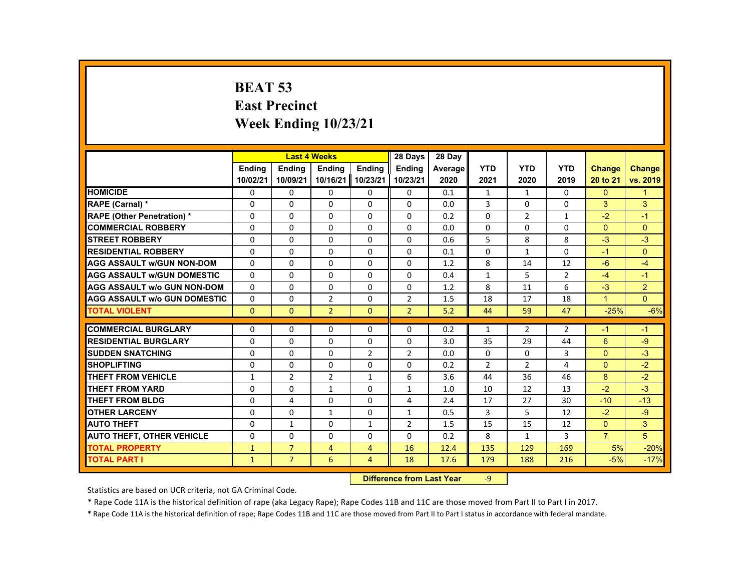# **BEAT 53 East Precinct Week Ending 10/23/21**

|                                     |               |                | <b>Last 4 Weeks</b> |                | 28 Days        | 28 Dav  |                |                |                |                |                |
|-------------------------------------|---------------|----------------|---------------------|----------------|----------------|---------|----------------|----------------|----------------|----------------|----------------|
|                                     | <b>Ending</b> | <b>Endina</b>  | <b>Ending</b>       | <b>Ending</b>  | <b>Ending</b>  | Average | <b>YTD</b>     | <b>YTD</b>     | <b>YTD</b>     | <b>Change</b>  | Change         |
|                                     | 10/02/21      | 10/09/21       | 10/16/21 10/23/21   |                | 10/23/21       | 2020    | 2021           | 2020           | 2019           | 20 to 21       | vs. 2019       |
| <b>HOMICIDE</b>                     | 0             | 0              | 0                   | 0              | 0              | 0.1     | 1              | 1              | 0              | $\Omega$       | 1              |
| RAPE (Carnal) *                     | $\Omega$      | $\Omega$       | $\Omega$            | $\Omega$       | $\Omega$       | 0.0     | 3              | $\Omega$       | $\Omega$       | 3              | 3              |
| <b>RAPE (Other Penetration) *</b>   | $\Omega$      | $\Omega$       | $\Omega$            | $\Omega$       | $\Omega$       | 0.2     | $\Omega$       | $\overline{2}$ | $\mathbf{1}$   | $-2$           | $-1$           |
| <b>COMMERCIAL ROBBERY</b>           | 0             | 0              | 0                   | 0              | 0              | 0.0     | 0              | 0              | 0              | $\Omega$       | $\Omega$       |
| <b>STREET ROBBERY</b>               | $\Omega$      | $\Omega$       | $\Omega$            | $\Omega$       | $\Omega$       | 0.6     | 5              | 8              | 8              | $-3$           | $-3$           |
| <b>RESIDENTIAL ROBBERY</b>          | $\Omega$      | $\Omega$       | $\Omega$            | $\Omega$       | $\Omega$       | 0.1     | $\Omega$       | $\mathbf{1}$   | $\Omega$       | $-1$           | $\Omega$       |
| <b>AGG ASSAULT w/GUN NON-DOM</b>    | $\Omega$      | $\Omega$       | $\Omega$            | $\Omega$       | $\Omega$       | 1.2     | 8              | 14             | 12             | $-6$           | $-4$           |
| <b>AGG ASSAULT w/GUN DOMESTIC</b>   | $\Omega$      | $\Omega$       | $\Omega$            | $\Omega$       | $\Omega$       | 0.4     | $\mathbf{1}$   | 5              | $\overline{2}$ | $-4$           | $-1$           |
| <b>AGG ASSAULT w/o GUN NON-DOM</b>  | $\Omega$      | $\Omega$       | $\Omega$            | $\Omega$       | $\Omega$       | 1.2     | 8              | 11             | 6              | $-3$           | $\overline{2}$ |
| <b>AGG ASSAULT w/o GUN DOMESTIC</b> | $\Omega$      | $\Omega$       | $\overline{2}$      | $\Omega$       | $\overline{2}$ | 1.5     | 18             | 17             | 18             | $\mathbf{1}$   | $\Omega$       |
| <b>TOTAL VIOLENT</b>                | $\Omega$      | $\mathbf{0}$   | $\overline{2}$      | $\Omega$       | $\overline{2}$ | 5.2     | 44             | 59             | 47             | $-25%$         | $-6%$          |
|                                     |               |                |                     |                |                |         |                |                |                |                |                |
| <b>COMMERCIAL BURGLARY</b>          | $\Omega$      | $\Omega$       | $\Omega$            | $\Omega$       | $\Omega$       | 0.2     | $\mathbf{1}$   | $\overline{2}$ | $\overline{2}$ | $-1$           | $-1$           |
| <b>RESIDENTIAL BURGLARY</b>         | $\Omega$      | $\Omega$       | $\Omega$            | $\Omega$       | $\Omega$       | 3.0     | 35             | 29             | 44             | 6              | $-9$           |
| <b>SUDDEN SNATCHING</b>             | $\Omega$      | $\Omega$       | $\Omega$            | $\overline{2}$ | $\overline{2}$ | 0.0     | $\Omega$       | $\Omega$       | 3              | $\Omega$       | $-3$           |
| <b>SHOPLIFTING</b>                  | $\Omega$      | $\Omega$       | $\Omega$            | $\Omega$       | $\Omega$       | 0.2     | $\overline{2}$ | $\overline{2}$ | 4              | $\Omega$       | $-2$           |
| <b>THEFT FROM VEHICLE</b>           | $\mathbf{1}$  | $\overline{2}$ | $\overline{2}$      | $\mathbf{1}$   | 6              | 3.6     | 44             | 36             | 46             | 8              | $-2$           |
| <b>THEFT FROM YARD</b>              | $\Omega$      | $\Omega$       | $\mathbf{1}$        | $\Omega$       | $\mathbf{1}$   | 1.0     | 10             | 12             | 13             | $-2$           | $-3$           |
| <b>THEFT FROM BLDG</b>              | $\Omega$      | 4              | $\Omega$            | $\Omega$       | 4              | 2.4     | 17             | 27             | 30             | $-10$          | $-13$          |
| <b>OTHER LARCENY</b>                | 0             | 0              | 1                   | 0              | 1              | 0.5     | 3              | 5              | 12             | $-2$           | $-9$           |
| <b>AUTO THEFT</b>                   | $\Omega$      | $\mathbf{1}$   | $\Omega$            | $\mathbf{1}$   | $\overline{2}$ | 1.5     | 15             | 15             | 12             | $\Omega$       | 3              |
| <b>AUTO THEFT, OTHER VEHICLE</b>    | $\Omega$      | $\Omega$       | $\Omega$            | $\Omega$       | $\Omega$       | 0.2     | 8              | $\mathbf{1}$   | 3              | $\overline{7}$ | 5              |
| <b>TOTAL PROPERTY</b>               | $\mathbf{1}$  | $\overline{7}$ | $\overline{4}$      | $\overline{4}$ | 16             | 12.4    | 135            | 129            | 169            | 5%             | $-20%$         |
| <b>TOTAL PART I</b>                 | $\mathbf{1}$  | $\overline{7}$ | 6                   | $\overline{4}$ | 18             | 17.6    | 179            | 188            | 216            | $-5%$          | $-17%$         |

#### **Difference from Last Year**‐9

Statistics are based on UCR criteria, not GA Criminal Code.

\* Rape Code 11A is the historical definition of rape (aka Legacy Rape); Rape Codes 11B and 11C are those moved from Part II to Part I in 2017.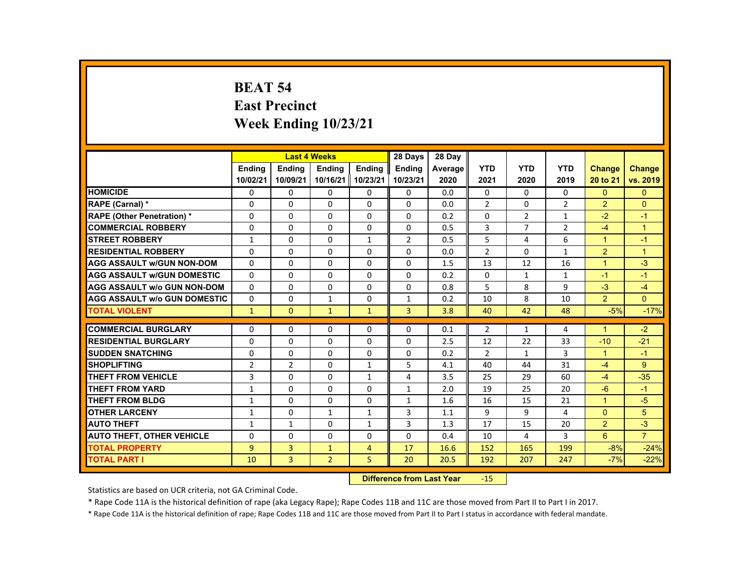# **BEAT 54 East Precinct Week Ending 10/23/21**

|                                     |                |                | <b>Last 4 Weeks</b> |                | 28 Days        | 28 Day  |                |                |                |                      |                |
|-------------------------------------|----------------|----------------|---------------------|----------------|----------------|---------|----------------|----------------|----------------|----------------------|----------------|
|                                     | <b>Endina</b>  | <b>Endina</b>  | <b>Endina</b>       | <b>Endina</b>  | <b>Endina</b>  | Average | <b>YTD</b>     | <b>YTD</b>     | <b>YTD</b>     | <b>Change</b>        | <b>Change</b>  |
|                                     | 10/02/21       | 10/09/21       | 10/16/21            | 10/23/21       | 10/23/21       | 2020    | 2021           | 2020           | 2019           | 20 to 21             | vs. 2019       |
| <b>HOMICIDE</b>                     | 0              | $\mathbf{0}$   | $\mathbf{0}$        | $\Omega$       | 0              | 0.0     | 0              | $\Omega$       | 0              | $\mathbf{0}$         | $\mathbf{0}$   |
| RAPE (Carnal) *                     | $\Omega$       | $\Omega$       | $\Omega$            | $\Omega$       | $\Omega$       | 0.0     | $\overline{2}$ | $\Omega$       | $\overline{2}$ | $\overline{2}$       | $\Omega$       |
| <b>RAPE (Other Penetration) *</b>   | $\Omega$       | $\Omega$       | $\Omega$            | $\Omega$       | $\Omega$       | 0.2     | $\Omega$       | $\overline{2}$ | $\mathbf{1}$   | $-2$                 | $-1$           |
| <b>COMMERCIAL ROBBERY</b>           | $\Omega$       | $\Omega$       | $\Omega$            | $\Omega$       | $\Omega$       | 0.5     | 3              | $\overline{7}$ | $\overline{2}$ | $-4$                 | $\mathbf{1}$   |
| <b>STREET ROBBERY</b>               | $\mathbf{1}$   | $\Omega$       | $\Omega$            | $\mathbf{1}$   | $\overline{2}$ | 0.5     | 5              | 4              | 6              | $\blacktriangleleft$ | $-1$           |
| <b>RESIDENTIAL ROBBERY</b>          | $\Omega$       | $\Omega$       | $\Omega$            | $\Omega$       | $\Omega$       | 0.0     | $\overline{2}$ | $\Omega$       | $\mathbf{1}$   | $\overline{2}$       | $\overline{1}$ |
| <b>AGG ASSAULT w/GUN NON-DOM</b>    | $\Omega$       | $\Omega$       | $\Omega$            | $\Omega$       | $\Omega$       | 1.5     | 13             | 12             | 16             | $\blacktriangleleft$ | $-3$           |
| <b>AGG ASSAULT W/GUN DOMESTIC</b>   | $\Omega$       | $\Omega$       | $\Omega$            | $\Omega$       | $\Omega$       | 0.2     | $\Omega$       | $\mathbf{1}$   | $\mathbf{1}$   | $-1$                 | $-1$           |
| <b>AGG ASSAULT w/o GUN NON-DOM</b>  | $\Omega$       | $\mathbf{0}$   | $\mathbf{0}$        | 0              | 0              | 0.8     | 5              | 8              | 9              | $-3$                 | $-4$           |
| <b>AGG ASSAULT W/o GUN DOMESTIC</b> | $\Omega$       | $\Omega$       | $\mathbf{1}$        | 0              | $\mathbf{1}$   | 0.2     | 10             | 8              | 10             | $\overline{2}$       | $\Omega$       |
| <b>TOTAL VIOLENT</b>                | $\mathbf{1}$   | $\Omega$       | $\mathbf{1}$        | $\mathbf{1}$   | $\overline{3}$ | 3.8     | 40             | 42             | 48             | $-5%$                | $-17%$         |
|                                     |                |                |                     |                |                |         |                |                |                |                      |                |
| <b>COMMERCIAL BURGLARY</b>          | $\Omega$       | $\Omega$       | $\Omega$            | $\Omega$       | $\Omega$       | 0.1     | $\overline{2}$ | $\mathbf{1}$   | 4              | $\blacktriangleleft$ | $-2$           |
| <b>RESIDENTIAL BURGLARY</b>         | $\Omega$       | $\Omega$       | $\Omega$            | 0              | 0              | 2.5     | 12             | 22             | 33             | $-10$                | $-21$          |
| <b>SUDDEN SNATCHING</b>             | $\Omega$       | $\Omega$       | $\Omega$            | $\Omega$       | $\Omega$       | 0.2     | $\overline{2}$ | $\mathbf{1}$   | 3              | $\mathbf{1}$         | $-1$           |
| <b>SHOPLIFTING</b>                  | $\overline{2}$ | $\overline{2}$ | $\Omega$            | $\mathbf{1}$   | 5              | 4.1     | 40             | 44             | 31             | $-4$                 | 9              |
| <b>THEFT FROM VEHICLE</b>           | 3              | $\Omega$       | $\mathbf{0}$        | 1              | 4              | 3.5     | 25             | 29             | 60             | $-4$                 | $-35$          |
| <b>THEFT FROM YARD</b>              | $\mathbf{1}$   | $\Omega$       | $\Omega$            | $\Omega$       | $\mathbf{1}$   | 2.0     | 19             | 25             | 20             | $-6$                 | $-1$           |
| <b>THEFT FROM BLDG</b>              | $\mathbf{1}$   | $\Omega$       | $\Omega$            | $\Omega$       | $\mathbf{1}$   | 1.6     | 16             | 15             | 21             | $\blacktriangleleft$ | $-5$           |
| <b>OTHER LARCENY</b>                | $\mathbf{1}$   | $\Omega$       | $\mathbf{1}$        | $\mathbf{1}$   | 3              | 1.1     | 9              | 9              | 4              | $\Omega$             | 5              |
| <b>AUTO THEFT</b>                   | $\mathbf{1}$   | $\mathbf{1}$   | $\Omega$            | $\mathbf{1}$   | 3              | 1.3     | 17             | 15             | 20             | 2                    | $-3$           |
| <b>AUTO THEFT, OTHER VEHICLE</b>    | $\Omega$       | $\Omega$       | $\Omega$            | $\Omega$       | $\Omega$       | 0.4     | 10             | 4              | 3              | 6                    | $\overline{7}$ |
| <b>TOTAL PROPERTY</b>               | $\overline{9}$ | 3              | $\mathbf{1}$        | $\overline{4}$ | 17             | 16.6    | 152            | 165            | 199            | $-8%$                | $-24%$         |
| <b>TOTAL PART I</b>                 | 10             | $\overline{3}$ | $\overline{2}$      | 5              | 20             | 20.5    | 192            | 207            | 247            | $-7%$                | $-22%$         |

#### **Difference from Last Year**r -15

Statistics are based on UCR criteria, not GA Criminal Code.

\* Rape Code 11A is the historical definition of rape (aka Legacy Rape); Rape Codes 11B and 11C are those moved from Part II to Part I in 2017.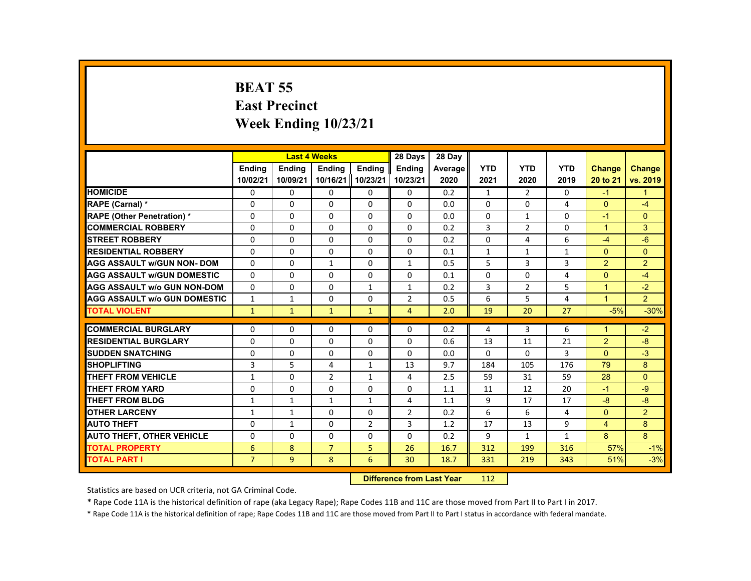# **BEAT 55 East Precinct Week Ending 10/23/21**

|                                     |                |               | <b>Last 4 Weeks</b> |                | 28 Days        | 28 Day  |              |                |                |                      |                |
|-------------------------------------|----------------|---------------|---------------------|----------------|----------------|---------|--------------|----------------|----------------|----------------------|----------------|
|                                     | <b>Endina</b>  | <b>Endina</b> | <b>Endina</b>       | <b>Endina</b>  | <b>Endina</b>  | Average | <b>YTD</b>   | <b>YTD</b>     | <b>YTD</b>     | <b>Change</b>        | <b>Change</b>  |
|                                     | 10/02/21       | 10/09/21      | 10/16/21            | 10/23/21       | 10/23/21       | 2020    | 2021         | 2020           | 2019           | 20 to 21             | vs. 2019       |
| <b>HOMICIDE</b>                     | 0              | 0             | 0                   | 0              | 0              | 0.2     | $\mathbf{1}$ | 2              | $\Omega$       | $-1$                 | 1              |
| RAPE (Carnal) *                     | $\Omega$       | $\mathbf{0}$  | $\Omega$            | $\Omega$       | $\Omega$       | 0.0     | $\mathbf{0}$ | 0              | 4              | $\mathbf{0}$         | -4             |
| <b>RAPE (Other Penetration) *</b>   | $\Omega$       | $\Omega$      | $\Omega$            | $\Omega$       | $\Omega$       | 0.0     | $\Omega$     | $\mathbf{1}$   | $\Omega$       | $-1$                 | $\Omega$       |
| <b>COMMERCIAL ROBBERY</b>           | $\Omega$       | $\mathbf{0}$  | $\Omega$            | $\Omega$       | $\Omega$       | 0.2     | 3            | $\overline{2}$ | $\Omega$       | $\mathbf{1}$         | 3              |
| <b>STREET ROBBERY</b>               | $\Omega$       | $\Omega$      | $\Omega$            | $\Omega$       | $\Omega$       | 0.2     | $\Omega$     | 4              | 6              | $-4$                 | $-6$           |
| <b>RESIDENTIAL ROBBERY</b>          | $\Omega$       | $\Omega$      | $\Omega$            | $\Omega$       | $\Omega$       | 0.1     | $\mathbf{1}$ | $\mathbf{1}$   | $\mathbf{1}$   | $\Omega$             | $\Omega$       |
| <b>AGG ASSAULT w/GUN NON- DOM</b>   | $\Omega$       | $\Omega$      | $\mathbf{1}$        | $\Omega$       | $\mathbf{1}$   | 0.5     | 5            | 3              | 3              | $\overline{2}$       | $\overline{2}$ |
| <b>AGG ASSAULT W/GUN DOMESTIC</b>   | $\Omega$       | $\Omega$      | $\Omega$            | $\Omega$       | $\Omega$       | 0.1     | $\Omega$     | $\Omega$       | $\overline{4}$ | $\Omega$             | $-4$           |
| <b>AGG ASSAULT w/o GUN NON-DOM</b>  | $\Omega$       | $\Omega$      | $\Omega$            | $\mathbf{1}$   | $\mathbf{1}$   | 0.2     | 3            | $\overline{2}$ | 5              | $\mathbf{1}$         | $-2$           |
| <b>AGG ASSAULT W/o GUN DOMESTIC</b> | $\mathbf{1}$   | $\mathbf{1}$  | $\Omega$            | $\Omega$       | $\overline{2}$ | 0.5     | 6            | 5              | 4              | $\blacktriangleleft$ | $\overline{2}$ |
| <b>TOTAL VIOLENT</b>                | $\mathbf{1}$   | $\mathbf{1}$  | $\mathbf{1}$        | $\mathbf{1}$   | $\overline{4}$ | 2.0     | 19           | 20             | 27             | $-5%$                | $-30%$         |
|                                     |                |               |                     |                |                |         |              |                |                |                      |                |
| <b>COMMERCIAL BURGLARY</b>          | $\Omega$       | $\Omega$      | $\Omega$            | $\Omega$       | $\Omega$       | 0.2     | 4            | 3              | 6              | $\mathbf{1}$         | $-2$           |
| <b>RESIDENTIAL BURGLARY</b>         | $\Omega$       | $\Omega$      | $\Omega$            | $\Omega$       | $\Omega$       | 0.6     | 13           | 11             | 21             | $\overline{2}$       | -8             |
| <b>SUDDEN SNATCHING</b>             | $\Omega$       | $\Omega$      | $\Omega$            | $\Omega$       | $\Omega$       | 0.0     | $\Omega$     | $\Omega$       | 3              | $\Omega$             | $-3$           |
| <b>SHOPLIFTING</b>                  | 3              | 5             | 4                   | $\mathbf{1}$   | 13             | 9.7     | 184          | 105            | 176            | 79                   | 8              |
| <b>THEFT FROM VEHICLE</b>           | $\mathbf{1}$   | $\Omega$      | $\overline{2}$      | $\mathbf{1}$   | 4              | 2.5     | 59           | 31             | 59             | 28                   | $\Omega$       |
| <b>THEFT FROM YARD</b>              | $\Omega$       | $\mathbf{0}$  | $\Omega$            | $\Omega$       | $\Omega$       | 1.1     | 11           | 12             | 20             | $-1$                 | -9             |
| <b>THEFT FROM BLDG</b>              | $\mathbf{1}$   | $\mathbf{1}$  | $\mathbf{1}$        | $\mathbf{1}$   | 4              | 1.1     | 9            | 17             | 17             | $-8$                 | $-8$           |
| <b>OTHER LARCENY</b>                | $\mathbf{1}$   | $\mathbf{1}$  | $\Omega$            | $\Omega$       | $\overline{2}$ | 0.2     | 6            | 6              | 4              | $\Omega$             | $\overline{2}$ |
| <b>AUTO THEFT</b>                   | $\Omega$       | $\mathbf{1}$  | $\Omega$            | $\overline{2}$ | 3              | 1.2     | 17           | 13             | 9              | 4                    | 8              |
| <b>AUTO THEFT, OTHER VEHICLE</b>    | $\Omega$       | $\Omega$      | $\Omega$            | $\Omega$       | $\Omega$       | 0.2     | 9            | $\mathbf{1}$   | $\mathbf{1}$   | 8                    | 8              |
| <b>TOTAL PROPERTY</b>               | 6              | 8             | $\overline{7}$      | 5              | 26             | 16.7    | 312          | 199            | 316            | 57%                  | $-1%$          |
| <b>TOTAL PART I</b>                 | $\overline{7}$ | 9             | 8                   | 6              | 30             | 18.7    | 331          | 219            | 343            | 51%                  | $-3%$          |
|                                     |                |               |                     |                |                |         |              |                |                |                      |                |

#### **Difference from Last Year**r 112

Statistics are based on UCR criteria, not GA Criminal Code.

\* Rape Code 11A is the historical definition of rape (aka Legacy Rape); Rape Codes 11B and 11C are those moved from Part II to Part I in 2017.